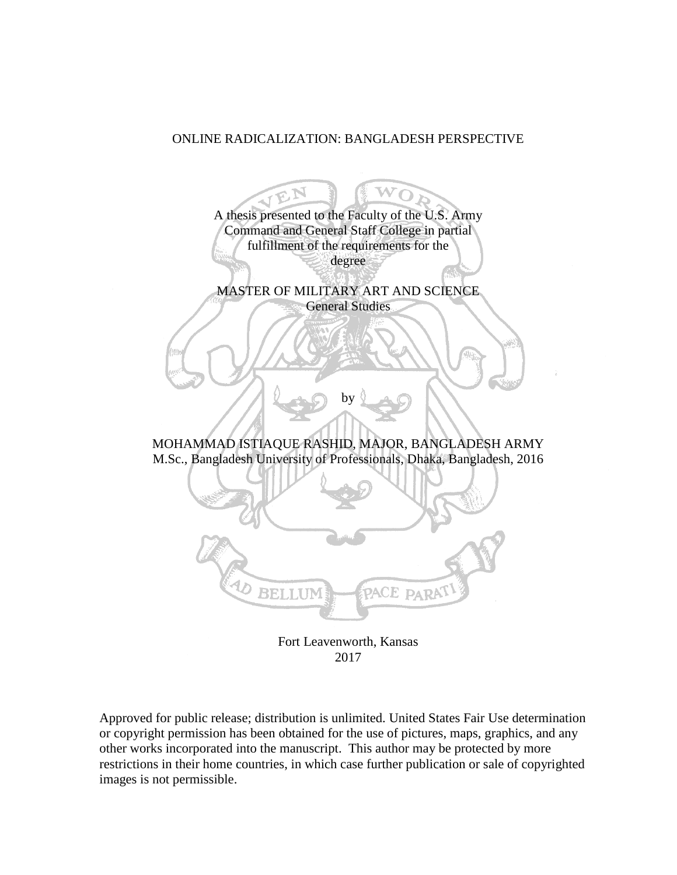## ONLINE RADICALIZATION: BANGLADESH PERSPECTIVE

TEN A thesis presented to the Faculty of the U.S. Army Command and General Staff College in partial fulfillment of the requirements for the degree MASTER OF MILITARY ART AND SCIENCE General Studies by MOHAMMAD ISTIAQUE RASHID, MAJOR, BANGLADESH ARMY M.Sc., Bangladesh University of Professionals, Dhaka, Bangladesh, 2016 **BELLUM** ACE park

Fort Leavenworth, Kansas 2017

Approved for public release; distribution is unlimited. United States Fair Use determination or copyright permission has been obtained for the use of pictures, maps, graphics, and any other works incorporated into the manuscript. This author may be protected by more restrictions in their home countries, in which case further publication or sale of copyrighted images is not permissible.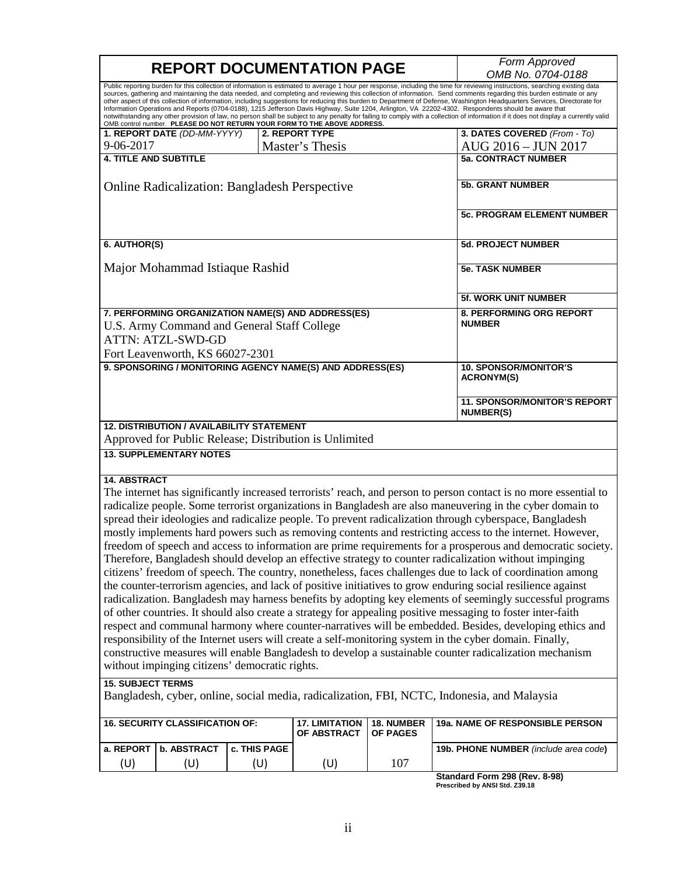| <b>REPORT DOCUMENTATION PAGE</b>                                                                                                                                                                                                                                                                                                                                                                                                                                                                                                                                                                                                                                                                                                                                                                                                                                                                                                                                  |                                                         |              |                                                        |                                                   | Form Approved                                                                                                                                                                                                        |
|-------------------------------------------------------------------------------------------------------------------------------------------------------------------------------------------------------------------------------------------------------------------------------------------------------------------------------------------------------------------------------------------------------------------------------------------------------------------------------------------------------------------------------------------------------------------------------------------------------------------------------------------------------------------------------------------------------------------------------------------------------------------------------------------------------------------------------------------------------------------------------------------------------------------------------------------------------------------|---------------------------------------------------------|--------------|--------------------------------------------------------|---------------------------------------------------|----------------------------------------------------------------------------------------------------------------------------------------------------------------------------------------------------------------------|
|                                                                                                                                                                                                                                                                                                                                                                                                                                                                                                                                                                                                                                                                                                                                                                                                                                                                                                                                                                   |                                                         |              |                                                        |                                                   | OMB No. 0704-0188                                                                                                                                                                                                    |
| Public reporting burden for this collection of information is estimated to average 1 hour per response, including the time for reviewing instructions, searching existing data<br>sources, gathering and maintaining the data needed, and completing and reviewing this collection of information. Send comments regarding this burden estimate or any<br>other aspect of this collection of information, including suggestions for reducing this burden to Department of Defense, Washington Headquarters Services, Directorate for<br>Information Operations and Reports (0704-0188), 1215 Jefferson Davis Highway, Suite 1204, Arlington, VA 22202-4302. Respondents should be aware that<br>notwithstanding any other provision of law, no person shall be subject to any penalty for failing to comply with a collection of information if it does not display a currently valid<br>OMB control number. PLEASE DO NOT RETURN YOUR FORM TO THE ABOVE ADDRESS. |                                                         |              |                                                        |                                                   |                                                                                                                                                                                                                      |
|                                                                                                                                                                                                                                                                                                                                                                                                                                                                                                                                                                                                                                                                                                                                                                                                                                                                                                                                                                   | 1. REPORT DATE (DD-MM-YYYY)                             |              | <b>2. REPORT TYPE</b>                                  |                                                   | 3. DATES COVERED (From - To)                                                                                                                                                                                         |
| 9-06-2017                                                                                                                                                                                                                                                                                                                                                                                                                                                                                                                                                                                                                                                                                                                                                                                                                                                                                                                                                         |                                                         |              | Master's Thesis                                        |                                                   | AUG 2016 - JUN 2017                                                                                                                                                                                                  |
| <b>4. TITLE AND SUBTITLE</b>                                                                                                                                                                                                                                                                                                                                                                                                                                                                                                                                                                                                                                                                                                                                                                                                                                                                                                                                      |                                                         |              |                                                        |                                                   | <b>5a. CONTRACT NUMBER</b>                                                                                                                                                                                           |
|                                                                                                                                                                                                                                                                                                                                                                                                                                                                                                                                                                                                                                                                                                                                                                                                                                                                                                                                                                   | <b>Online Radicalization: Bangladesh Perspective</b>    |              |                                                        |                                                   | <b>5b. GRANT NUMBER</b>                                                                                                                                                                                              |
|                                                                                                                                                                                                                                                                                                                                                                                                                                                                                                                                                                                                                                                                                                                                                                                                                                                                                                                                                                   |                                                         |              |                                                        | <b>5c. PROGRAM ELEMENT NUMBER</b>                 |                                                                                                                                                                                                                      |
| 6. AUTHOR(S)                                                                                                                                                                                                                                                                                                                                                                                                                                                                                                                                                                                                                                                                                                                                                                                                                                                                                                                                                      |                                                         |              |                                                        |                                                   | <b>5d. PROJECT NUMBER</b>                                                                                                                                                                                            |
|                                                                                                                                                                                                                                                                                                                                                                                                                                                                                                                                                                                                                                                                                                                                                                                                                                                                                                                                                                   | Major Mohammad Istiaque Rashid                          |              |                                                        |                                                   | <b>5e. TASK NUMBER</b>                                                                                                                                                                                               |
|                                                                                                                                                                                                                                                                                                                                                                                                                                                                                                                                                                                                                                                                                                                                                                                                                                                                                                                                                                   |                                                         |              |                                                        |                                                   | <b>5f. WORK UNIT NUMBER</b>                                                                                                                                                                                          |
| 7. PERFORMING ORGANIZATION NAME(S) AND ADDRESS(ES)<br>U.S. Army Command and General Staff College<br><b>ATTN: ATZL-SWD-GD</b>                                                                                                                                                                                                                                                                                                                                                                                                                                                                                                                                                                                                                                                                                                                                                                                                                                     |                                                         |              |                                                        | 8. PERFORMING ORG REPORT<br><b>NUMBER</b>         |                                                                                                                                                                                                                      |
| Fort Leavenworth, KS 66027-2301<br>9. SPONSORING / MONITORING AGENCY NAME(S) AND ADDRESS(ES)                                                                                                                                                                                                                                                                                                                                                                                                                                                                                                                                                                                                                                                                                                                                                                                                                                                                      |                                                         |              |                                                        | <b>10. SPONSOR/MONITOR'S</b><br><b>ACRONYM(S)</b> |                                                                                                                                                                                                                      |
|                                                                                                                                                                                                                                                                                                                                                                                                                                                                                                                                                                                                                                                                                                                                                                                                                                                                                                                                                                   | <b>11. SPONSOR/MONITOR'S REPORT</b><br><b>NUMBER(S)</b> |              |                                                        |                                                   |                                                                                                                                                                                                                      |
|                                                                                                                                                                                                                                                                                                                                                                                                                                                                                                                                                                                                                                                                                                                                                                                                                                                                                                                                                                   | <b>12. DISTRIBUTION / AVAILABILITY STATEMENT</b>        |              | Approved for Public Release; Distribution is Unlimited |                                                   |                                                                                                                                                                                                                      |
|                                                                                                                                                                                                                                                                                                                                                                                                                                                                                                                                                                                                                                                                                                                                                                                                                                                                                                                                                                   | <b>13. SUPPLEMENTARY NOTES</b>                          |              |                                                        |                                                   |                                                                                                                                                                                                                      |
| <b>14. ABSTRACT</b>                                                                                                                                                                                                                                                                                                                                                                                                                                                                                                                                                                                                                                                                                                                                                                                                                                                                                                                                               |                                                         |              |                                                        |                                                   | The internet has significantly increased terrorists' reach, and person to person contact is no more essential to                                                                                                     |
|                                                                                                                                                                                                                                                                                                                                                                                                                                                                                                                                                                                                                                                                                                                                                                                                                                                                                                                                                                   |                                                         |              |                                                        |                                                   | radicalize people. Some terrorist organizations in Bangladesh are also maneuvering in the cyber domain to<br>spread their ideologies and radicalize people. To prevent radicalization through cyberspace, Bangladesh |
|                                                                                                                                                                                                                                                                                                                                                                                                                                                                                                                                                                                                                                                                                                                                                                                                                                                                                                                                                                   |                                                         |              |                                                        |                                                   | mostly implements hard powers such as removing contents and restricting access to the internet. However,                                                                                                             |
|                                                                                                                                                                                                                                                                                                                                                                                                                                                                                                                                                                                                                                                                                                                                                                                                                                                                                                                                                                   |                                                         |              |                                                        |                                                   | freedom of speech and access to information are prime requirements for a prosperous and democratic society.                                                                                                          |
|                                                                                                                                                                                                                                                                                                                                                                                                                                                                                                                                                                                                                                                                                                                                                                                                                                                                                                                                                                   |                                                         |              |                                                        |                                                   | Therefore, Bangladesh should develop an effective strategy to counter radicalization without impinging                                                                                                               |
|                                                                                                                                                                                                                                                                                                                                                                                                                                                                                                                                                                                                                                                                                                                                                                                                                                                                                                                                                                   |                                                         |              |                                                        |                                                   | citizens' freedom of speech. The country, nonetheless, faces challenges due to lack of coordination among                                                                                                            |
|                                                                                                                                                                                                                                                                                                                                                                                                                                                                                                                                                                                                                                                                                                                                                                                                                                                                                                                                                                   |                                                         |              |                                                        |                                                   | the counter-terrorism agencies, and lack of positive initiatives to grow enduring social resilience against                                                                                                          |
|                                                                                                                                                                                                                                                                                                                                                                                                                                                                                                                                                                                                                                                                                                                                                                                                                                                                                                                                                                   |                                                         |              |                                                        |                                                   |                                                                                                                                                                                                                      |
|                                                                                                                                                                                                                                                                                                                                                                                                                                                                                                                                                                                                                                                                                                                                                                                                                                                                                                                                                                   |                                                         |              |                                                        |                                                   | radicalization. Bangladesh may harness benefits by adopting key elements of seemingly successful programs                                                                                                            |
|                                                                                                                                                                                                                                                                                                                                                                                                                                                                                                                                                                                                                                                                                                                                                                                                                                                                                                                                                                   |                                                         |              |                                                        |                                                   | of other countries. It should also create a strategy for appealing positive messaging to foster inter-faith                                                                                                          |
|                                                                                                                                                                                                                                                                                                                                                                                                                                                                                                                                                                                                                                                                                                                                                                                                                                                                                                                                                                   |                                                         |              |                                                        |                                                   | respect and communal harmony where counter-narratives will be embedded. Besides, developing ethics and                                                                                                               |
| responsibility of the Internet users will create a self-monitoring system in the cyber domain. Finally,                                                                                                                                                                                                                                                                                                                                                                                                                                                                                                                                                                                                                                                                                                                                                                                                                                                           |                                                         |              |                                                        |                                                   |                                                                                                                                                                                                                      |
| constructive measures will enable Bangladesh to develop a sustainable counter radicalization mechanism                                                                                                                                                                                                                                                                                                                                                                                                                                                                                                                                                                                                                                                                                                                                                                                                                                                            |                                                         |              |                                                        |                                                   |                                                                                                                                                                                                                      |
| without impinging citizens' democratic rights.                                                                                                                                                                                                                                                                                                                                                                                                                                                                                                                                                                                                                                                                                                                                                                                                                                                                                                                    |                                                         |              |                                                        |                                                   |                                                                                                                                                                                                                      |
| <b>15. SUBJECT TERMS</b><br>Bangladesh, cyber, online, social media, radicalization, FBI, NCTC, Indonesia, and Malaysia                                                                                                                                                                                                                                                                                                                                                                                                                                                                                                                                                                                                                                                                                                                                                                                                                                           |                                                         |              |                                                        |                                                   |                                                                                                                                                                                                                      |
|                                                                                                                                                                                                                                                                                                                                                                                                                                                                                                                                                                                                                                                                                                                                                                                                                                                                                                                                                                   | <b>16. SECURITY CLASSIFICATION OF:</b>                  |              | <b>17. LIMITATION</b>                                  | 18. NUMBER                                        | 19a. NAME OF RESPONSIBLE PERSON                                                                                                                                                                                      |
|                                                                                                                                                                                                                                                                                                                                                                                                                                                                                                                                                                                                                                                                                                                                                                                                                                                                                                                                                                   |                                                         |              | OF ABSTRACT                                            | OF PAGES                                          |                                                                                                                                                                                                                      |
| a. REPORT                                                                                                                                                                                                                                                                                                                                                                                                                                                                                                                                                                                                                                                                                                                                                                                                                                                                                                                                                         | b. ABSTRACT                                             | c. THIS PAGE |                                                        |                                                   | 19b. PHONE NUMBER (include area code)                                                                                                                                                                                |
| (U)                                                                                                                                                                                                                                                                                                                                                                                                                                                                                                                                                                                                                                                                                                                                                                                                                                                                                                                                                               | (U)                                                     | (U)          | (U)                                                    | 107                                               |                                                                                                                                                                                                                      |

**Standard Form 298 (Rev. 8-98) Prescribed by ANSI Std. Z39.18**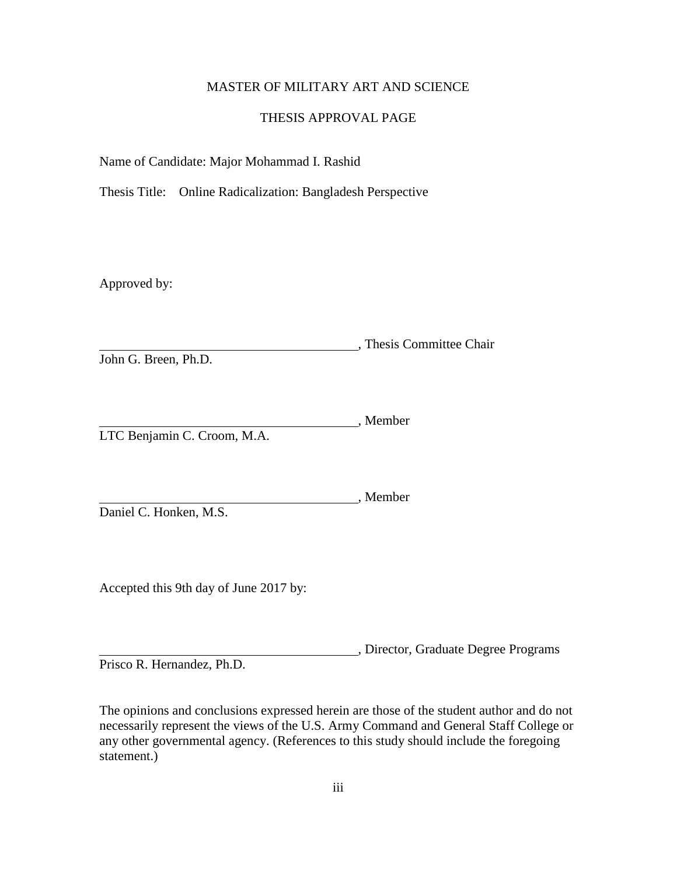### MASTER OF MILITARY ART AND SCIENCE

### THESIS APPROVAL PAGE

Name of Candidate: Major Mohammad I. Rashid

Thesis Title: Online Radicalization: Bangladesh Perspective

Approved by:

, Thesis Committee Chair John G. Breen, Ph.D.

Member LTC Benjamin C. Croom, M.A.

Daniel C. Honken, M.S.

Accepted this 9th day of June 2017 by:

, Director, Graduate Degree Programs Prisco R. Hernandez, Ph.D.

The opinions and conclusions expressed herein are those of the student author and do not

necessarily represent the views of the U.S. Army Command and General Staff College or any other governmental agency. (References to this study should include the foregoing statement.)

, Member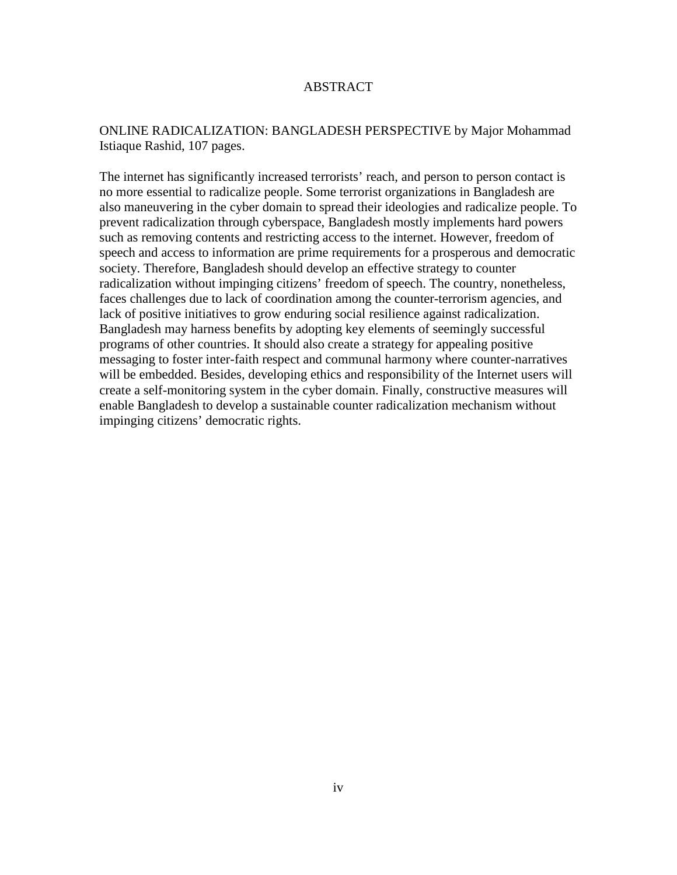### ABSTRACT

## ONLINE RADICALIZATION: BANGLADESH PERSPECTIVE by Major Mohammad Istiaque Rashid, 107 pages.

The internet has significantly increased terrorists' reach, and person to person contact is no more essential to radicalize people. Some terrorist organizations in Bangladesh are also maneuvering in the cyber domain to spread their ideologies and radicalize people. To prevent radicalization through cyberspace, Bangladesh mostly implements hard powers such as removing contents and restricting access to the internet. However, freedom of speech and access to information are prime requirements for a prosperous and democratic society. Therefore, Bangladesh should develop an effective strategy to counter radicalization without impinging citizens' freedom of speech. The country, nonetheless, faces challenges due to lack of coordination among the counter-terrorism agencies, and lack of positive initiatives to grow enduring social resilience against radicalization. Bangladesh may harness benefits by adopting key elements of seemingly successful programs of other countries. It should also create a strategy for appealing positive messaging to foster inter-faith respect and communal harmony where counter-narratives will be embedded. Besides, developing ethics and responsibility of the Internet users will create a self-monitoring system in the cyber domain. Finally, constructive measures will enable Bangladesh to develop a sustainable counter radicalization mechanism without impinging citizens' democratic rights.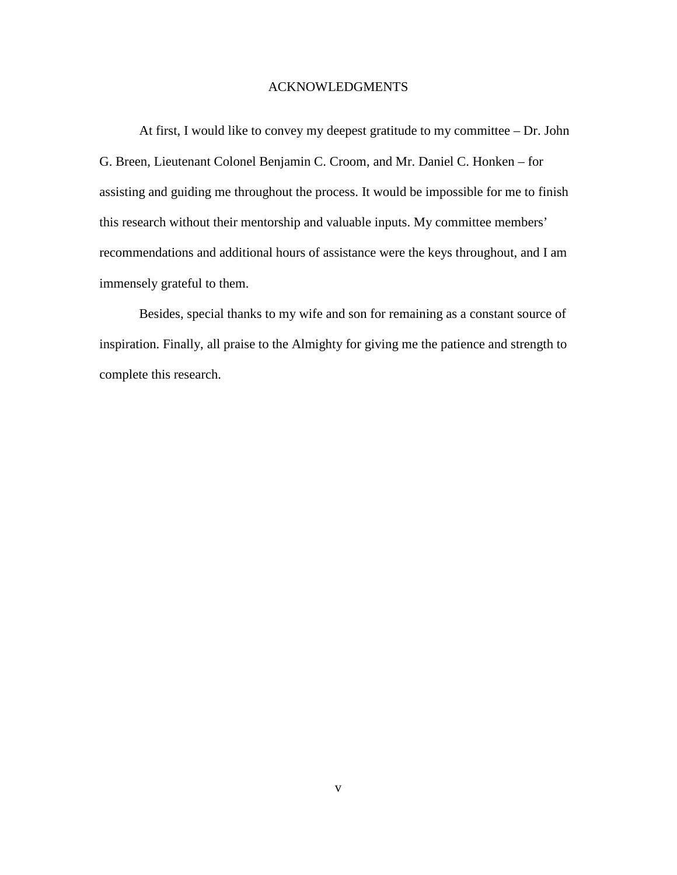### ACKNOWLEDGMENTS

At first, I would like to convey my deepest gratitude to my committee – Dr. John G. Breen, Lieutenant Colonel Benjamin C. Croom, and Mr. Daniel C. Honken – for assisting and guiding me throughout the process. It would be impossible for me to finish this research without their mentorship and valuable inputs. My committee members' recommendations and additional hours of assistance were the keys throughout, and I am immensely grateful to them.

Besides, special thanks to my wife and son for remaining as a constant source of inspiration. Finally, all praise to the Almighty for giving me the patience and strength to complete this research.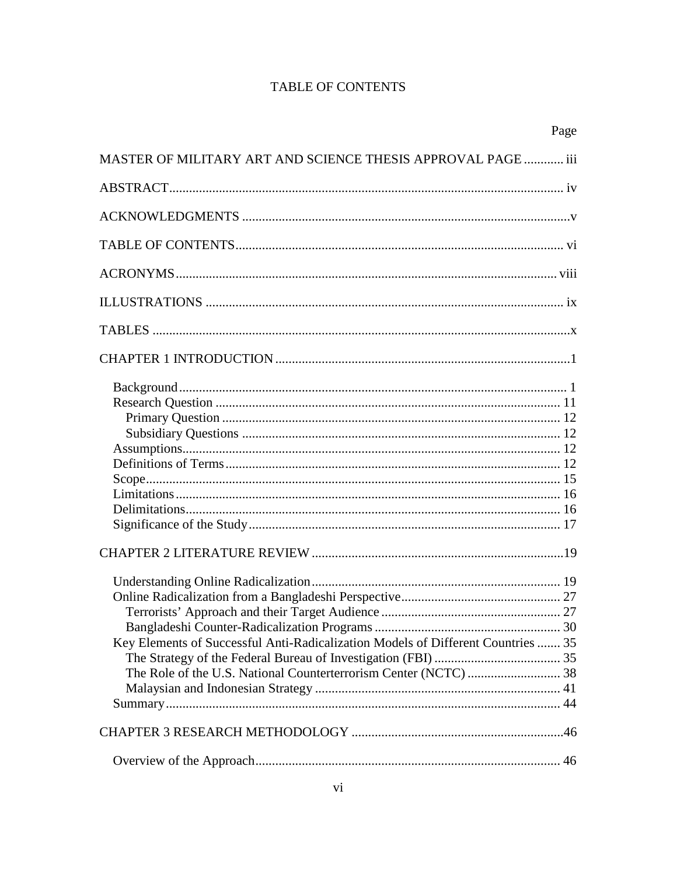## **TABLE OF CONTENTS**

|                                                                                  | Page |
|----------------------------------------------------------------------------------|------|
| MASTER OF MILITARY ART AND SCIENCE THESIS APPROVAL PAGE  iii                     |      |
|                                                                                  |      |
|                                                                                  |      |
|                                                                                  |      |
|                                                                                  |      |
|                                                                                  |      |
|                                                                                  |      |
|                                                                                  |      |
|                                                                                  |      |
| Key Elements of Successful Anti-Radicalization Models of Different Countries  35 |      |
|                                                                                  |      |
|                                                                                  |      |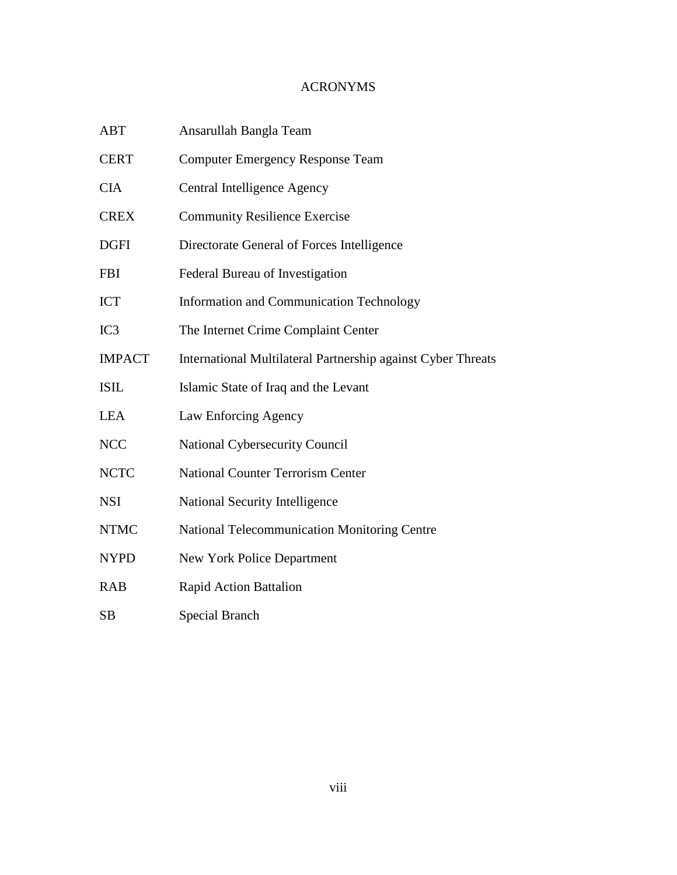## ACRONYMS

| <b>ABT</b>    | Ansarullah Bangla Team                                       |
|---------------|--------------------------------------------------------------|
| <b>CERT</b>   | <b>Computer Emergency Response Team</b>                      |
| <b>CIA</b>    | Central Intelligence Agency                                  |
| <b>CREX</b>   | <b>Community Resilience Exercise</b>                         |
| <b>DGFI</b>   | Directorate General of Forces Intelligence                   |
| <b>FBI</b>    | Federal Bureau of Investigation                              |
| <b>ICT</b>    | <b>Information and Communication Technology</b>              |
| IC3           | The Internet Crime Complaint Center                          |
| <b>IMPACT</b> | International Multilateral Partnership against Cyber Threats |
| <b>ISIL</b>   | Islamic State of Iraq and the Levant                         |
| <b>LEA</b>    | Law Enforcing Agency                                         |
| <b>NCC</b>    | <b>National Cybersecurity Council</b>                        |
| <b>NCTC</b>   | <b>National Counter Terrorism Center</b>                     |
| <b>NSI</b>    | National Security Intelligence                               |
| <b>NTMC</b>   | <b>National Telecommunication Monitoring Centre</b>          |
| <b>NYPD</b>   | <b>New York Police Department</b>                            |
| <b>RAB</b>    | <b>Rapid Action Battalion</b>                                |
| <b>SB</b>     | <b>Special Branch</b>                                        |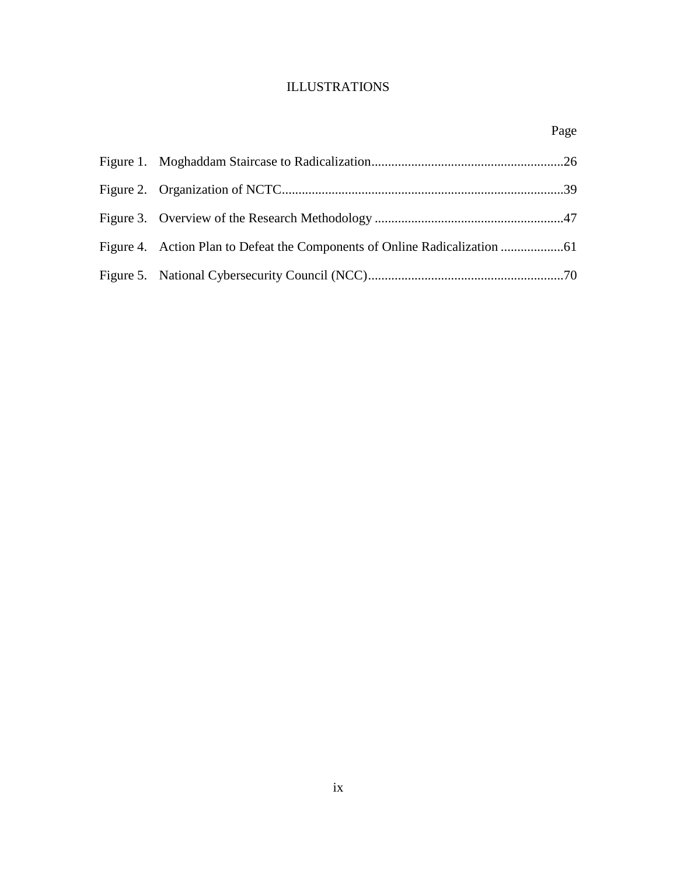# ILLUSTRATIONS

|  | Page |
|--|------|
|  |      |
|  |      |
|  |      |
|  |      |
|  |      |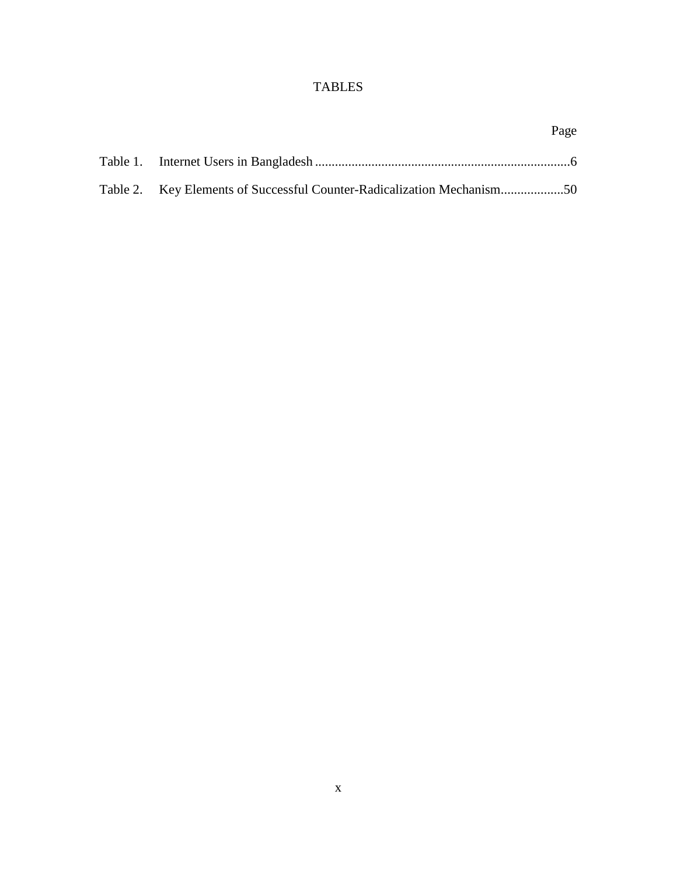# TABLES

|  | Page |
|--|------|
|  |      |
|  |      |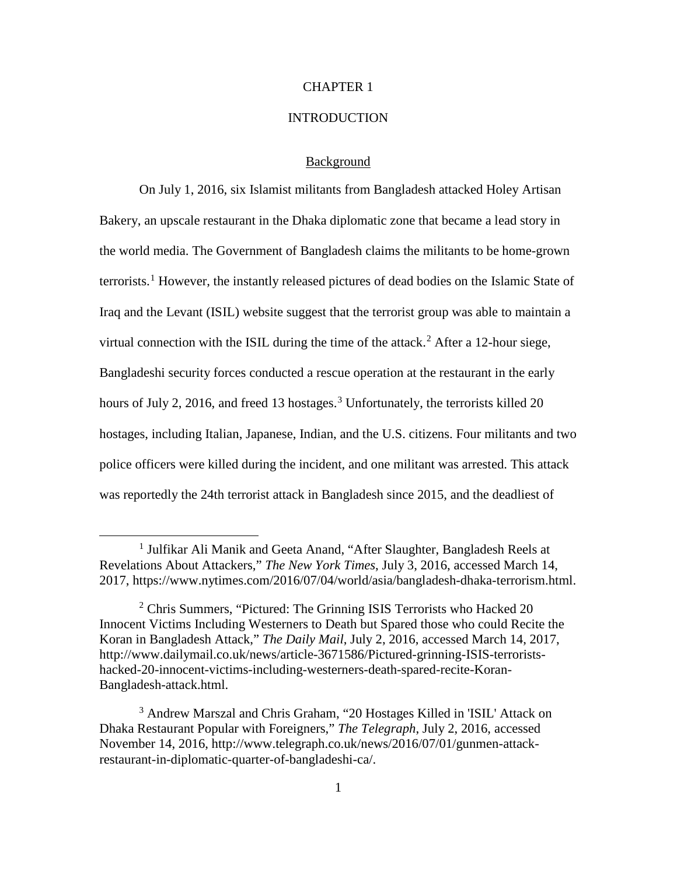#### CHAPTER 1

#### **INTRODUCTION**

#### Background

On July 1, 2016, six Islamist militants from Bangladesh attacked Holey Artisan Bakery, an upscale restaurant in the Dhaka diplomatic zone that became a lead story in the world media. The Government of Bangladesh claims the militants to be home-grown terrorists. [1](#page-10-0) However, the instantly released pictures of dead bodies on the Islamic State of Iraq and the Levant (ISIL) website suggest that the terrorist group was able to maintain a virtual connection with the ISIL during the time of the attack. [2](#page-10-1) After a 12-hour siege, Bangladeshi security forces conducted a rescue operation at the restaurant in the early hours of July 2, 2016, and freed 1[3](#page-10-2) hostages.<sup>3</sup> Unfortunately, the terrorists killed 20 hostages, including Italian, Japanese, Indian, and the U.S. citizens. Four militants and two police officers were killed during the incident, and one militant was arrested. This attack was reportedly the 24th terrorist attack in Bangladesh since 2015, and the deadliest of

<span id="page-10-0"></span><sup>&</sup>lt;sup>1</sup> Julfikar Ali Manik and Geeta Anand, "After Slaughter, Bangladesh Reels at Revelations About Attackers," *The New York Times*, July 3, 2016, accessed March 14, 2017, https://www.nytimes.com/2016/07/04/world/asia/bangladesh-dhaka-terrorism.html.

<span id="page-10-1"></span><sup>&</sup>lt;sup>2</sup> Chris Summers, "Pictured: The Grinning ISIS Terrorists who Hacked 20 Innocent Victims Including Westerners to Death but Spared those who could Recite the Koran in Bangladesh Attack," *The Daily Mail*, July 2, 2016, accessed March 14, 2017, http://www.dailymail.co.uk/news/article-3671586/Pictured-grinning-ISIS-terroristshacked-20-innocent-victims-including-westerners-death-spared-recite-Koran-Bangladesh-attack.html.

<span id="page-10-2"></span><sup>3</sup> Andrew Marszal and Chris Graham, "20 Hostages Killed in 'ISIL' Attack on Dhaka Restaurant Popular with Foreigners," *The Telegraph*, July 2, 2016, accessed November 14, 2016, http://www.telegraph.co.uk/news/2016/07/01/gunmen-attackrestaurant-in-diplomatic-quarter-of-bangladeshi-ca/.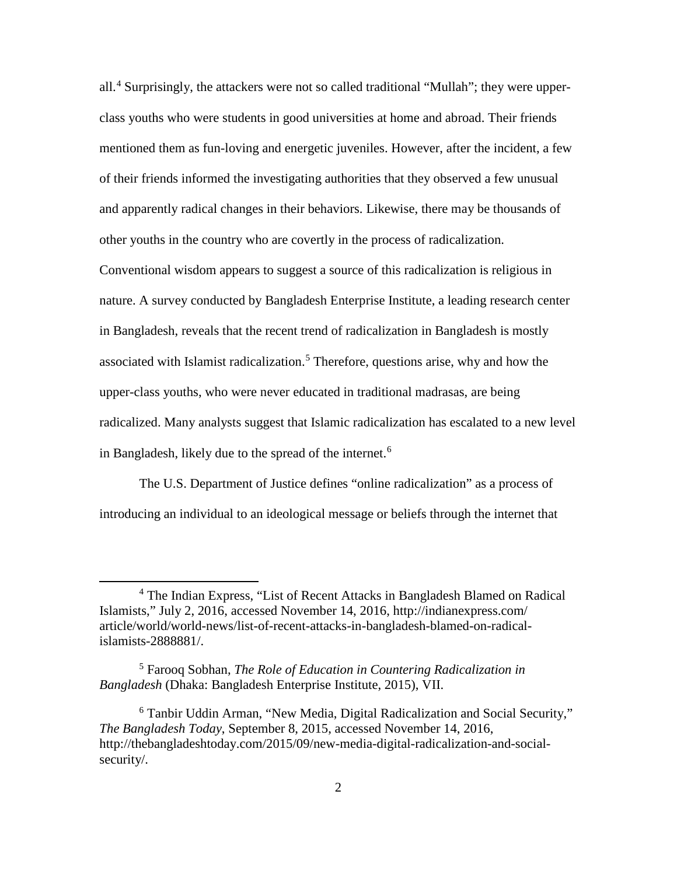all. [4](#page-11-0) Surprisingly, the attackers were not so called traditional "Mullah"; they were upperclass youths who were students in good universities at home and abroad. Their friends mentioned them as fun-loving and energetic juveniles. However, after the incident, a few of their friends informed the investigating authorities that they observed a few unusual and apparently radical changes in their behaviors. Likewise, there may be thousands of other youths in the country who are covertly in the process of radicalization.

Conventional wisdom appears to suggest a source of this radicalization is religious in nature. A survey conducted by Bangladesh Enterprise Institute, a leading research center in Bangladesh, reveals that the recent trend of radicalization in Bangladesh is mostly associated with Islamist radicalization. [5](#page-11-1) Therefore, questions arise, why and how the upper-class youths, who were never educated in traditional madrasas, are being radicalized. Many analysts suggest that Islamic radicalization has escalated to a new level in Bangladesh, likely due to the spread of the internet.<sup>[6](#page-11-2)</sup>

The U.S. Department of Justice defines "online radicalization" as a process of introducing an individual to an ideological message or beliefs through the internet that

<span id="page-11-0"></span> <sup>4</sup> The Indian Express, "List of Recent Attacks in Bangladesh Blamed on Radical Islamists," July 2, 2016, accessed November 14, 2016, http://indianexpress.com/ article/world/world-news/list-of-recent-attacks-in-bangladesh-blamed-on-radicalislamists-2888881/.

<span id="page-11-1"></span><sup>5</sup> Farooq Sobhan, *The Role of Education in Countering Radicalization in Bangladesh* (Dhaka: Bangladesh Enterprise Institute, 2015), VII.

<span id="page-11-2"></span><sup>6</sup> Tanbir Uddin Arman, "New Media, Digital Radicalization and Social Security," *The Bangladesh Today*, September 8, 2015, accessed November 14, 2016, http://thebangladeshtoday.com/2015/09/new-media-digital-radicalization-and-socialsecurity/.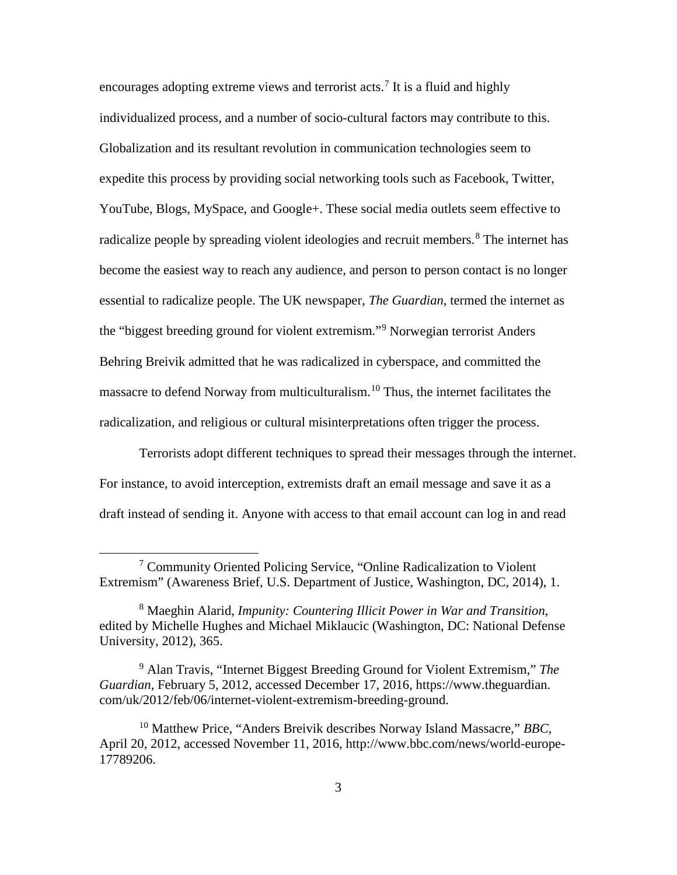encourages adopting extreme views and terrorist acts.<sup>[7](#page-12-0)</sup> It is a fluid and highly individualized process, and a number of socio-cultural factors may contribute to this. Globalization and its resultant revolution in communication technologies seem to expedite this process by providing social networking tools such as Facebook, Twitter, YouTube, Blogs, MySpace, and Google+. These social media outlets seem effective to radicalize people by spreading violent ideologies and recruit members. [8](#page-12-1) The internet has become the easiest way to reach any audience, and person to person contact is no longer essential to radicalize people. The UK newspaper, *The Guardian*, termed the internet as the "biggest breeding ground for violent extremism."[9](#page-12-2) Norwegian terrorist Anders Behring Breivik admitted that he was radicalized in cyberspace, and committed the massacre to defend Norway from multiculturalism.<sup>[10](#page-12-3)</sup> Thus, the internet facilitates the radicalization, and religious or cultural misinterpretations often trigger the process.

Terrorists adopt different techniques to spread their messages through the internet. For instance, to avoid interception, extremists draft an email message and save it as a draft instead of sending it. Anyone with access to that email account can log in and read

<span id="page-12-0"></span> <sup>7</sup> Community Oriented Policing Service, "Online Radicalization to Violent Extremism" (Awareness Brief, U.S. Department of Justice, Washington, DC, 2014), 1.

<span id="page-12-1"></span><sup>8</sup> Maeghin Alarid, *Impunity: Countering Illicit Power in War and Transition*, edited by Michelle Hughes and Michael Miklaucic (Washington, DC: National Defense University, 2012), 365.

<span id="page-12-2"></span><sup>9</sup> Alan Travis, "Internet Biggest Breeding Ground for Violent Extremism," *The Guardian*, February 5, 2012, accessed December 17, 2016, https://www.theguardian. com/uk/2012/feb/06/internet-violent-extremism-breeding-ground.

<span id="page-12-3"></span><sup>10</sup> Matthew Price, "Anders Breivik describes Norway Island Massacre," *BBC*, April 20, 2012, accessed November 11, 2016, http://www.bbc.com/news/world-europe-17789206.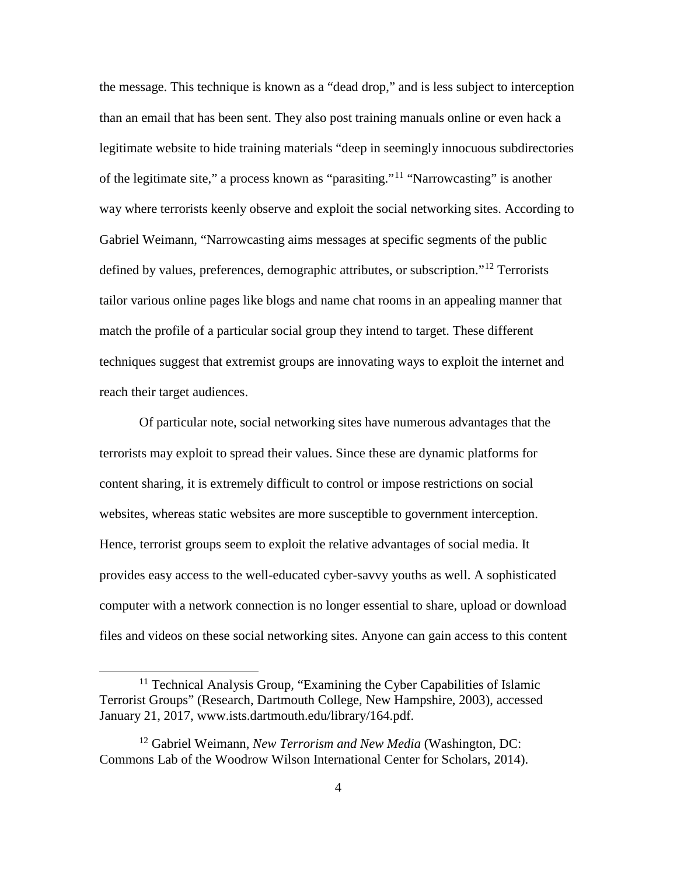the message. This technique is known as a "dead drop," and is less subject to interception than an email that has been sent. They also post training manuals online or even hack a legitimate website to hide training materials "deep in seemingly innocuous subdirectories of the legitimate site," a process known as "parasiting."<sup>[11](#page-13-0)</sup> "Narrowcasting" is another way where terrorists keenly observe and exploit the social networking sites. According to Gabriel Weimann, "Narrowcasting aims messages at specific segments of the public defined by values, preferences, demographic attributes, or subscription."<sup>[12](#page-13-1)</sup> Terrorists tailor various online pages like blogs and name chat rooms in an appealing manner that match the profile of a particular social group they intend to target. These different techniques suggest that extremist groups are innovating ways to exploit the internet and reach their target audiences.

Of particular note, social networking sites have numerous advantages that the terrorists may exploit to spread their values. Since these are dynamic platforms for content sharing, it is extremely difficult to control or impose restrictions on social websites, whereas static websites are more susceptible to government interception. Hence, terrorist groups seem to exploit the relative advantages of social media. It provides easy access to the well-educated cyber-savvy youths as well. A sophisticated computer with a network connection is no longer essential to share, upload or download files and videos on these social networking sites. Anyone can gain access to this content

<span id="page-13-0"></span><sup>&</sup>lt;sup>11</sup> Technical Analysis Group, "Examining the Cyber Capabilities of Islamic Terrorist Groups" (Research, Dartmouth College, New Hampshire, 2003), accessed January 21, 2017, www.ists.dartmouth.edu/library/164.pdf.

<span id="page-13-1"></span><sup>12</sup> Gabriel Weimann, *New Terrorism and New Media* (Washington, DC: Commons Lab of the Woodrow Wilson International Center for Scholars, 2014).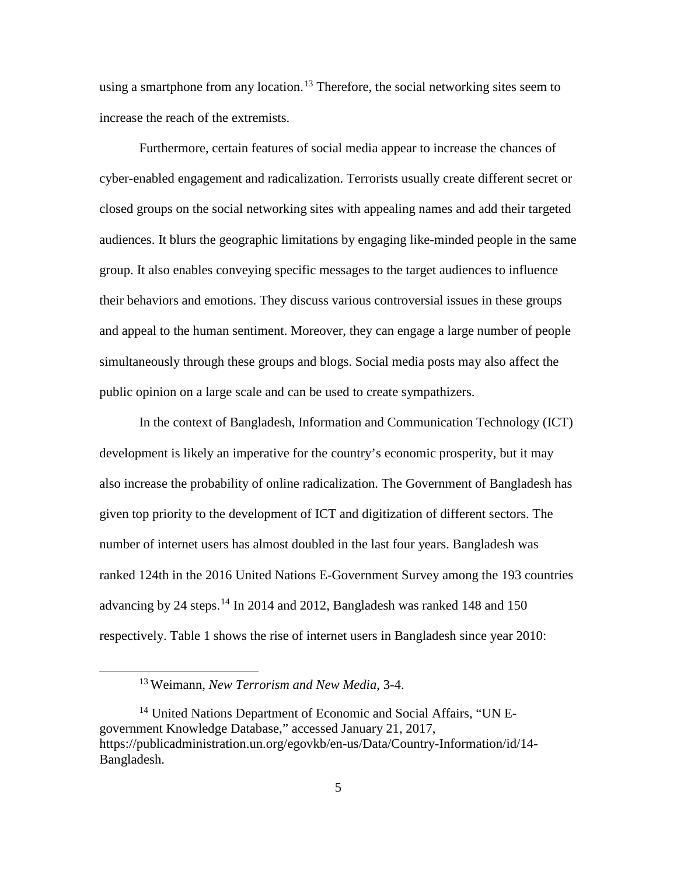using a smartphone from any location.<sup>[13](#page-14-0)</sup> Therefore, the social networking sites seem to increase the reach of the extremists.

Furthermore, certain features of social media appear to increase the chances of cyber-enabled engagement and radicalization. Terrorists usually create different secret or closed groups on the social networking sites with appealing names and add their targeted audiences. It blurs the geographic limitations by engaging like-minded people in the same group. It also enables conveying specific messages to the target audiences to influence their behaviors and emotions. They discuss various controversial issues in these groups and appeal to the human sentiment. Moreover, they can engage a large number of people simultaneously through these groups and blogs. Social media posts may also affect the public opinion on a large scale and can be used to create sympathizers.

In the context of Bangladesh, Information and Communication Technology (ICT) development is likely an imperative for the country's economic prosperity, but it may also increase the probability of online radicalization. The Government of Bangladesh has given top priority to the development of ICT and digitization of different sectors. The number of internet users has almost doubled in the last four years. Bangladesh was ranked 124th in the 2016 United Nations E-Government Survey among the 193 countries advancing by 24 steps.<sup>[14](#page-14-1)</sup> In 2014 and 2012, Bangladesh was ranked 148 and 150 respectively. Table 1 shows the rise of internet users in Bangladesh since year 2010:

 <sup>13</sup> Weimann, *New Terrorism and New Media*, 3-4.

<span id="page-14-1"></span><span id="page-14-0"></span><sup>&</sup>lt;sup>14</sup> United Nations Department of Economic and Social Affairs, "UN Egovernment Knowledge Database," accessed January 21, 2017, https://publicadministration.un.org/egovkb/en-us/Data/Country-Information/id/14- Bangladesh.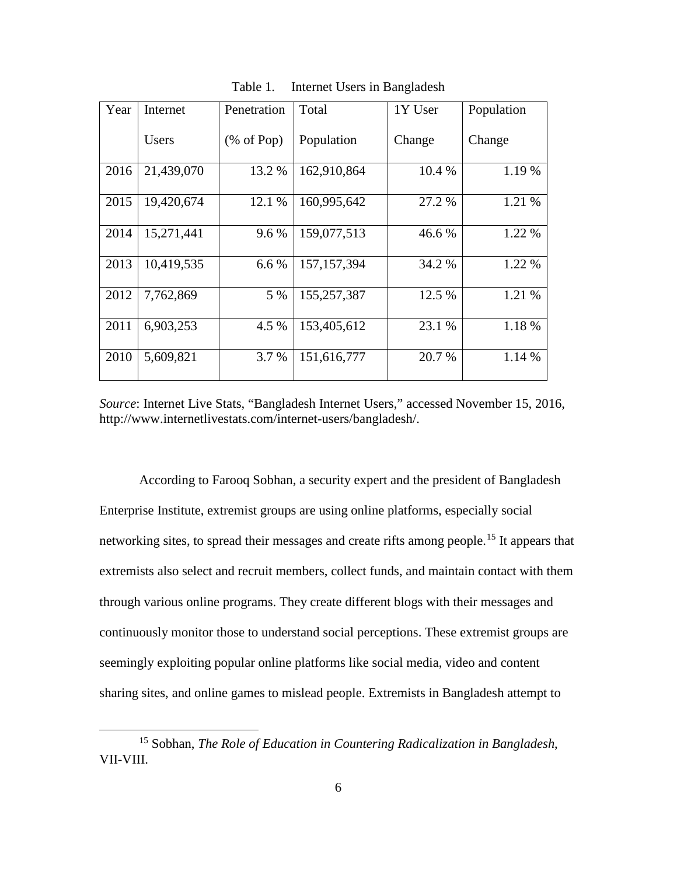| Year | Penetration<br>Internet |                       | Total         | 1Y User | Population |
|------|-------------------------|-----------------------|---------------|---------|------------|
|      | Users                   | $(\% \text{ of Pop})$ | Population    | Change  | Change     |
| 2016 | 21,439,070              | 13.2 %                | 162,910,864   | 10.4 %  | 1.19 %     |
| 2015 | 19,420,674              | 12.1 %                | 160,995,642   | 27.2 %  | 1.21 %     |
| 2014 | 15,271,441              | 9.6 %                 | 159,077,513   | 46.6 %  | 1.22 %     |
| 2013 | 10,419,535              | 6.6 %                 | 157, 157, 394 | 34.2 %  | 1.22 %     |
| 2012 | 7,762,869               | 5 %                   | 155,257,387   | 12.5 %  | 1.21 %     |
| 2011 | 6,903,253               | 4.5 %                 | 153,405,612   | 23.1 %  | 1.18 %     |
| 2010 | 5,609,821               | 3.7 %                 | 151,616,777   | 20.7 %  | 1.14 %     |

Table 1. Internet Users in Bangladesh

*Source*: Internet Live Stats, "Bangladesh Internet Users," accessed November 15, 2016, http://www.internetlivestats.com/internet-users/bangladesh/.

According to Farooq Sobhan, a security expert and the president of Bangladesh Enterprise Institute, extremist groups are using online platforms, especially social networking sites, to spread their messages and create rifts among people. [15](#page-15-0) It appears that extremists also select and recruit members, collect funds, and maintain contact with them through various online programs. They create different blogs with their messages and continuously monitor those to understand social perceptions. These extremist groups are seemingly exploiting popular online platforms like social media, video and content sharing sites, and online games to mislead people. Extremists in Bangladesh attempt to

<span id="page-15-0"></span> <sup>15</sup> Sobhan, *The Role of Education in Countering Radicalization in Bangladesh*, VII-VIII.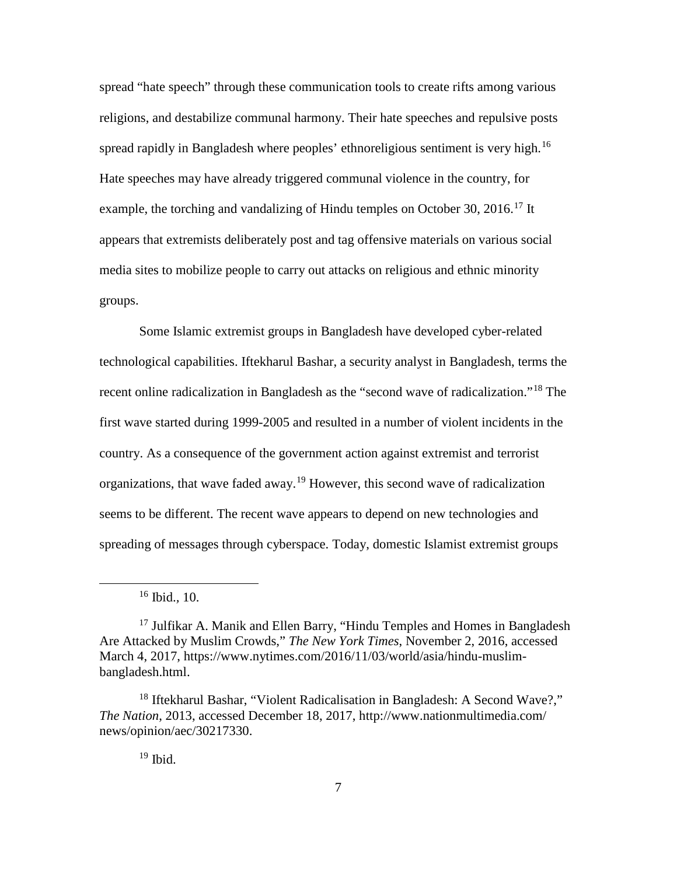spread "hate speech" through these communication tools to create rifts among various religions, and destabilize communal harmony. Their hate speeches and repulsive posts spread rapidly in Bangladesh where peoples' ethnoreligious sentiment is very high.<sup>[16](#page-16-0)</sup> Hate speeches may have already triggered communal violence in the country, for example, the torching and vandalizing of Hindu temples on October 30, 2016.<sup>[17](#page-16-1)</sup> It appears that extremists deliberately post and tag offensive materials on various social media sites to mobilize people to carry out attacks on religious and ethnic minority groups.

Some Islamic extremist groups in Bangladesh have developed cyber-related technological capabilities. Iftekharul Bashar, a security analyst in Bangladesh, terms the recent online radicalization in Bangladesh as the "second wave of radicalization."<sup>[18](#page-16-2)</sup> The first wave started during 1999-2005 and resulted in a number of violent incidents in the country. As a consequence of the government action against extremist and terrorist organizations, that wave faded away.<sup>[19](#page-16-3)</sup> However, this second wave of radicalization seems to be different. The recent wave appears to depend on new technologies and spreading of messages through cyberspace. Today, domestic Islamist extremist groups

 $19$  Ibid.

 <sup>16</sup> Ibid.*,* 10.

<span id="page-16-1"></span><span id="page-16-0"></span> $17$  Julfikar A. Manik and Ellen Barry, "Hindu Temples and Homes in Bangladesh Are Attacked by Muslim Crowds," *The New York Times*, November 2, 2016, accessed March 4, 2017, https://www.nytimes.com/2016/11/03/world/asia/hindu-muslimbangladesh.html.

<span id="page-16-3"></span><span id="page-16-2"></span><sup>&</sup>lt;sup>18</sup> Iftekharul Bashar, "Violent Radicalisation in Bangladesh: A Second Wave?," *The Nation*, 2013, accessed December 18, 2017, http://www.nationmultimedia.com/ news/opinion/aec/30217330.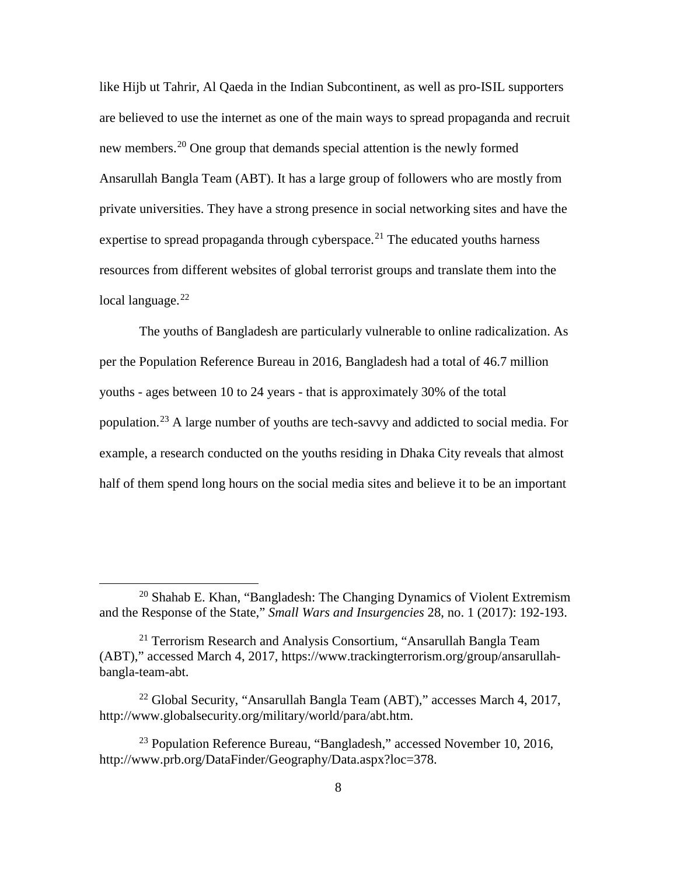like Hijb ut Tahrir, Al Qaeda in the Indian Subcontinent, as well as pro-ISIL supporters are believed to use the internet as one of the main ways to spread propaganda and recruit new members.<sup>[20](#page-17-0)</sup> One group that demands special attention is the newly formed Ansarullah Bangla Team (ABT). It has a large group of followers who are mostly from private universities. They have a strong presence in social networking sites and have the expertise to spread propaganda through cyberspace.<sup>[21](#page-17-1)</sup> The educated youths harness resources from different websites of global terrorist groups and translate them into the local language.<sup>[22](#page-17-2)</sup>

The youths of Bangladesh are particularly vulnerable to online radicalization. As per the Population Reference Bureau in 2016, Bangladesh had a total of 46.7 million youths - ages between 10 to 24 years - that is approximately 30% of the total population.<sup>[23](#page-17-3)</sup> A large number of youths are tech-savvy and addicted to social media. For example, a research conducted on the youths residing in Dhaka City reveals that almost half of them spend long hours on the social media sites and believe it to be an important

<span id="page-17-0"></span> $20$  Shahab E. Khan, "Bangladesh: The Changing Dynamics of Violent Extremism and the Response of the State," *Small Wars and Insurgencies* 28, no. 1 (2017): 192-193.

<span id="page-17-1"></span><sup>&</sup>lt;sup>21</sup> Terrorism Research and Analysis Consortium, "Ansarullah Bangla Team (ABT)," accessed March 4, 2017, https://www.trackingterrorism.org/group/ansarullahbangla-team-abt.

<span id="page-17-2"></span><sup>&</sup>lt;sup>22</sup> Global Security, "Ansarullah Bangla Team (ABT)," accesses March 4, 2017, http://www.globalsecurity.org/military/world/para/abt.htm.

<span id="page-17-3"></span><sup>&</sup>lt;sup>23</sup> Population Reference Bureau, "Bangladesh," accessed November 10, 2016, http://www.prb.org/DataFinder/Geography/Data.aspx?loc=378.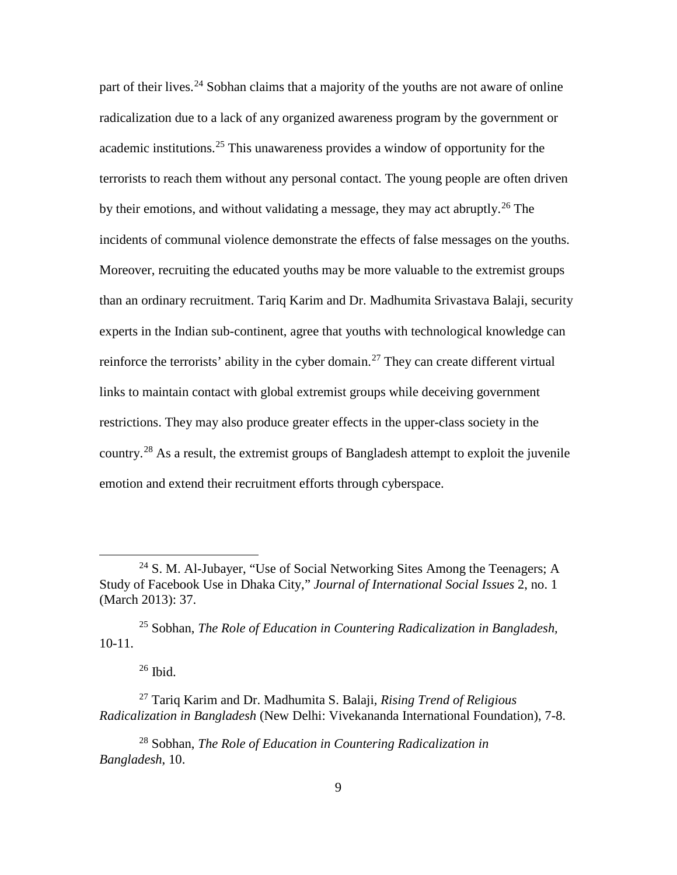part of their lives.<sup>[24](#page-18-0)</sup> Sobhan claims that a majority of the youths are not aware of online radicalization due to a lack of any organized awareness program by the government or academic institutions. [25](#page-18-1) This unawareness provides a window of opportunity for the terrorists to reach them without any personal contact. The young people are often driven by their emotions, and without validating a message, they may act abruptly. [26](#page-18-2) The incidents of communal violence demonstrate the effects of false messages on the youths. Moreover, recruiting the educated youths may be more valuable to the extremist groups than an ordinary recruitment. Tariq Karim and Dr. Madhumita Srivastava Balaji, security experts in the Indian sub-continent, agree that youths with technological knowledge can reinforce the terrorists' ability in the cyber domain.<sup>[27](#page-18-3)</sup> They can create different virtual links to maintain contact with global extremist groups while deceiving government restrictions. They may also produce greater effects in the upper-class society in the country.<sup>[28](#page-18-4)</sup> As a result, the extremist groups of Bangladesh attempt to exploit the juvenile emotion and extend their recruitment efforts through cyberspace.

 $26$  Ibid.

<span id="page-18-0"></span><sup>&</sup>lt;sup>24</sup> S. M. Al-Jubayer, "Use of Social Networking Sites Among the Teenagers; A Study of Facebook Use in Dhaka City," *Journal of International Social Issues* 2, no. 1 (March 2013): 37.

<span id="page-18-1"></span><sup>25</sup> Sobhan, *The Role of Education in Countering Radicalization in Bangladesh,* 10-11.

<span id="page-18-3"></span><span id="page-18-2"></span><sup>27</sup> Tariq Karim and Dr. Madhumita S. Balaji*, Rising Trend of Religious Radicalization in Bangladesh* (New Delhi: Vivekananda International Foundation), 7-8.

<span id="page-18-4"></span><sup>28</sup> Sobhan, *The Role of Education in Countering Radicalization in Bangladesh*, 10.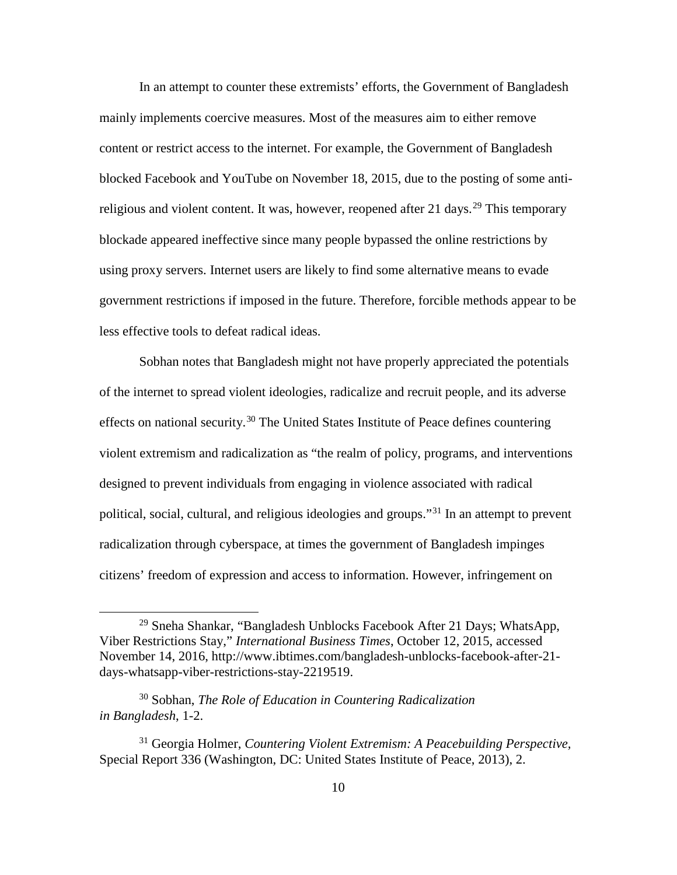In an attempt to counter these extremists' efforts, the Government of Bangladesh mainly implements coercive measures. Most of the measures aim to either remove content or restrict access to the internet. For example, the Government of Bangladesh blocked Facebook and YouTube on November 18, 2015, due to the posting of some anti-religious and violent content. It was, however, reopened after 21 days.<sup>[29](#page-19-0)</sup> This temporary blockade appeared ineffective since many people bypassed the online restrictions by using proxy servers. Internet users are likely to find some alternative means to evade government restrictions if imposed in the future. Therefore, forcible methods appear to be less effective tools to defeat radical ideas.

Sobhan notes that Bangladesh might not have properly appreciated the potentials of the internet to spread violent ideologies, radicalize and recruit people, and its adverse effects on national security.<sup>[30](#page-19-1)</sup> The United States Institute of Peace defines countering violent extremism and radicalization as "the realm of policy, programs, and interventions designed to prevent individuals from engaging in violence associated with radical political, social, cultural, and religious ideologies and groups."[31](#page-19-2) In an attempt to prevent radicalization through cyberspace, at times the government of Bangladesh impinges citizens' freedom of expression and access to information. However, infringement on

<span id="page-19-0"></span> $^{29}$  Sneha Shankar, "Bangladesh Unblocks Facebook After 21 Days; WhatsApp, Viber Restrictions Stay," *International Business Times*, October 12, 2015, accessed November 14, 2016, http://www.ibtimes.com/bangladesh-unblocks-facebook-after-21 days-whatsapp-viber-restrictions-stay-2219519.

<span id="page-19-1"></span><sup>30</sup> Sobhan, *The Role of Education in Countering Radicalization in Bangladesh*, 1-2.

<span id="page-19-2"></span><sup>31</sup> Georgia Holmer, *Countering Violent Extremism: A Peacebuilding Perspective,* Special Report 336 (Washington, DC: United States Institute of Peace, 2013), 2.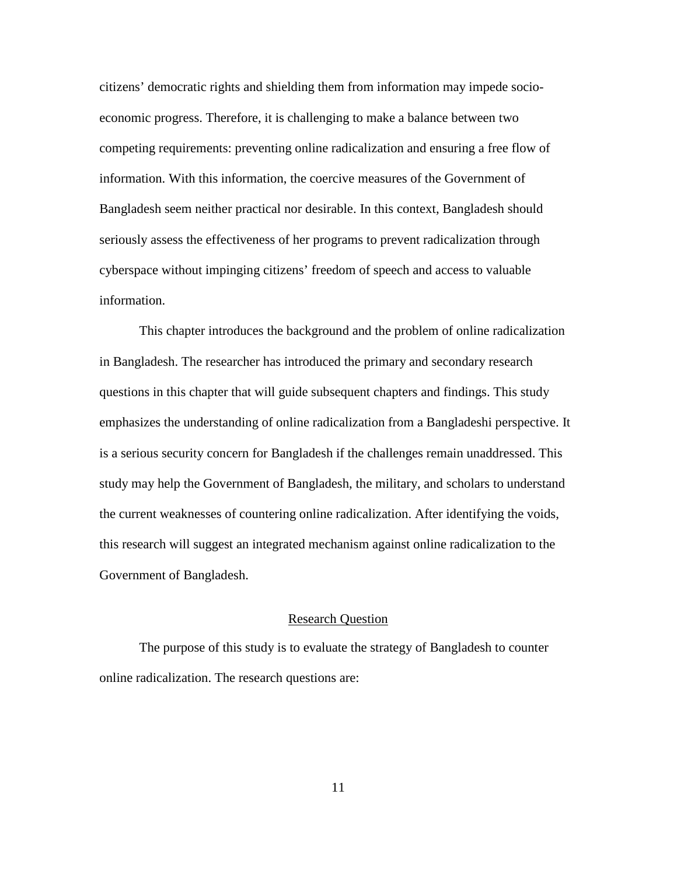citizens' democratic rights and shielding them from information may impede socioeconomic progress. Therefore, it is challenging to make a balance between two competing requirements: preventing online radicalization and ensuring a free flow of information. With this information, the coercive measures of the Government of Bangladesh seem neither practical nor desirable. In this context, Bangladesh should seriously assess the effectiveness of her programs to prevent radicalization through cyberspace without impinging citizens' freedom of speech and access to valuable information.

This chapter introduces the background and the problem of online radicalization in Bangladesh. The researcher has introduced the primary and secondary research questions in this chapter that will guide subsequent chapters and findings. This study emphasizes the understanding of online radicalization from a Bangladeshi perspective. It is a serious security concern for Bangladesh if the challenges remain unaddressed. This study may help the Government of Bangladesh, the military, and scholars to understand the current weaknesses of countering online radicalization. After identifying the voids, this research will suggest an integrated mechanism against online radicalization to the Government of Bangladesh.

#### Research Question

The purpose of this study is to evaluate the strategy of Bangladesh to counter online radicalization. The research questions are: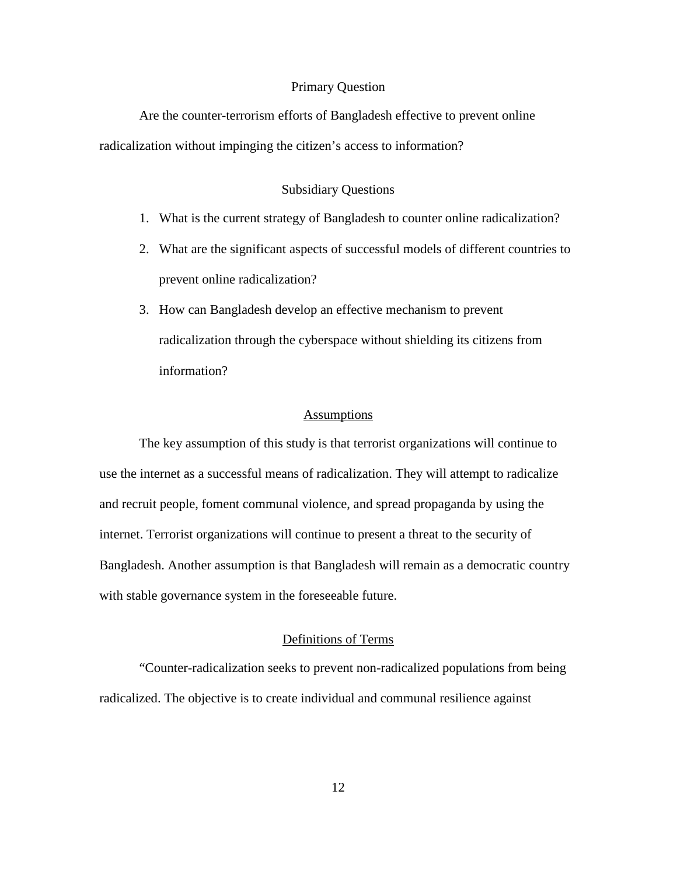#### Primary Question

Are the counter-terrorism efforts of Bangladesh effective to prevent online radicalization without impinging the citizen's access to information?

#### Subsidiary Questions

- 1. What is the current strategy of Bangladesh to counter online radicalization?
- 2. What are the significant aspects of successful models of different countries to prevent online radicalization?
- 3. How can Bangladesh develop an effective mechanism to prevent radicalization through the cyberspace without shielding its citizens from information?

### Assumptions

The key assumption of this study is that terrorist organizations will continue to use the internet as a successful means of radicalization. They will attempt to radicalize and recruit people, foment communal violence, and spread propaganda by using the internet. Terrorist organizations will continue to present a threat to the security of Bangladesh. Another assumption is that Bangladesh will remain as a democratic country with stable governance system in the foreseeable future.

### Definitions of Terms

"Counter-radicalization seeks to prevent non-radicalized populations from being radicalized. The objective is to create individual and communal resilience against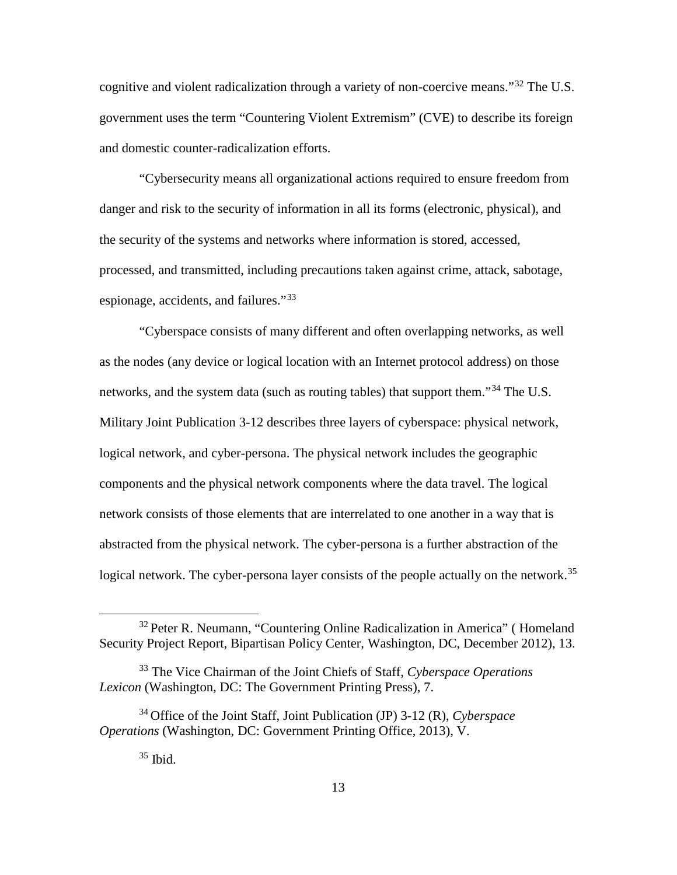cognitive and violent radicalization through a variety of non-coercive means."[32](#page-22-0) The U.S. government uses the term "Countering Violent Extremism" (CVE) to describe its foreign and domestic counter-radicalization efforts.

"Cybersecurity means all organizational actions required to ensure freedom from danger and risk to the security of information in all its forms (electronic, physical), and the security of the systems and networks where information is stored, accessed, processed, and transmitted, including precautions taken against crime, attack, sabotage, espionage, accidents, and failures."[33](#page-22-1)

"Cyberspace consists of many different and often overlapping networks, as well as the nodes (any device or logical location with an Internet protocol address) on those networks, and the system data (such as routing tables) that support them."[34](#page-22-2) The U.S. Military Joint Publication 3-12 describes three layers of cyberspace: physical network, logical network, and cyber-persona. The physical network includes the geographic components and the physical network components where the data travel. The logical network consists of those elements that are interrelated to one another in a way that is abstracted from the physical network. The cyber-persona is a further abstraction of the logical network. The cyber-persona layer consists of the people actually on the network.<sup>[35](#page-22-3)</sup>

<span id="page-22-0"></span><sup>&</sup>lt;sup>32</sup> Peter R. Neumann, "Countering Online Radicalization in America" (Homeland Security Project Report, Bipartisan Policy Center, Washington, DC, December 2012), 13.

<span id="page-22-1"></span><sup>33</sup> The Vice Chairman of the Joint Chiefs of Staff, *Cyberspace Operations Lexicon* (Washington, DC: The Government Printing Press), 7.

<span id="page-22-3"></span><span id="page-22-2"></span><sup>34</sup> Office of the Joint Staff, Joint Publication (JP) 3-12 (R), *Cyberspace Operations* (Washington, DC: Government Printing Office, 2013), V.

 $35$  Ibid.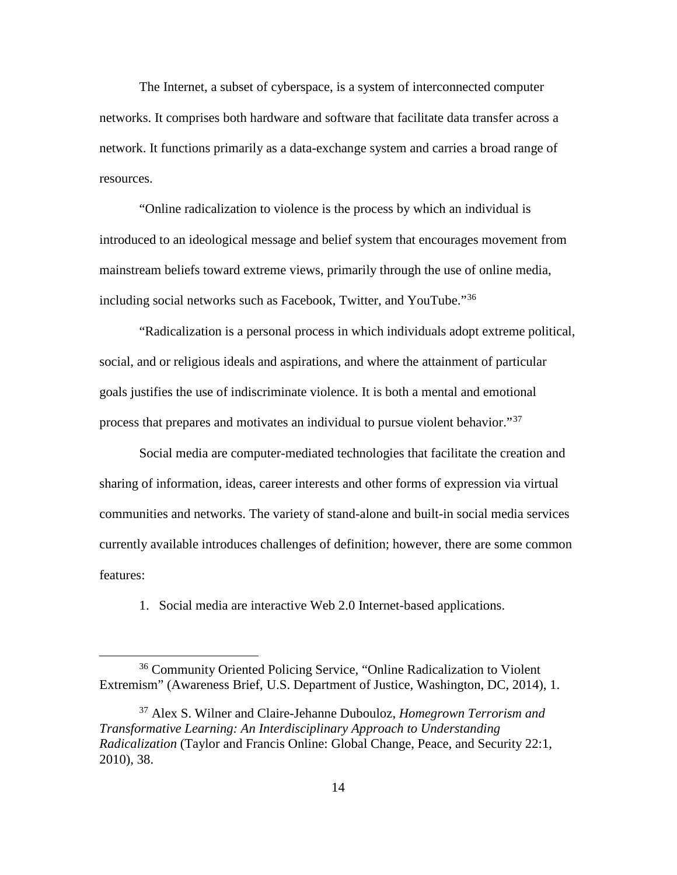The Internet, a subset of cyberspace, is a system of interconnected computer networks. It comprises both hardware and software that facilitate data transfer across a network. It functions primarily as a data-exchange system and carries a broad range of resources.

"Online radicalization to violence is the process by which an individual is introduced to an ideological message and belief system that encourages movement from mainstream beliefs toward extreme views, primarily through the use of online media, including social networks such as Facebook, Twitter, and YouTube."<sup>[36](#page-23-0)</sup>

"Radicalization is a personal process in which individuals adopt extreme political, social, and or religious ideals and aspirations, and where the attainment of particular goals justifies the use of indiscriminate violence. It is both a mental and emotional process that prepares and motivates an individual to pursue violent behavior."[37](#page-23-1)

Social media are computer-mediated technologies that facilitate the creation and sharing of information, ideas, career interests and other forms of expression via virtual communities and networks. The variety of stand-alone and built-in social media services currently available introduces challenges of definition; however, there are some common features:

1. Social media are interactive Web 2.0 Internet-based applications.

<span id="page-23-0"></span> <sup>36</sup> Community Oriented Policing Service, "Online Radicalization to Violent Extremism" (Awareness Brief, U.S. Department of Justice, Washington, DC, 2014), 1.

<span id="page-23-1"></span><sup>37</sup> Alex S. Wilner and Claire-Jehanne Dubouloz, *Homegrown Terrorism and Transformative Learning: An Interdisciplinary Approach to Understanding Radicalization* (Taylor and Francis Online: Global Change, Peace, and Security 22:1, 2010), 38.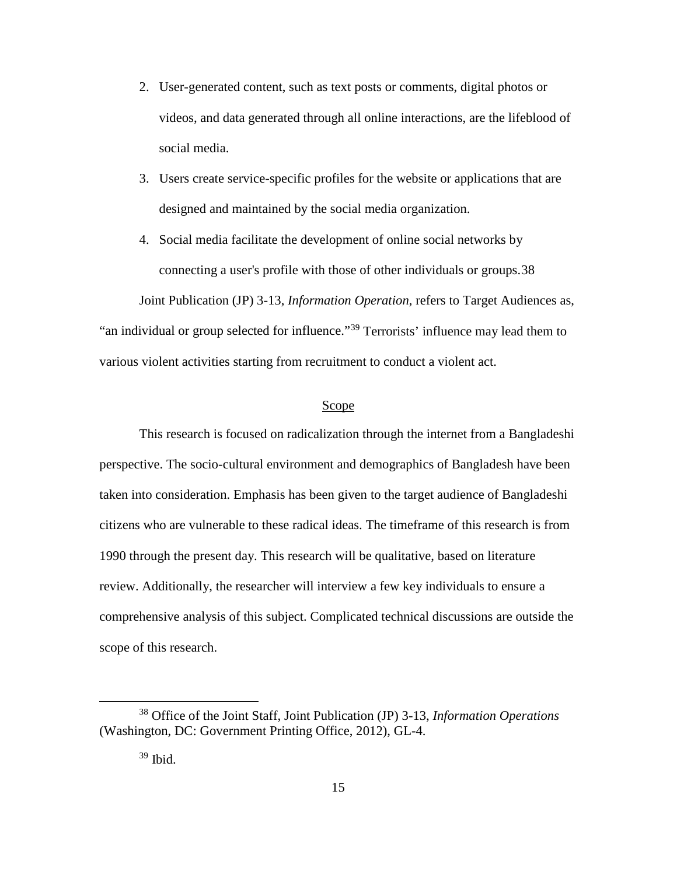- 2. User-generated content, such as text posts or comments, digital photos or videos, and data generated through all online interactions, are the lifeblood of social media.
- 3. Users create service-specific profiles for the website or applications that are designed and maintained by the social media organization.
- 4. Social media facilitate the development of online social networks by connecting a user's profile with those of other individuals or groups.[38](#page-24-0)

Joint Publication (JP) 3-13, *Information Operation*, refers to Target Audiences as, "an individual or group selected for influence."<sup>[39](#page-24-1)</sup> Terrorists' influence may lead them to various violent activities starting from recruitment to conduct a violent act.

#### Scope

This research is focused on radicalization through the internet from a Bangladeshi perspective. The socio-cultural environment and demographics of Bangladesh have been taken into consideration. Emphasis has been given to the target audience of Bangladeshi citizens who are vulnerable to these radical ideas. The timeframe of this research is from 1990 through the present day. This research will be qualitative, based on literature review. Additionally, the researcher will interview a few key individuals to ensure a comprehensive analysis of this subject. Complicated technical discussions are outside the scope of this research.

<span id="page-24-1"></span><span id="page-24-0"></span> <sup>38</sup> Office of the Joint Staff, Joint Publication (JP) 3-13, *Information Operations*  (Washington, DC: Government Printing Office, 2012), GL-4.

 $39$  Ibid.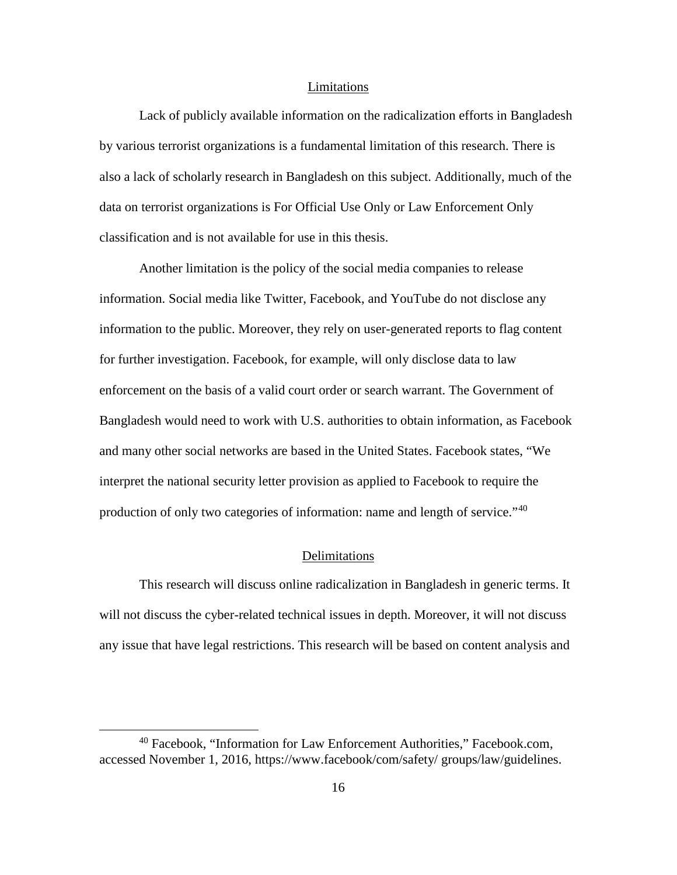#### Limitations

Lack of publicly available information on the radicalization efforts in Bangladesh by various terrorist organizations is a fundamental limitation of this research. There is also a lack of scholarly research in Bangladesh on this subject. Additionally, much of the data on terrorist organizations is For Official Use Only or Law Enforcement Only classification and is not available for use in this thesis.

Another limitation is the policy of the social media companies to release information. Social media like Twitter, Facebook, and YouTube do not disclose any information to the public. Moreover, they rely on user-generated reports to flag content for further investigation. Facebook, for example, will only disclose data to law enforcement on the basis of a valid court order or search warrant. The Government of Bangladesh would need to work with U.S. authorities to obtain information, as Facebook and many other social networks are based in the United States. Facebook states, "We interpret the national security letter provision as applied to Facebook to require the production of only two categories of information: name and length of service."<sup>[40](#page-25-0)</sup>

#### Delimitations

This research will discuss online radicalization in Bangladesh in generic terms. It will not discuss the cyber-related technical issues in depth. Moreover, it will not discuss any issue that have legal restrictions. This research will be based on content analysis and

<span id="page-25-0"></span> <sup>40</sup> Facebook, "Information for Law Enforcement Authorities," Facebook.com, accessed November 1, 2016, https://www.facebook/com/safety/ groups/law/guidelines.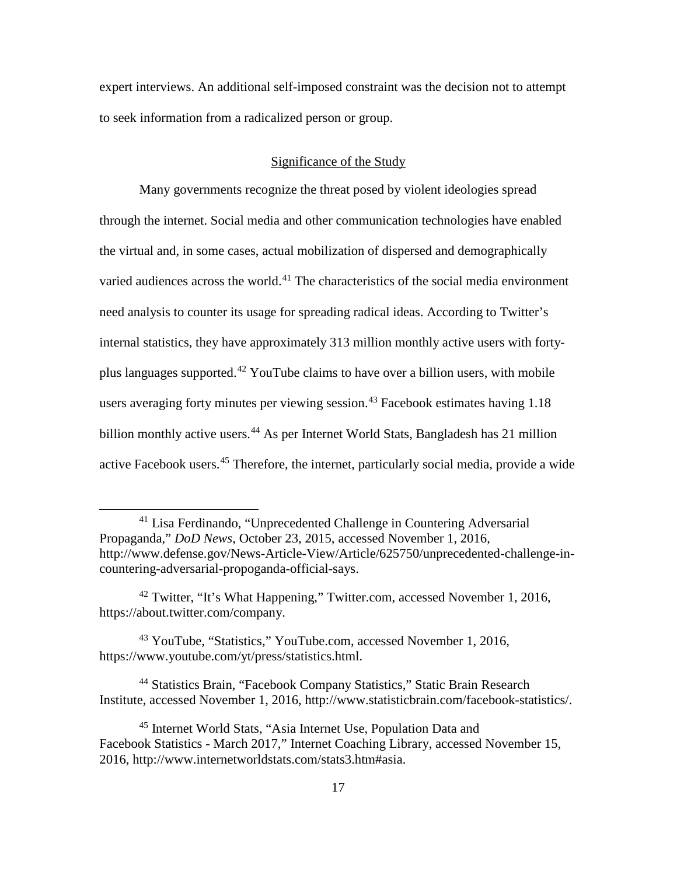expert interviews. An additional self-imposed constraint was the decision not to attempt to seek information from a radicalized person or group.

#### Significance of the Study

Many governments recognize the threat posed by violent ideologies spread through the internet. Social media and other communication technologies have enabled the virtual and, in some cases, actual mobilization of dispersed and demographically varied audiences across the world.<sup>[41](#page-26-0)</sup> The characteristics of the social media environment need analysis to counter its usage for spreading radical ideas. According to Twitter's internal statistics, they have approximately 313 million monthly active users with forty-plus languages supported.<sup>[42](#page-26-1)</sup> YouTube claims to have over a billion users, with mobile users averaging forty minutes per viewing session.<sup>[43](#page-26-2)</sup> Facebook estimates having 1.18 billion monthly active users.<sup>[44](#page-26-3)</sup> As per Internet World Stats, Bangladesh has 21 million active Facebook users. [45](#page-26-4) Therefore, the internet, particularly social media, provide a wide

<span id="page-26-0"></span> <sup>41</sup> Lisa Ferdinando, "Unprecedented Challenge in Countering Adversarial Propaganda," *DoD News*, October 23, 2015, accessed November 1, 2016, http://www.defense.gov/News-Article-View/Article/625750/unprecedented-challenge-incountering-adversarial-propoganda-official-says.

<span id="page-26-1"></span> $42$  Twitter, "It's What Happening," Twitter.com, accessed November 1, 2016, https://about.twitter.com/company.

<span id="page-26-2"></span><sup>43</sup> YouTube, "Statistics," YouTube.com, accessed November 1, 2016, https://www.youtube.com/yt/press/statistics.html.

<span id="page-26-3"></span><sup>44</sup> Statistics Brain, "Facebook Company Statistics," Static Brain Research Institute, accessed November 1, 2016, http://www.statisticbrain.com/facebook-statistics/.

<span id="page-26-4"></span><sup>45</sup> Internet World Stats, "Asia Internet Use, Population Data and Facebook Statistics - March 2017," Internet Coaching Library, accessed November 15, 2016, http://www.internetworldstats.com/stats3.htm#asia.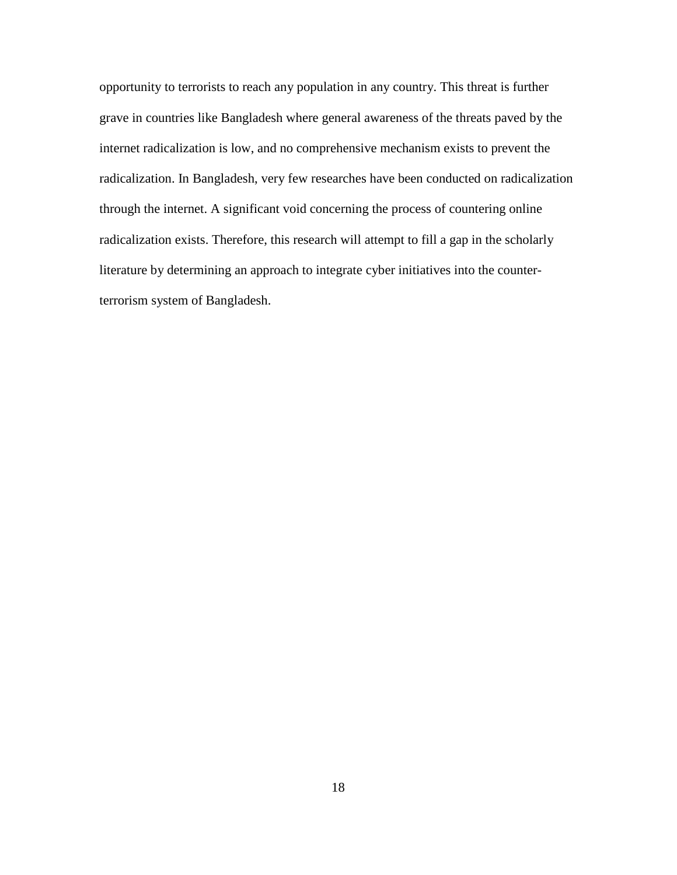opportunity to terrorists to reach any population in any country. This threat is further grave in countries like Bangladesh where general awareness of the threats paved by the internet radicalization is low, and no comprehensive mechanism exists to prevent the radicalization. In Bangladesh, very few researches have been conducted on radicalization through the internet. A significant void concerning the process of countering online radicalization exists. Therefore, this research will attempt to fill a gap in the scholarly literature by determining an approach to integrate cyber initiatives into the counterterrorism system of Bangladesh.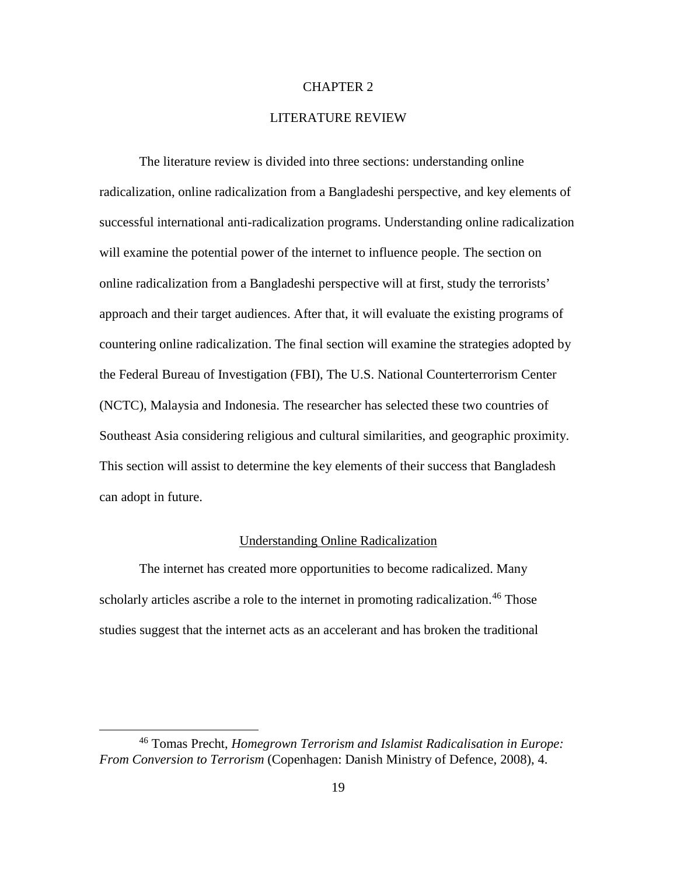#### CHAPTER 2

#### LITERATURE REVIEW

The literature review is divided into three sections: understanding online radicalization, online radicalization from a Bangladeshi perspective, and key elements of successful international anti-radicalization programs. Understanding online radicalization will examine the potential power of the internet to influence people. The section on online radicalization from a Bangladeshi perspective will at first, study the terrorists' approach and their target audiences. After that, it will evaluate the existing programs of countering online radicalization. The final section will examine the strategies adopted by the Federal Bureau of Investigation (FBI), The U.S. National Counterterrorism Center (NCTC), Malaysia and Indonesia. The researcher has selected these two countries of Southeast Asia considering religious and cultural similarities, and geographic proximity. This section will assist to determine the key elements of their success that Bangladesh can adopt in future.

#### Understanding Online Radicalization

The internet has created more opportunities to become radicalized. Many scholarly articles ascribe a role to the internet in promoting radicalization.<sup>[46](#page-28-0)</sup> Those studies suggest that the internet acts as an accelerant and has broken the traditional

<span id="page-28-0"></span> <sup>46</sup> Tomas Precht, *Homegrown Terrorism and Islamist Radicalisation in Europe: From Conversion to Terrorism* (Copenhagen: Danish Ministry of Defence, 2008), 4.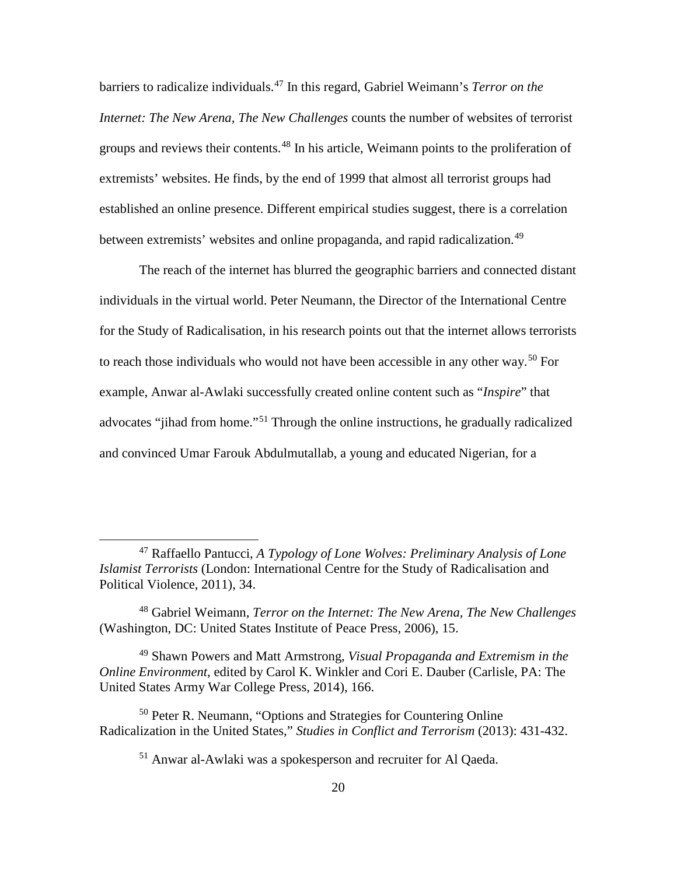barriers to radicalize individuals. [47](#page-29-0) In this regard, Gabriel Weimann's *Terror on the Internet: The New Arena, The New Challenges* counts the number of websites of terrorist groups and reviews their contents. [48](#page-29-1) In his article, Weimann points to the proliferation of extremists' websites. He finds, by the end of 1999 that almost all terrorist groups had established an online presence. Different empirical studies suggest, there is a correlation between extremists' websites and online propaganda, and rapid radicalization.<sup>[49](#page-29-2)</sup>

The reach of the internet has blurred the geographic barriers and connected distant individuals in the virtual world. Peter Neumann, the Director of the International Centre for the Study of Radicalisation, in his research points out that the internet allows terrorists to reach those individuals who would not have been accessible in any other way. [50](#page-29-3) For example, Anwar al-Awlaki successfully created online content such as "*Inspire*" that advocates "jihad from home."[51](#page-29-4) Through the online instructions, he gradually radicalized and convinced Umar Farouk Abdulmutallab, a young and educated Nigerian, for a

<span id="page-29-0"></span> <sup>47</sup> Raffaello Pantucci, *A Typology of Lone Wolves: Preliminary Analysis of Lone Islamist Terrorists* (London: International Centre for the Study of Radicalisation and Political Violence, 2011), 34.

<span id="page-29-1"></span><sup>48</sup> Gabriel Weimann, *Terror on the Internet: The New Arena, The New Challenges* (Washington, DC: United States Institute of Peace Press, 2006), 15.

<span id="page-29-2"></span><sup>49</sup> Shawn Powers and Matt Armstrong, *Visual Propaganda and Extremism in the Online Environment*, edited by Carol K. Winkler and Cori E. Dauber (Carlisle, PA: The United States Army War College Press, 2014), 166.

<span id="page-29-4"></span><span id="page-29-3"></span><sup>&</sup>lt;sup>50</sup> Peter R. Neumann, "Options and Strategies for Countering Online Radicalization in the United States," *Studies in Conflict and Terrorism* (2013): 431-432.

<sup>51</sup> Anwar al-Awlaki was a spokesperson and recruiter for Al Qaeda.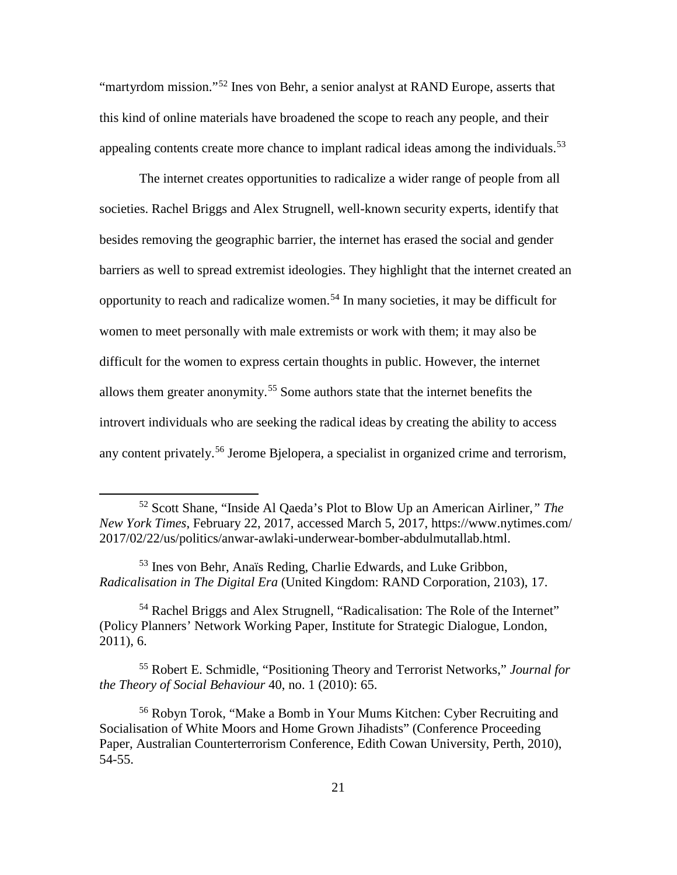"martyrdom mission."[52](#page-30-0) Ines von Behr, a senior analyst at RAND Europe, asserts that this kind of online materials have broadened the scope to reach any people, and their appealing contents create more chance to implant radical ideas among the individuals.<sup>[53](#page-30-1)</sup>

The internet creates opportunities to radicalize a wider range of people from all societies. Rachel Briggs and Alex Strugnell, well-known security experts, identify that besides removing the geographic barrier, the internet has erased the social and gender barriers as well to spread extremist ideologies. They highlight that the internet created an opportunity to reach and radicalize women. [54](#page-30-2) In many societies, it may be difficult for women to meet personally with male extremists or work with them; it may also be difficult for the women to express certain thoughts in public. However, the internet allows them greater anonymity. [55](#page-30-3) Some authors state that the internet benefits the introvert individuals who are seeking the radical ideas by creating the ability to access any content privately. [56](#page-30-4) Jerome Bjelopera, a specialist in organized crime and terrorism,

<span id="page-30-1"></span><sup>53</sup> Ines von Behr, Anaïs Reding, Charlie Edwards, and Luke Gribbon, *Radicalisation in The Digital Era* (United Kingdom: RAND Corporation, 2103), 17.

<span id="page-30-2"></span><sup>54</sup> Rachel Briggs and Alex Strugnell, "Radicalisation: The Role of the Internet" (Policy Planners' Network Working Paper, Institute for Strategic Dialogue, London, 2011), 6.

<span id="page-30-3"></span><sup>55</sup> Robert E. Schmidle, "Positioning Theory and Terrorist Networks," *Journal for the Theory of Social Behaviour* 40, no. 1 (2010): 65.

<span id="page-30-0"></span> <sup>52</sup> Scott Shane, "Inside Al Qaeda's Plot to Blow Up an American Airliner*," The New York Times*, February 22, 2017, accessed March 5, 2017, https://www.nytimes.com/ 2017/02/22/us/politics/anwar-awlaki-underwear-bomber-abdulmutallab.html.

<span id="page-30-4"></span><sup>56</sup> Robyn Torok, "Make a Bomb in Your Mums Kitchen: Cyber Recruiting and Socialisation of White Moors and Home Grown Jihadists" (Conference Proceeding Paper, Australian Counterterrorism Conference, Edith Cowan University, Perth, 2010), 54-55.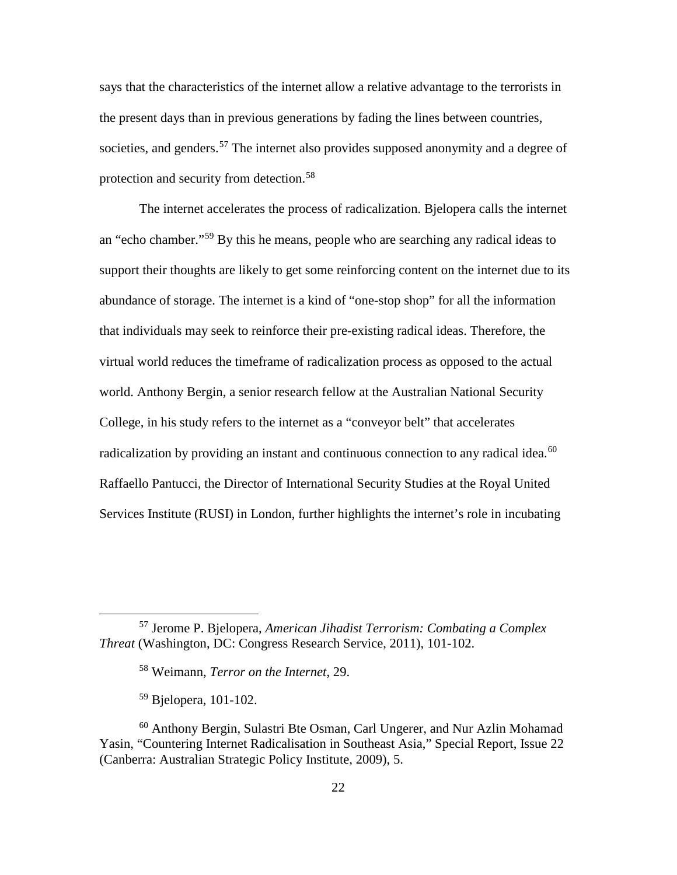says that the characteristics of the internet allow a relative advantage to the terrorists in the present days than in previous generations by fading the lines between countries, societies, and genders.<sup>[57](#page-31-0)</sup> The internet also provides supposed anonymity and a degree of protection and security from detection.<sup>[58](#page-31-1)</sup>

The internet accelerates the process of radicalization. Bjelopera calls the internet an "echo chamber."[59](#page-31-2) By this he means, people who are searching any radical ideas to support their thoughts are likely to get some reinforcing content on the internet due to its abundance of storage. The internet is a kind of "one-stop shop" for all the information that individuals may seek to reinforce their pre-existing radical ideas. Therefore, the virtual world reduces the timeframe of radicalization process as opposed to the actual world. Anthony Bergin, a senior research fellow at the Australian National Security College, in his study refers to the internet as a "conveyor belt" that accelerates radicalization by providing an instant and continuous connection to any radical idea.<sup>[60](#page-31-3)</sup> Raffaello Pantucci, the Director of International Security Studies at the Royal United Services Institute (RUSI) in London, further highlights the internet's role in incubating

<span id="page-31-1"></span><span id="page-31-0"></span> <sup>57</sup> Jerome P. Bjelopera, *American Jihadist Terrorism: Combating a Complex Threat* (Washington, DC: Congress Research Service, 2011), 101-102.

<sup>58</sup> Weimann, *Terror on the Internet*, 29.

<sup>59</sup> Bjelopera, 101-102.

<span id="page-31-3"></span><span id="page-31-2"></span><sup>60</sup> Anthony Bergin, Sulastri Bte Osman, Carl Ungerer, and Nur Azlin Mohamad Yasin, "Countering Internet Radicalisation in Southeast Asia," Special Report, Issue 22 (Canberra: Australian Strategic Policy Institute, 2009), 5.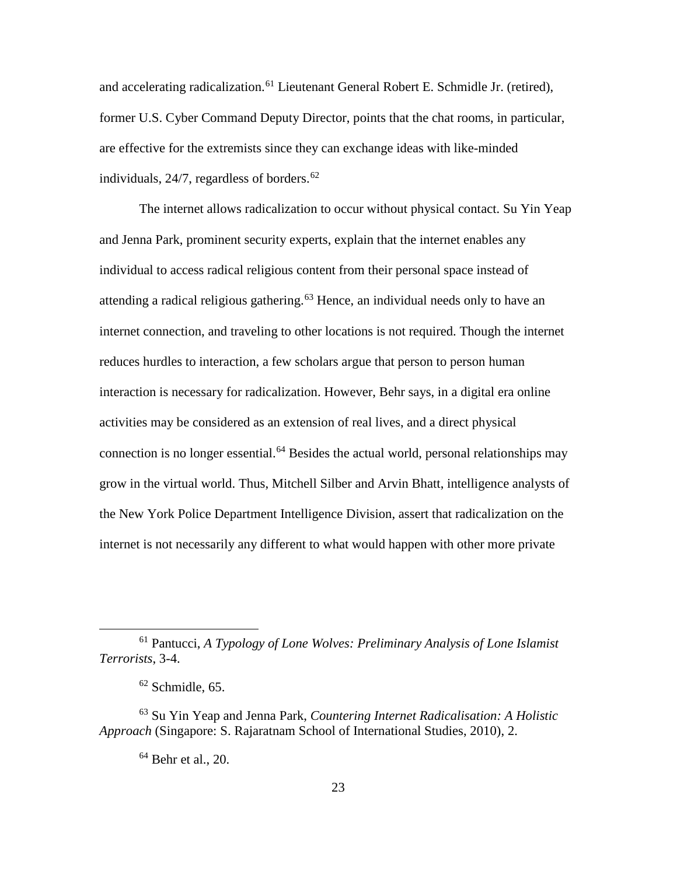and accelerating radicalization.<sup>[61](#page-32-0)</sup> Lieutenant General Robert E. Schmidle Jr. (retired), former U.S. Cyber Command Deputy Director, points that the chat rooms, in particular, are effective for the extremists since they can exchange ideas with like-minded individuals, 24/7, regardless of borders. [62](#page-32-1)

The internet allows radicalization to occur without physical contact. Su Yin Yeap and Jenna Park, prominent security experts, explain that the internet enables any individual to access radical religious content from their personal space instead of attending a radical religious gathering. [63](#page-32-2) Hence, an individual needs only to have an internet connection, and traveling to other locations is not required. Though the internet reduces hurdles to interaction, a few scholars argue that person to person human interaction is necessary for radicalization. However, Behr says, in a digital era online activities may be considered as an extension of real lives, and a direct physical connection is no longer essential.<sup>[64](#page-32-3)</sup> Besides the actual world, personal relationships may grow in the virtual world. Thus, Mitchell Silber and Arvin Bhatt, intelligence analysts of the New York Police Department Intelligence Division, assert that radicalization on the internet is not necessarily any different to what would happen with other more private

<span id="page-32-0"></span> <sup>61</sup> Pantucci, *A Typology of Lone Wolves: Preliminary Analysis of Lone Islamist Terrorists*, 3-4.

 $62$  Schmidle, 65.

<span id="page-32-3"></span><span id="page-32-2"></span><span id="page-32-1"></span><sup>63</sup> Su Yin Yeap and Jenna Park, *Countering Internet Radicalisation: A Holistic Approach* (Singapore: S. Rajaratnam School of International Studies, 2010), 2.

 $64$  Behr et al., 20.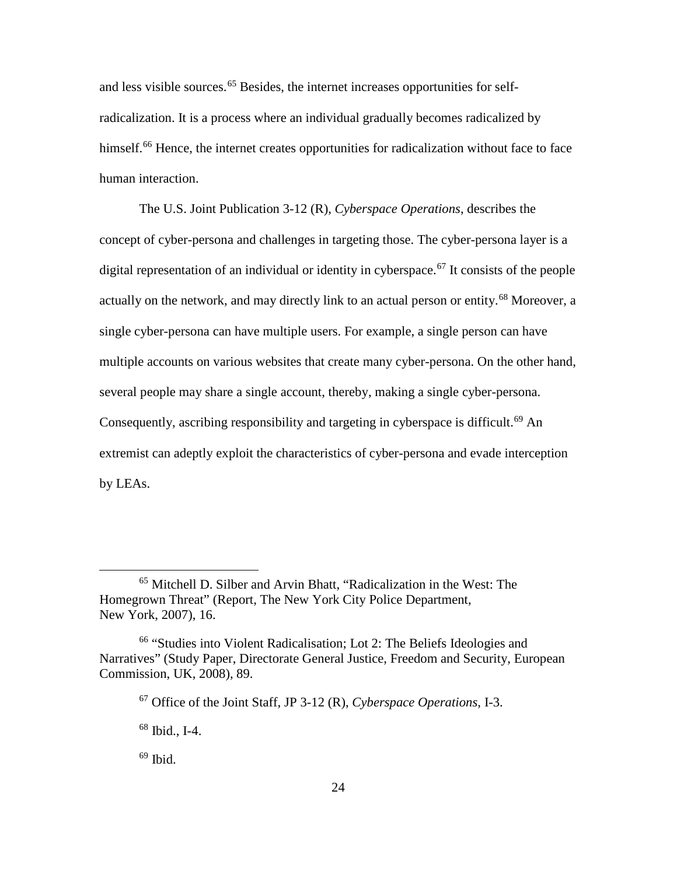and less visible sources.<sup>[65](#page-33-0)</sup> Besides, the internet increases opportunities for selfradicalization. It is a process where an individual gradually becomes radicalized by himself.<sup>[66](#page-33-1)</sup> Hence, the internet creates opportunities for radicalization without face to face human interaction.

The U.S. Joint Publication 3-12 (R), *Cyberspace Operations*, describes the concept of cyber-persona and challenges in targeting those. The cyber-persona layer is a digital representation of an individual or identity in cyberspace. [67](#page-33-2) It consists of the people actually on the network, and may directly link to an actual person or entity.<sup>[68](#page-33-3)</sup> Moreover, a single cyber-persona can have multiple users. For example, a single person can have multiple accounts on various websites that create many cyber-persona. On the other hand, several people may share a single account, thereby, making a single cyber-persona. Consequently, ascribing responsibility and targeting in cyberspace is difficult.<sup>[69](#page-33-4)</sup> An extremist can adeptly exploit the characteristics of cyber-persona and evade interception by LEAs.

<span id="page-33-0"></span> <sup>65</sup> Mitchell D. Silber and Arvin Bhatt, "Radicalization in the West: The Homegrown Threat" (Report, The New York City Police Department, New York, 2007), 16.

<span id="page-33-3"></span><span id="page-33-2"></span><span id="page-33-1"></span><sup>66</sup> "Studies into Violent Radicalisation; Lot 2: The Beliefs Ideologies and Narratives" (Study Paper, Directorate General Justice, Freedom and Security, European Commission, UK, 2008), 89.

<sup>67</sup> Office of the Joint Staff, JP 3-12 (R), *Cyberspace Operations*, I-3.

<sup>68</sup> Ibid., I-4.

<span id="page-33-4"></span> $69$  Ibid.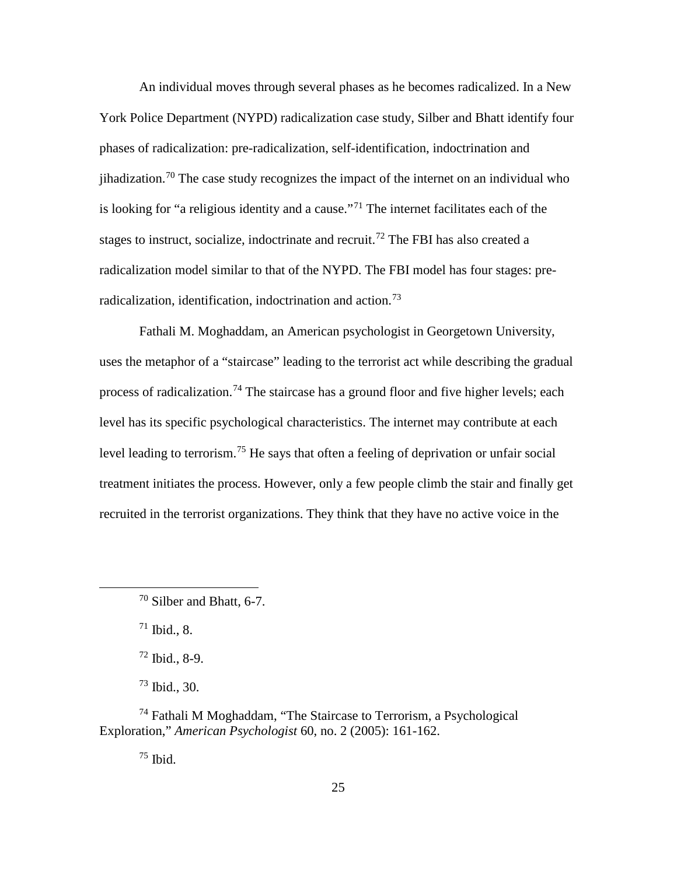An individual moves through several phases as he becomes radicalized. In a New York Police Department (NYPD) radicalization case study, Silber and Bhatt identify four phases of radicalization: pre-radicalization, self-identification, indoctrination and jihadization.<sup>[70](#page-34-0)</sup> The case study recognizes the impact of the internet on an individual who is looking for "a religious identity and a cause."<sup>[71](#page-34-1)</sup> The internet facilitates each of the stages to instruct, socialize, indoctrinate and recruit.<sup>[72](#page-34-2)</sup> The FBI has also created a radicalization model similar to that of the NYPD. The FBI model has four stages: pre-radicalization, identification, indoctrination and action.<sup>[73](#page-34-3)</sup>

Fathali M. Moghaddam, an American psychologist in Georgetown University, uses the metaphor of a "staircase" leading to the terrorist act while describing the gradual process of radicalization.<sup>[74](#page-34-4)</sup> The staircase has a ground floor and five higher levels; each level has its specific psychological characteristics. The internet may contribute at each level leading to terrorism.<sup>[75](#page-34-5)</sup> He says that often a feeling of deprivation or unfair social treatment initiates the process. However, only a few people climb the stair and finally get recruited in the terrorist organizations. They think that they have no active voice in the

 $71$  Ibid., 8.

 $72$  Ibid., 8-9.

<sup>73</sup> Ibid., 30.

<span id="page-34-5"></span><span id="page-34-4"></span><span id="page-34-3"></span><span id="page-34-2"></span><span id="page-34-1"></span><sup>74</sup> Fathali M Moghaddam, "The Staircase to Terrorism, a Psychological Exploration," *American Psychologist* 60, no. 2 (2005): 161-162.

 $75$  Ibid.

<span id="page-34-0"></span> <sup>70</sup> Silber and Bhatt, 6-7.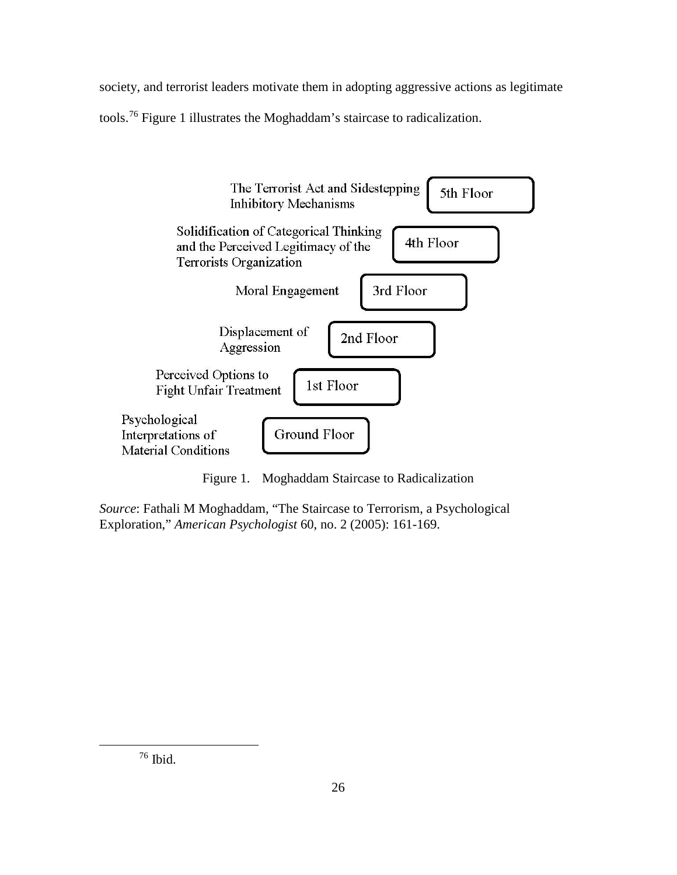society, and terrorist leaders motivate them in adopting aggressive actions as legitimate tools. [76](#page-35-0) Figure 1 illustrates the Moghaddam's staircase to radicalization.



Figure 1. Moghaddam Staircase to Radicalization

*Source*: Fathali M Moghaddam, "The Staircase to Terrorism, a Psychological Exploration," *American Psychologist* 60, no. 2 (2005): 161-169.

<span id="page-35-0"></span>76 Ibid.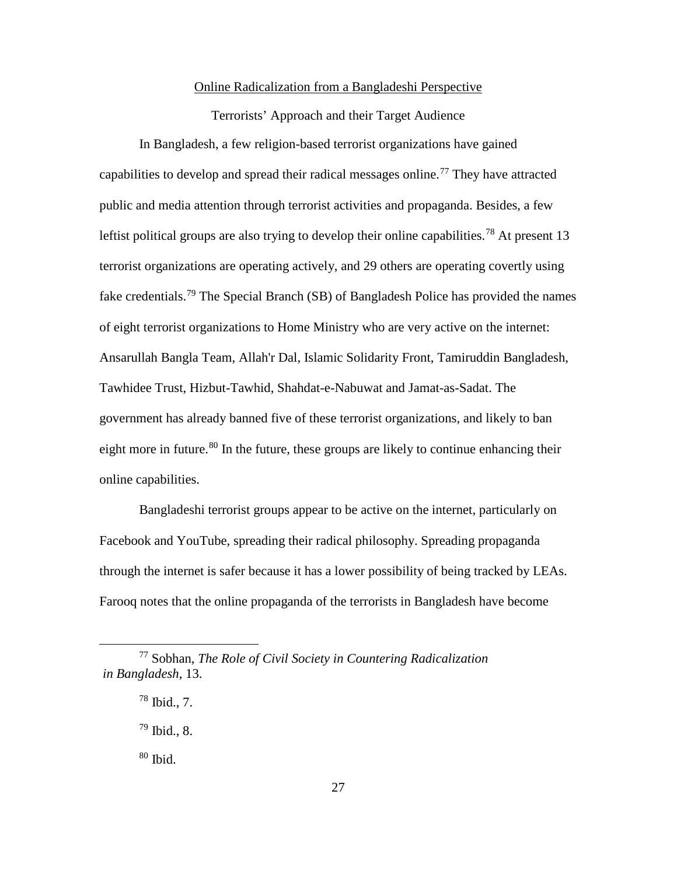## Online Radicalization from a Bangladeshi Perspective

Terrorists' Approach and their Target Audience

In Bangladesh, a few religion-based terrorist organizations have gained capabilities to develop and spread their radical messages online.<sup>[77](#page-36-0)</sup> They have attracted public and media attention through terrorist activities and propaganda. Besides, a few leftist political groups are also trying to develop their online capabilities.<sup>[78](#page-36-1)</sup> At present 13 terrorist organizations are operating actively, and 29 others are operating covertly using fake credentials.<sup>[79](#page-36-2)</sup> The Special Branch (SB) of Bangladesh Police has provided the names of eight terrorist organizations to Home Ministry who are very active on the internet: Ansarullah Bangla Team, Allah'r Dal, Islamic Solidarity Front, Tamiruddin Bangladesh, Tawhidee Trust, Hizbut-Tawhid, Shahdat-e-Nabuwat and Jamat-as-Sadat. The government has already banned five of these terrorist organizations, and likely to ban eight more in future.<sup>[80](#page-36-3)</sup> In the future, these groups are likely to continue enhancing their online capabilities.

Bangladeshi terrorist groups appear to be active on the internet, particularly on Facebook and YouTube, spreading their radical philosophy. Spreading propaganda through the internet is safer because it has a lower possibility of being tracked by LEAs. Farooq notes that the online propaganda of the terrorists in Bangladesh have become

<span id="page-36-2"></span><span id="page-36-1"></span><span id="page-36-0"></span> <sup>77</sup> Sobhan, *The Role of Civil Society in Countering Radicalization in Bangladesh*, 13.

 $78$  Ibid., 7.

 $79$  Ibid., 8.

<span id="page-36-3"></span><sup>80</sup> Ibid.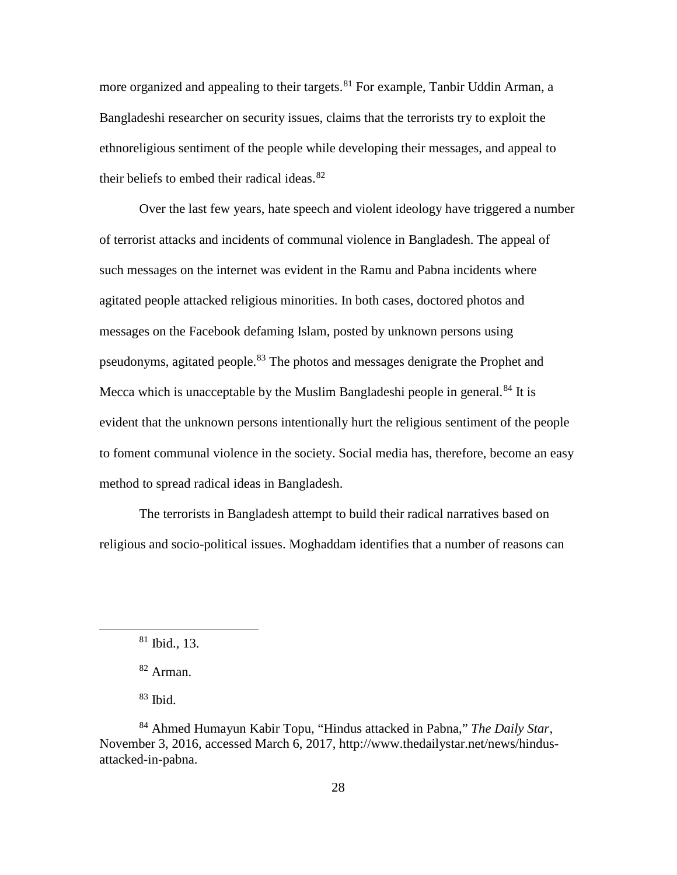more organized and appealing to their targets. <sup>[81](#page-37-0)</sup> For example, Tanbir Uddin Arman, a Bangladeshi researcher on security issues, claims that the terrorists try to exploit the ethnoreligious sentiment of the people while developing their messages, and appeal to their beliefs to embed their radical ideas.<sup>[82](#page-37-1)</sup>

Over the last few years, hate speech and violent ideology have triggered a number of terrorist attacks and incidents of communal violence in Bangladesh. The appeal of such messages on the internet was evident in the Ramu and Pabna incidents where agitated people attacked religious minorities. In both cases, doctored photos and messages on the Facebook defaming Islam, posted by unknown persons using pseudonyms, agitated people.<sup>[83](#page-37-2)</sup> The photos and messages denigrate the Prophet and Mecca which is unacceptable by the Muslim Bangladeshi people in general.<sup>[84](#page-37-3)</sup> It is evident that the unknown persons intentionally hurt the religious sentiment of the people to foment communal violence in the society. Social media has, therefore, become an easy method to spread radical ideas in Bangladesh.

The terrorists in Bangladesh attempt to build their radical narratives based on religious and socio-political issues. Moghaddam identifies that a number of reasons can

 $83$  Ibid.

 $81$  Ibid., 13.

<sup>82</sup> Arman.

<span id="page-37-3"></span><span id="page-37-2"></span><span id="page-37-1"></span><span id="page-37-0"></span><sup>84</sup> Ahmed Humayun Kabir Topu, "Hindus attacked in Pabna," *The Daily Star*, November 3, 2016, accessed March 6, 2017, http://www.thedailystar.net/news/hindusattacked-in-pabna.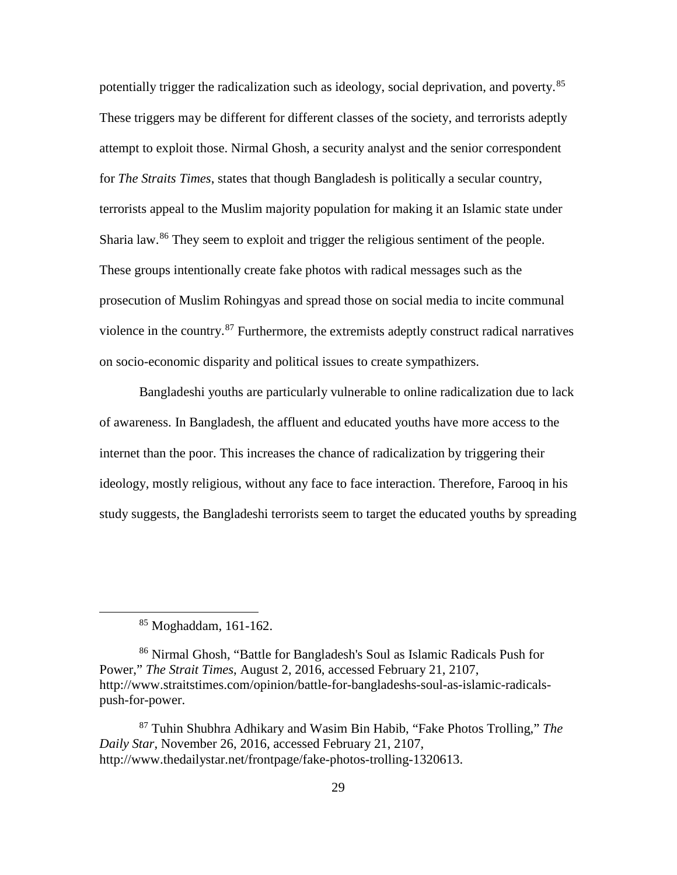potentially trigger the radicalization such as ideology, social deprivation, and poverty.<sup>[85](#page-38-0)</sup> These triggers may be different for different classes of the society, and terrorists adeptly attempt to exploit those. Nirmal Ghosh, a security analyst and the senior correspondent for *The Straits Times*, states that though Bangladesh is politically a secular country, terrorists appeal to the Muslim majority population for making it an Islamic state under Sharia law.<sup>[86](#page-38-1)</sup> They seem to exploit and trigger the religious sentiment of the people. These groups intentionally create fake photos with radical messages such as the prosecution of Muslim Rohingyas and spread those on social media to incite communal violence in the country.<sup>[87](#page-38-2)</sup> Furthermore, the extremists adeptly construct radical narratives on socio-economic disparity and political issues to create sympathizers.

Bangladeshi youths are particularly vulnerable to online radicalization due to lack of awareness. In Bangladesh, the affluent and educated youths have more access to the internet than the poor. This increases the chance of radicalization by triggering their ideology, mostly religious, without any face to face interaction. Therefore, Farooq in his study suggests, the Bangladeshi terrorists seem to target the educated youths by spreading

 $85$  Moghaddam, 161-162.

<span id="page-38-1"></span><span id="page-38-0"></span><sup>86</sup> Nirmal Ghosh, "Battle for Bangladesh's Soul as Islamic Radicals Push for Power," *The Strait Times*, August 2, 2016, accessed February 21, 2107, http://www.straitstimes.com/opinion/battle-for-bangladeshs-soul-as-islamic-radicalspush-for-power.

<span id="page-38-2"></span><sup>87</sup> Tuhin Shubhra Adhikary and Wasim Bin Habib, "Fake Photos Trolling," *The Daily Star*, November 26, 2016, accessed February 21, 2107, http://www.thedailystar.net/frontpage/fake-photos-trolling-1320613.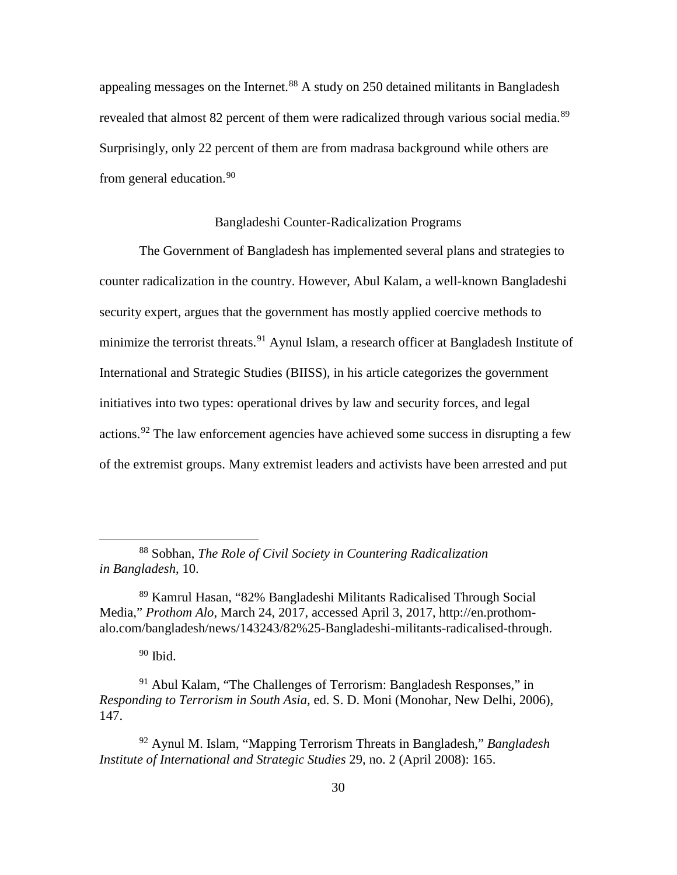appealing messages on the Internet.<sup>[88](#page-39-0)</sup> A study on 250 detained militants in Bangladesh revealed that almost 82 percent of them were radicalized through various social media.<sup>[89](#page-39-1)</sup> Surprisingly, only 22 percent of them are from madrasa background while others are from general education.<sup>[90](#page-39-2)</sup>

## Bangladeshi Counter-Radicalization Programs

The Government of Bangladesh has implemented several plans and strategies to counter radicalization in the country. However, Abul Kalam, a well-known Bangladeshi security expert, argues that the government has mostly applied coercive methods to minimize the terrorist threats.<sup>[91](#page-39-3)</sup> Aynul Islam, a research officer at Bangladesh Institute of International and Strategic Studies (BIISS), in his article categorizes the government initiatives into two types: operational drives by law and security forces, and legal actions.<sup>[92](#page-39-4)</sup> The law enforcement agencies have achieved some success in disrupting a few of the extremist groups. Many extremist leaders and activists have been arrested and put

<span id="page-39-0"></span> <sup>88</sup> Sobhan, *The Role of Civil Society in Countering Radicalization in Bangladesh*, 10.

<span id="page-39-1"></span><sup>89</sup> Kamrul Hasan, "82% Bangladeshi Militants Radicalised Through Social Media," *Prothom Alo*, March 24, 2017, accessed April 3, 2017, http://en.prothomalo.com/bangladesh/news/143243/82%25-Bangladeshi-militants-radicalised-through.

 $90$  Ibid.

<span id="page-39-3"></span><span id="page-39-2"></span><sup>91</sup> Abul Kalam, "The Challenges of Terrorism: Bangladesh Responses," in *Responding to Terrorism in South Asia,* ed. S. D. Moni (Monohar, New Delhi, 2006), 147.

<span id="page-39-4"></span><sup>92</sup> Aynul M. Islam, "Mapping Terrorism Threats in Bangladesh," *Bangladesh Institute of International and Strategic Studies* 29, no. 2 (April 2008): 165.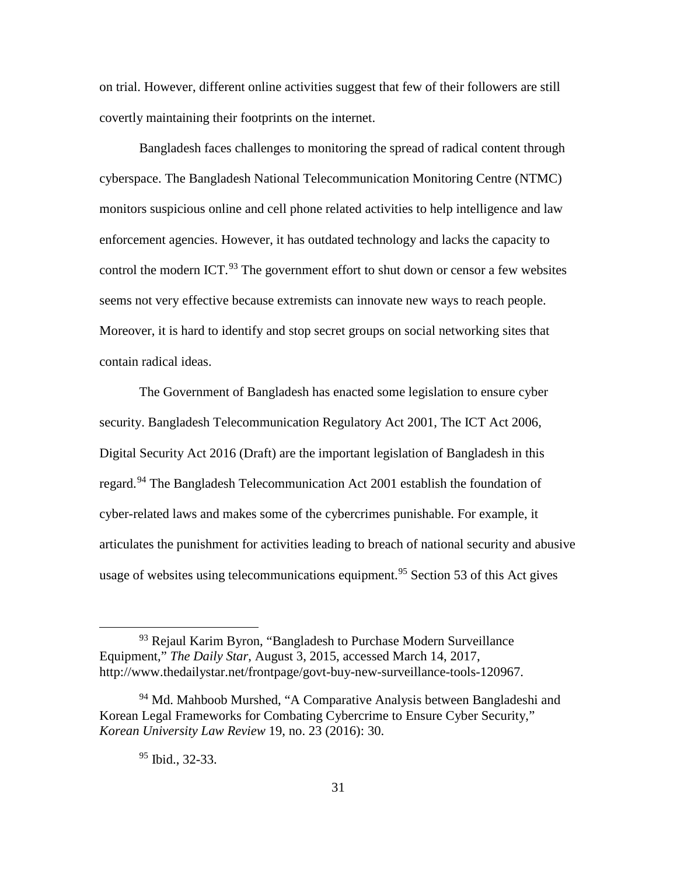on trial. However, different online activities suggest that few of their followers are still covertly maintaining their footprints on the internet.

Bangladesh faces challenges to monitoring the spread of radical content through cyberspace. The Bangladesh National Telecommunication Monitoring Centre (NTMC) monitors suspicious online and cell phone related activities to help intelligence and law enforcement agencies. However, it has outdated technology and lacks the capacity to control the modern ICT.<sup>[93](#page-40-0)</sup> The government effort to shut down or censor a few websites seems not very effective because extremists can innovate new ways to reach people. Moreover, it is hard to identify and stop secret groups on social networking sites that contain radical ideas.

The Government of Bangladesh has enacted some legislation to ensure cyber security. Bangladesh Telecommunication Regulatory Act 2001, The ICT Act 2006, Digital Security Act 2016 (Draft) are the important legislation of Bangladesh in this regard.<sup>[94](#page-40-1)</sup> The Bangladesh Telecommunication Act 2001 establish the foundation of cyber-related laws and makes some of the cybercrimes punishable. For example, it articulates the punishment for activities leading to breach of national security and abusive usage of websites using telecommunications equipment. [95](#page-40-2) Section 53 of this Act gives

<span id="page-40-0"></span><sup>&</sup>lt;sup>93</sup> Rejaul Karim Byron, "Bangladesh to Purchase Modern Surveillance Equipment," *The Daily Star*, August 3, 2015, accessed March 14, 2017, http://www.thedailystar.net/frontpage/govt-buy-new-surveillance-tools-120967.

<span id="page-40-2"></span><span id="page-40-1"></span><sup>&</sup>lt;sup>94</sup> Md. Mahboob Murshed, "A Comparative Analysis between Bangladeshi and Korean Legal Frameworks for Combating Cybercrime to Ensure Cyber Security," *Korean University Law Review* 19, no. 23 (2016): 30.

 $95$  Ibid., 32-33.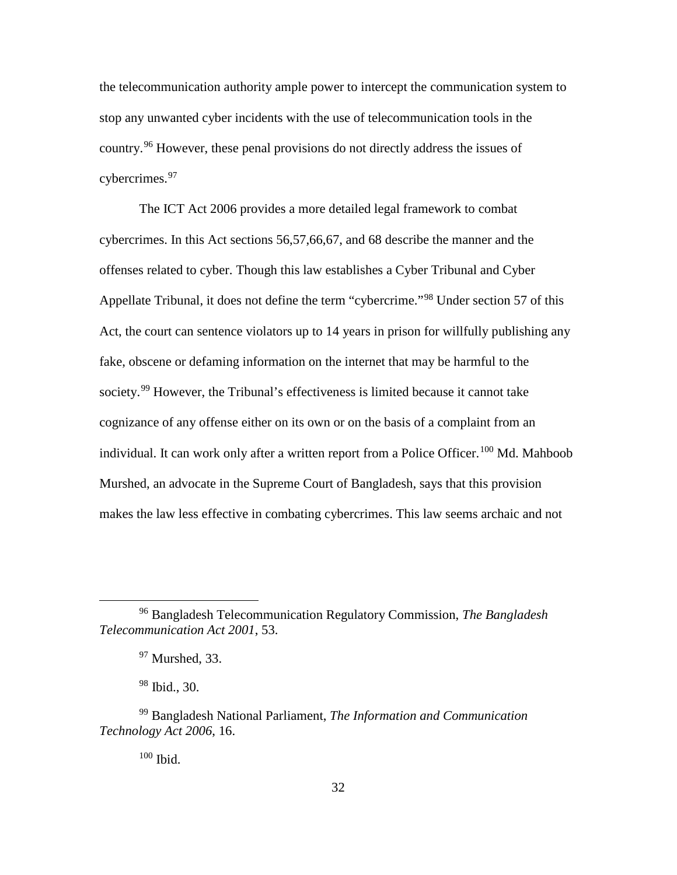the telecommunication authority ample power to intercept the communication system to stop any unwanted cyber incidents with the use of telecommunication tools in the country. [96](#page-41-0) However, these penal provisions do not directly address the issues of cybercrimes. [97](#page-41-1)

The ICT Act 2006 provides a more detailed legal framework to combat cybercrimes. In this Act sections 56,57,66,67, and 68 describe the manner and the offenses related to cyber. Though this law establishes a Cyber Tribunal and Cyber Appellate Tribunal, it does not define the term "cybercrime."[98](#page-41-2) Under section 57 of this Act, the court can sentence violators up to 14 years in prison for willfully publishing any fake, obscene or defaming information on the internet that may be harmful to the society.<sup>[99](#page-41-3)</sup> However, the Tribunal's effectiveness is limited because it cannot take cognizance of any offense either on its own or on the basis of a complaint from an individual. It can work only after a written report from a Police Officer.<sup>[100](#page-41-4)</sup> Md. Mahboob Murshed, an advocate in the Supreme Court of Bangladesh, says that this provision makes the law less effective in combating cybercrimes. This law seems archaic and not

<sup>98</sup> Ibid., 30.

<sup>100</sup> Ibid.

<span id="page-41-1"></span><span id="page-41-0"></span> <sup>96</sup> Bangladesh Telecommunication Regulatory Commission, *The Bangladesh Telecommunication Act 2001*, 53.

 $97$  Murshed, 33.

<span id="page-41-4"></span><span id="page-41-3"></span><span id="page-41-2"></span><sup>99</sup> Bangladesh National Parliament, *The Information and Communication Technology Act 2006*, 16.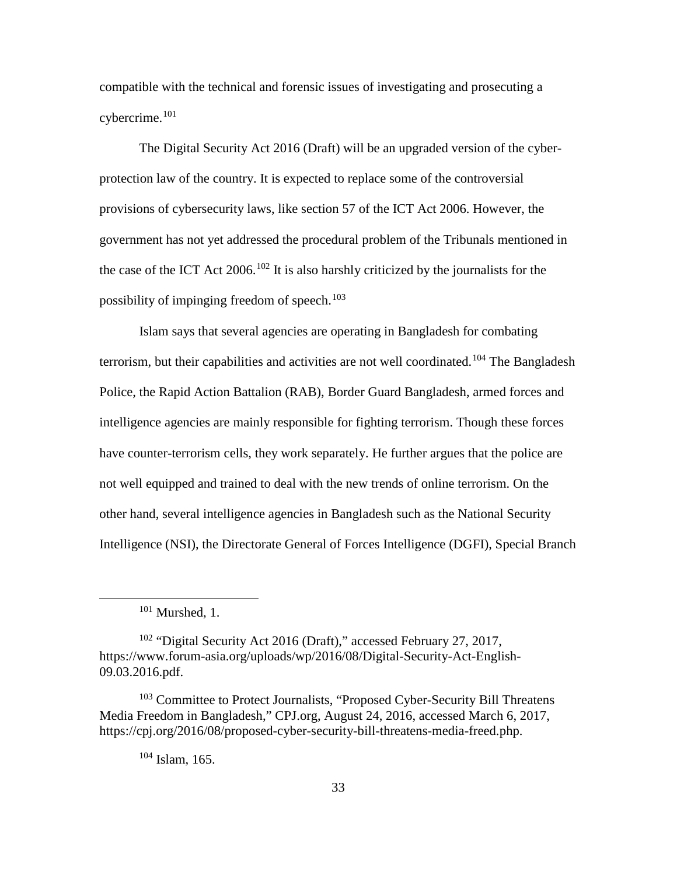compatible with the technical and forensic issues of investigating and prosecuting a cybercrime. [101](#page-42-0)

The Digital Security Act 2016 (Draft) will be an upgraded version of the cyberprotection law of the country. It is expected to replace some of the controversial provisions of cybersecurity laws, like section 57 of the ICT Act 2006. However, the government has not yet addressed the procedural problem of the Tribunals mentioned in the case of the ICT Act  $2006$ .<sup>[102](#page-42-1)</sup> It is also harshly criticized by the journalists for the possibility of impinging freedom of speech. [103](#page-42-2)

Islam says that several agencies are operating in Bangladesh for combating terrorism, but their capabilities and activities are not well coordinated.<sup>[104](#page-42-3)</sup> The Bangladesh Police, the Rapid Action Battalion (RAB), Border Guard Bangladesh, armed forces and intelligence agencies are mainly responsible for fighting terrorism. Though these forces have counter-terrorism cells, they work separately. He further argues that the police are not well equipped and trained to deal with the new trends of online terrorism. On the other hand, several intelligence agencies in Bangladesh such as the National Security Intelligence (NSI), the Directorate General of Forces Intelligence (DGFI), Special Branch

 $101$  Murshed, 1.

<span id="page-42-1"></span><span id="page-42-0"></span><sup>102</sup> "Digital Security Act 2016 (Draft)," accessed February 27, 2017, https://www.forum-asia.org/uploads/wp/2016/08/Digital-Security-Act-English-09.03.2016.pdf.

<span id="page-42-3"></span><span id="page-42-2"></span><sup>103</sup> Committee to Protect Journalists, "Proposed Cyber-Security Bill Threatens Media Freedom in Bangladesh," CPJ.org, August 24, 2016, accessed March 6, 2017, https://cpj.org/2016/08/proposed-cyber-security-bill-threatens-media-freed.php.

 $104$  Islam, 165.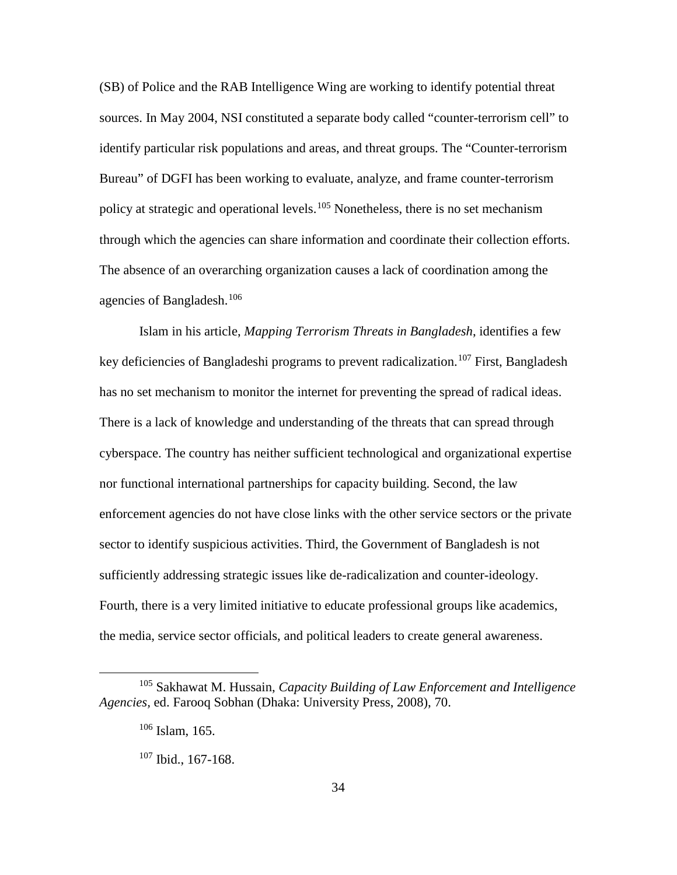(SB) of Police and the RAB Intelligence Wing are working to identify potential threat sources. In May 2004, NSI constituted a separate body called "counter-terrorism cell" to identify particular risk populations and areas, and threat groups. The "Counter-terrorism Bureau" of DGFI has been working to evaluate, analyze, and frame counter-terrorism policy at strategic and operational levels.<sup>[105](#page-43-0)</sup> Nonetheless, there is no set mechanism through which the agencies can share information and coordinate their collection efforts. The absence of an overarching organization causes a lack of coordination among the agencies of Bangladesh.<sup>[106](#page-43-1)</sup>

Islam in his article, *Mapping Terrorism Threats in Bangladesh*, identifies a few key deficiencies of Bangladeshi programs to prevent radicalization.<sup>[107](#page-43-2)</sup> First, Bangladesh has no set mechanism to monitor the internet for preventing the spread of radical ideas. There is a lack of knowledge and understanding of the threats that can spread through cyberspace. The country has neither sufficient technological and organizational expertise nor functional international partnerships for capacity building. Second, the law enforcement agencies do not have close links with the other service sectors or the private sector to identify suspicious activities. Third, the Government of Bangladesh is not sufficiently addressing strategic issues like de-radicalization and counter-ideology. Fourth, there is a very limited initiative to educate professional groups like academics, the media, service sector officials, and political leaders to create general awareness.

<span id="page-43-2"></span><span id="page-43-1"></span><span id="page-43-0"></span> <sup>105</sup> Sakhawat M. Hussain, *Capacity Building of Law Enforcement and Intelligence Agencies,* ed. Farooq Sobhan (Dhaka: University Press, 2008), 70.

 $106$  Islam, 165.

 $107$  Ibid., 167-168.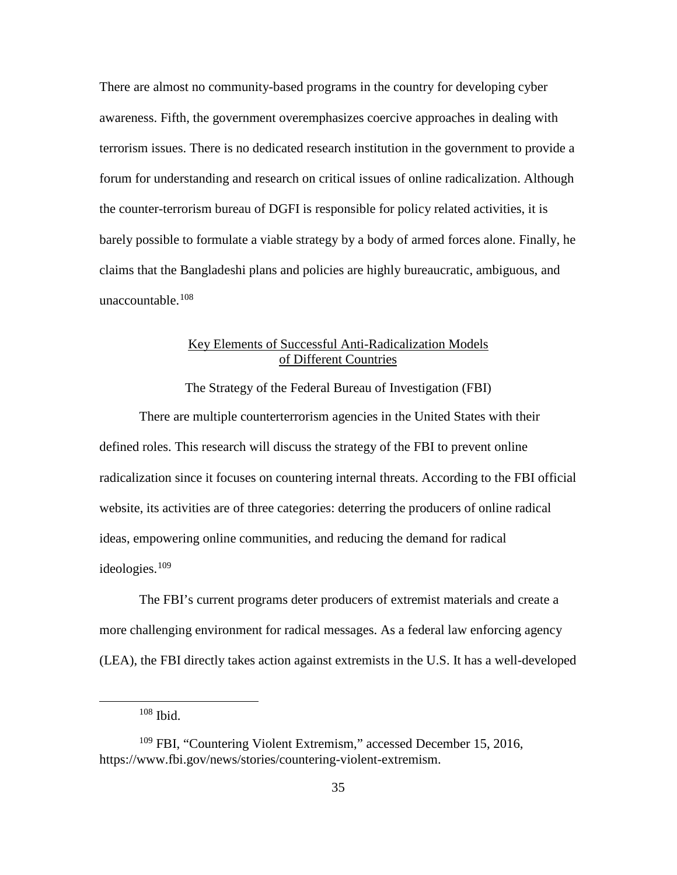There are almost no community-based programs in the country for developing cyber awareness. Fifth, the government overemphasizes coercive approaches in dealing with terrorism issues. There is no dedicated research institution in the government to provide a forum for understanding and research on critical issues of online radicalization. Although the counter-terrorism bureau of DGFI is responsible for policy related activities, it is barely possible to formulate a viable strategy by a body of armed forces alone. Finally, he claims that the Bangladeshi plans and policies are highly bureaucratic, ambiguous, and unaccountable. [108](#page-44-0)

# Key Elements of Successful Anti-Radicalization Models of Different Countries

The Strategy of the Federal Bureau of Investigation (FBI)

There are multiple counterterrorism agencies in the United States with their defined roles. This research will discuss the strategy of the FBI to prevent online radicalization since it focuses on countering internal threats. According to the FBI official website, its activities are of three categories: deterring the producers of online radical ideas, empowering online communities, and reducing the demand for radical ideologies. [109](#page-44-1)

The FBI's current programs deter producers of extremist materials and create a more challenging environment for radical messages. As a federal law enforcing agency (LEA), the FBI directly takes action against extremists in the U.S. It has a well-developed

 <sup>108</sup> Ibid.

<span id="page-44-1"></span><span id="page-44-0"></span><sup>&</sup>lt;sup>109</sup> FBI, "Countering Violent Extremism," accessed December 15, 2016, https://www.fbi.gov/news/stories/countering-violent-extremism.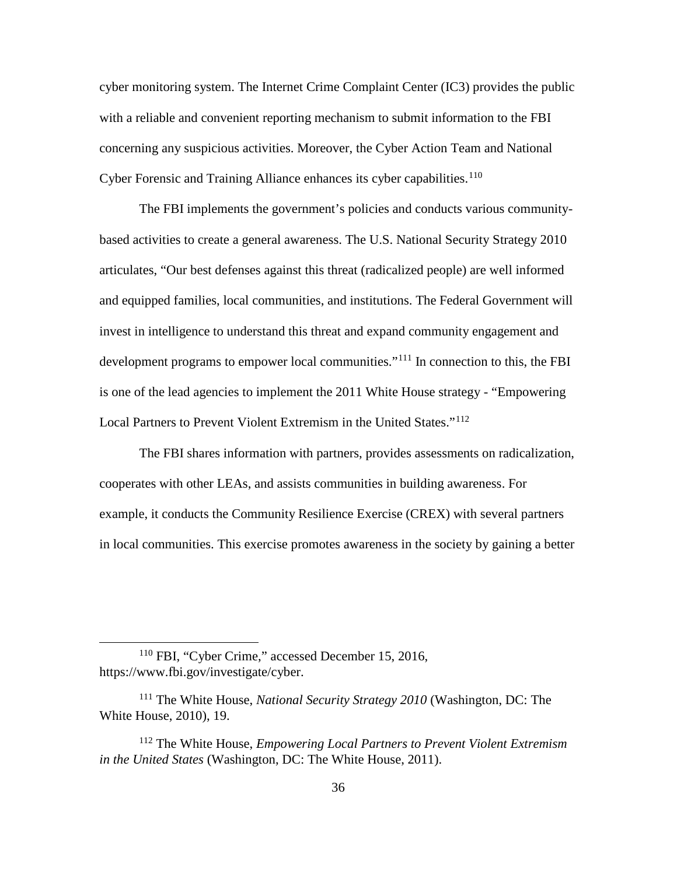cyber monitoring system. The Internet Crime Complaint Center (IC3) provides the public with a reliable and convenient reporting mechanism to submit information to the FBI concerning any suspicious activities. Moreover, the Cyber Action Team and National Cyber Forensic and Training Alliance enhances its cyber capabilities.<sup>[110](#page-45-0)</sup>

The FBI implements the government's policies and conducts various communitybased activities to create a general awareness. The U.S. National Security Strategy 2010 articulates, "Our best defenses against this threat (radicalized people) are well informed and equipped families, local communities, and institutions. The Federal Government will invest in intelligence to understand this threat and expand community engagement and development programs to empower local communities."<sup>[111](#page-45-1)</sup> In connection to this, the FBI is one of the lead agencies to implement the 2011 White House strategy - "Empowering Local Partners to Prevent Violent Extremism in the United States."<sup>[112](#page-45-2)</sup>

The FBI shares information with partners, provides assessments on radicalization, cooperates with other LEAs, and assists communities in building awareness. For example, it conducts the Community Resilience Exercise (CREX) with several partners in local communities. This exercise promotes awareness in the society by gaining a better

<span id="page-45-0"></span> <sup>110</sup> FBI, "Cyber Crime," accessed December 15, 2016, https://www.fbi.gov/investigate/cyber.

<span id="page-45-1"></span><sup>111</sup> The White House, *National Security Strategy 2010* (Washington, DC: The White House, 2010), 19.

<span id="page-45-2"></span><sup>112</sup> The White House, *Empowering Local Partners to Prevent Violent Extremism in the United States* (Washington, DC: The White House, 2011).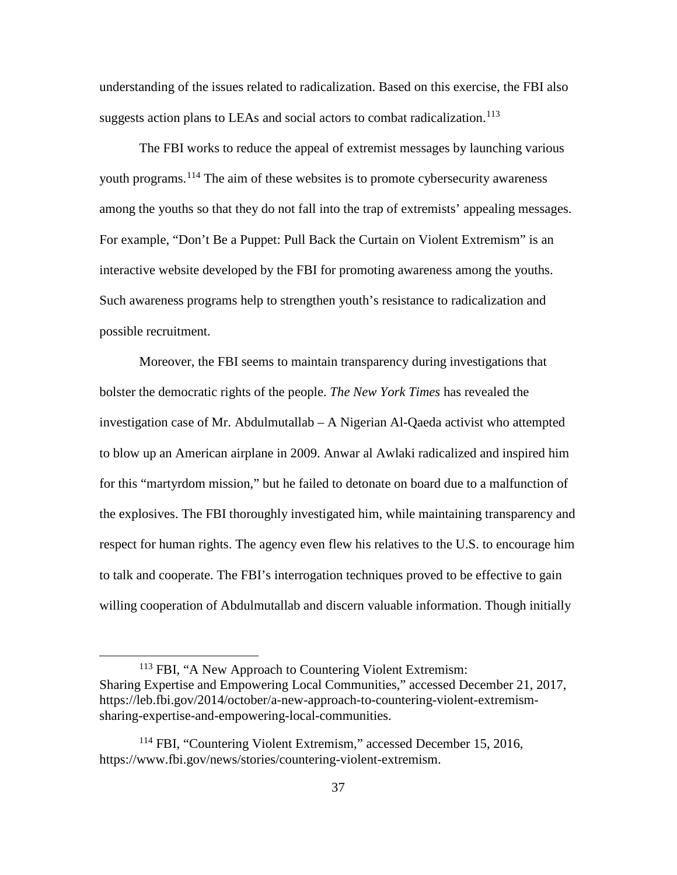understanding of the issues related to radicalization. Based on this exercise, the FBI also suggests action plans to LEAs and social actors to combat radicalization.<sup>[113](#page-46-0)</sup>

The FBI works to reduce the appeal of extremist messages by launching various youth programs.<sup>[114](#page-46-1)</sup> The aim of these websites is to promote cybersecurity awareness among the youths so that they do not fall into the trap of extremists' appealing messages. For example, "Don't Be a Puppet: Pull Back the Curtain on Violent Extremism" is an interactive website developed by the FBI for promoting awareness among the youths. Such awareness programs help to strengthen youth's resistance to radicalization and possible recruitment.

Moreover, the FBI seems to maintain transparency during investigations that bolster the democratic rights of the people. *The New York Times* has revealed the investigation case of Mr. Abdulmutallab – A Nigerian Al-Qaeda activist who attempted to blow up an American airplane in 2009. Anwar al Awlaki radicalized and inspired him for this "martyrdom mission," but he failed to detonate on board due to a malfunction of the explosives. The FBI thoroughly investigated him, while maintaining transparency and respect for human rights. The agency even flew his relatives to the U.S. to encourage him to talk and cooperate. The FBI's interrogation techniques proved to be effective to gain willing cooperation of Abdulmutallab and discern valuable information. Though initially

<span id="page-46-0"></span> <sup>113</sup> FBI, "A New Approach to Countering Violent Extremism: Sharing Expertise and Empowering Local Communities," accessed December 21, 2017, https://leb.fbi.gov/2014/october/a-new-approach-to-countering-violent-extremismsharing-expertise-and-empowering-local-communities.

<span id="page-46-1"></span><sup>&</sup>lt;sup>114</sup> FBI, "Countering Violent Extremism," accessed December 15, 2016, https://www.fbi.gov/news/stories/countering-violent-extremism.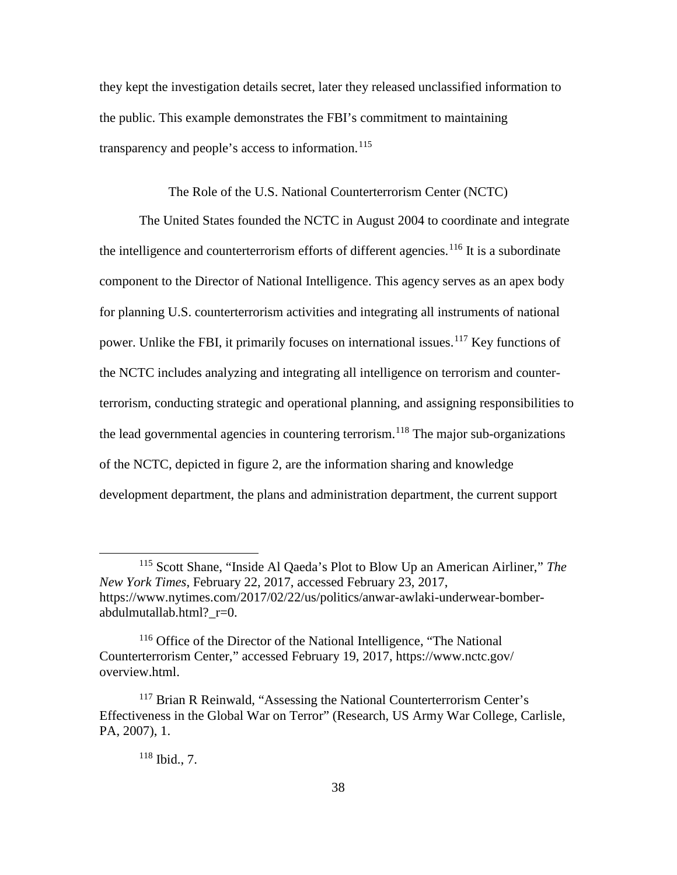they kept the investigation details secret, later they released unclassified information to the public. This example demonstrates the FBI's commitment to maintaining transparency and people's access to information. [115](#page-47-0)

The Role of the U.S. National Counterterrorism Center (NCTC)

The United States founded the NCTC in August 2004 to coordinate and integrate the intelligence and counterterrorism efforts of different agencies.<sup>[116](#page-47-1)</sup> It is a subordinate component to the Director of National Intelligence. This agency serves as an apex body for planning U.S. counterterrorism activities and integrating all instruments of national power. Unlike the FBI, it primarily focuses on international issues.<sup>[117](#page-47-2)</sup> Key functions of the NCTC includes analyzing and integrating all intelligence on terrorism and counterterrorism, conducting strategic and operational planning, and assigning responsibilities to the lead governmental agencies in countering terrorism.<sup>[118](#page-47-3)</sup> The major sub-organizations of the NCTC, depicted in figure 2, are the information sharing and knowledge development department, the plans and administration department, the current support

# <sup>118</sup> Ibid., 7.

<span id="page-47-0"></span> <sup>115</sup> Scott Shane, "Inside Al Qaeda's Plot to Blow Up an American Airliner," *The New York Times*, February 22, 2017, accessed February 23, 2017, https://www.nytimes.com/2017/02/22/us/politics/anwar-awlaki-underwear-bomberabdulmutallab.html?\_r=0.

<span id="page-47-1"></span><sup>116</sup> Office of the Director of the National Intelligence, "The National Counterterrorism Center," accessed February 19, 2017, https://www.nctc.gov/ overview.html.

<span id="page-47-3"></span><span id="page-47-2"></span><sup>&</sup>lt;sup>117</sup> Brian R Reinwald, "Assessing the National Counterterrorism Center's Effectiveness in the Global War on Terror" (Research, US Army War College, Carlisle, PA, 2007), 1.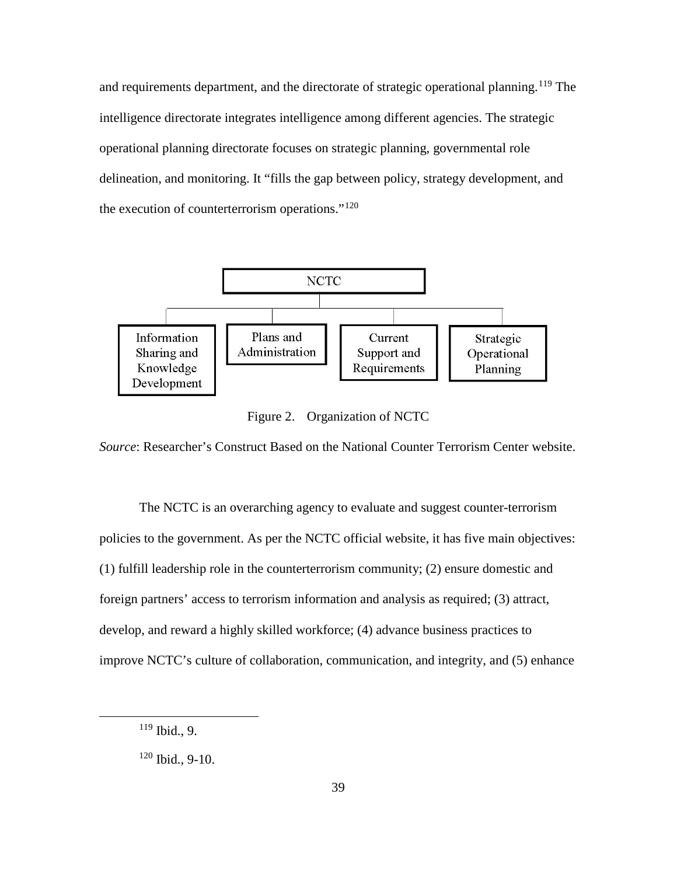and requirements department, and the directorate of strategic operational planning. <sup>[119](#page-48-0)</sup> The intelligence directorate integrates intelligence among different agencies. The strategic operational planning directorate focuses on strategic planning, governmental role delineation, and monitoring. It "fills the gap between policy, strategy development, and the execution of counterterrorism operations."<sup>[120](#page-48-1)</sup>



Figure 2. Organization of NCTC

*Source*: Researcher's Construct Based on the National Counter Terrorism Center website.

The NCTC is an overarching agency to evaluate and suggest counter-terrorism policies to the government. As per the NCTC official website, it has five main objectives: (1) fulfill leadership role in the counterterrorism community; (2) ensure domestic and foreign partners' access to terrorism information and analysis as required; (3) attract, develop, and reward a highly skilled workforce; (4) advance business practices to improve NCTC's culture of collaboration, communication, and integrity, and (5) enhance

<span id="page-48-0"></span> <sup>119</sup> Ibid., 9.

<span id="page-48-1"></span> $120$  Ibid., 9-10.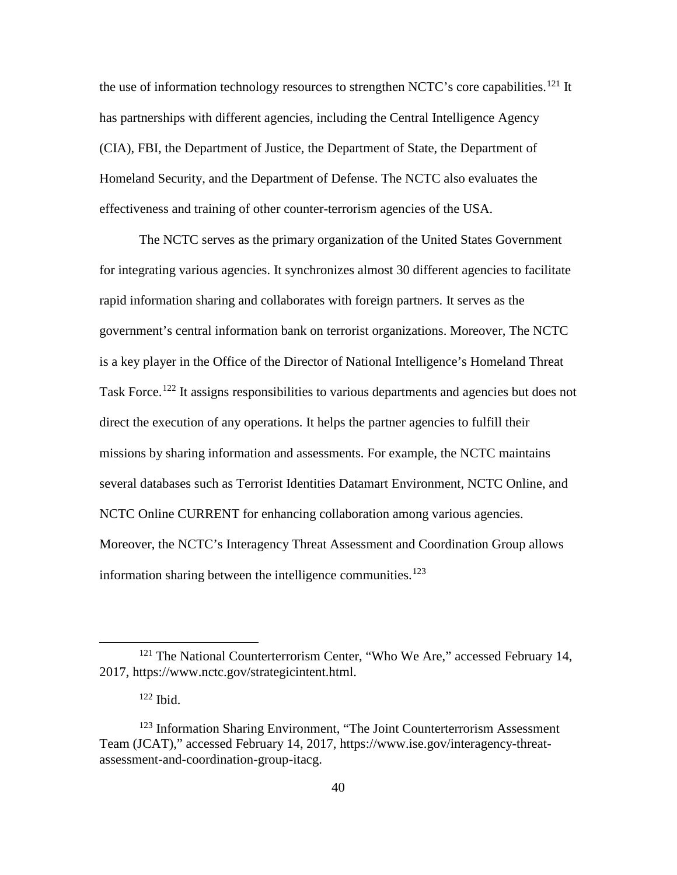the use of information technology resources to strengthen NCTC's core capabilities.<sup>[121](#page-49-0)</sup> It has partnerships with different agencies, including the Central Intelligence Agency (CIA), FBI, the Department of Justice, the Department of State, the Department of Homeland Security, and the Department of Defense. The NCTC also evaluates the effectiveness and training of other counter-terrorism agencies of the USA.

The NCTC serves as the primary organization of the United States Government for integrating various agencies. It synchronizes almost 30 different agencies to facilitate rapid information sharing and collaborates with foreign partners. It serves as the government's central information bank on terrorist organizations. Moreover, The NCTC is a key player in the Office of the Director of National Intelligence's Homeland Threat Task Force.<sup>[122](#page-49-1)</sup> It assigns responsibilities to various departments and agencies but does not direct the execution of any operations. It helps the partner agencies to fulfill their missions by sharing information and assessments. For example, the NCTC maintains several databases such as Terrorist Identities Datamart Environment, NCTC Online, and NCTC Online CURRENT for enhancing collaboration among various agencies. Moreover, the NCTC's Interagency Threat Assessment and Coordination Group allows information sharing between the intelligence communities.<sup>[123](#page-49-2)</sup>

<span id="page-49-0"></span><sup>&</sup>lt;sup>121</sup> The National Counterterrorism Center, "Who We Are," accessed February 14, 2017, https://www.nctc.gov/strategicintent.html.

 $122$  Ibid.

<span id="page-49-2"></span><span id="page-49-1"></span><sup>&</sup>lt;sup>123</sup> Information Sharing Environment, "The Joint Counterterrorism Assessment Team (JCAT)," accessed February 14, 2017, https://www.ise.gov/interagency-threatassessment-and-coordination-group-itacg.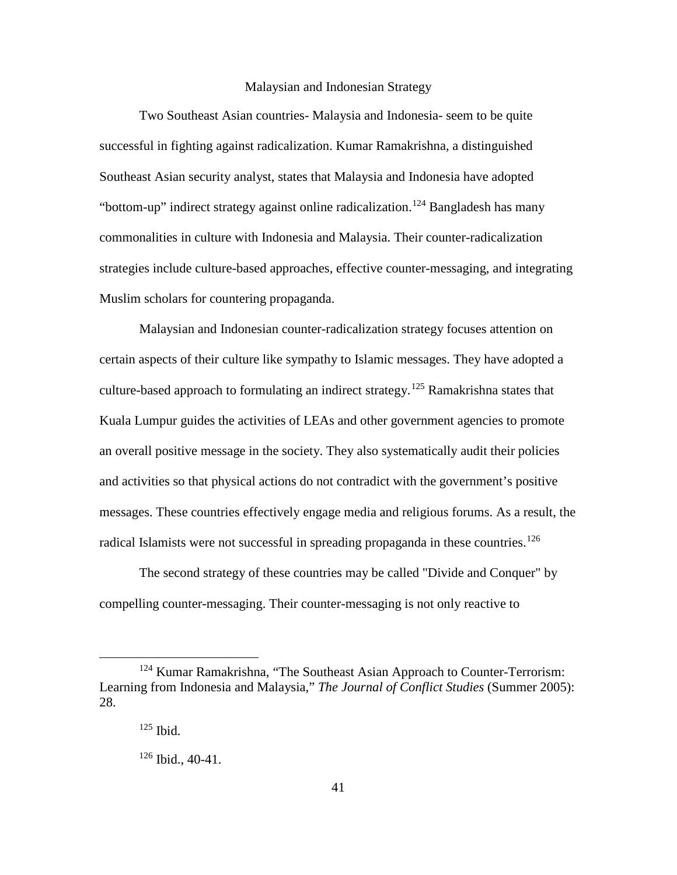## Malaysian and Indonesian Strategy

Two Southeast Asian countries- Malaysia and Indonesia- seem to be quite successful in fighting against radicalization. Kumar Ramakrishna, a distinguished Southeast Asian security analyst, states that Malaysia and Indonesia have adopted "bottom-up" indirect strategy against online radicalization.<sup>[124](#page-50-0)</sup> Bangladesh has many commonalities in culture with Indonesia and Malaysia. Their counter-radicalization strategies include culture-based approaches, effective counter-messaging, and integrating Muslim scholars for countering propaganda.

Malaysian and Indonesian counter-radicalization strategy focuses attention on certain aspects of their culture like sympathy to Islamic messages. They have adopted a culture-based approach to formulating an indirect strategy.<sup>[125](#page-50-1)</sup> Ramakrishna states that Kuala Lumpur guides the activities of LEAs and other government agencies to promote an overall positive message in the society. They also systematically audit their policies and activities so that physical actions do not contradict with the government's positive messages. These countries effectively engage media and religious forums. As a result, the radical Islamists were not successful in spreading propaganda in these countries.<sup>[126](#page-50-2)</sup>

The second strategy of these countries may be called "Divide and Conquer" by compelling counter-messaging. Their counter-messaging is not only reactive to

<span id="page-50-2"></span><span id="page-50-1"></span><span id="page-50-0"></span><sup>&</sup>lt;sup>124</sup> Kumar Ramakrishna, "The Southeast Asian Approach to Counter-Terrorism: Learning from Indonesia and Malaysia," *The Journal of Conflict Studies* (Summer 2005): 28.

<sup>125</sup> Ibid.

 $126$  Ibid., 40-41.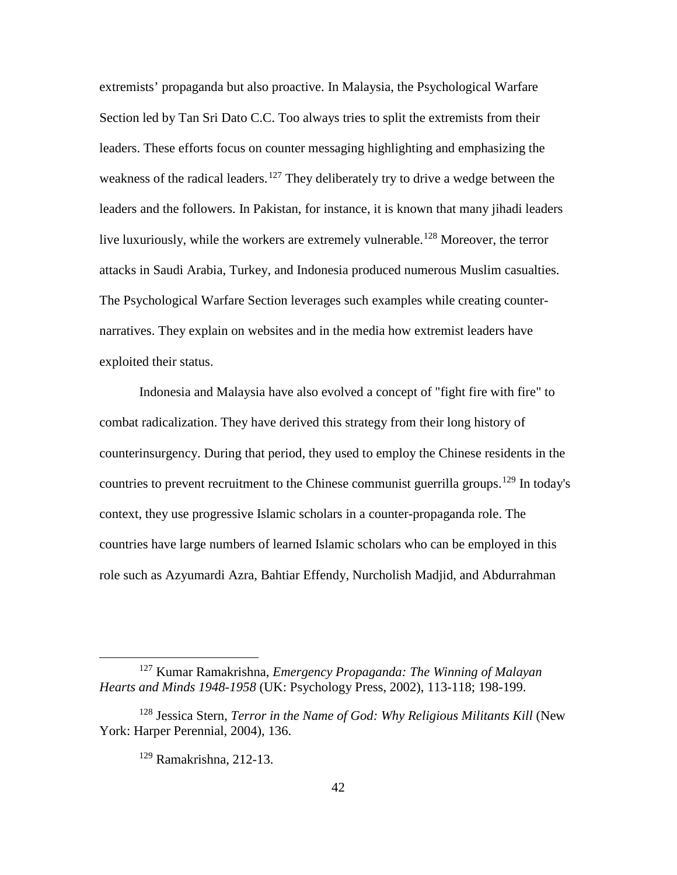extremists' propaganda but also proactive. In Malaysia, the Psychological Warfare Section led by Tan Sri Dato C.C. Too always tries to split the extremists from their leaders. These efforts focus on counter messaging highlighting and emphasizing the weakness of the radical leaders.<sup>[127](#page-51-0)</sup> They deliberately try to drive a wedge between the leaders and the followers. In Pakistan, for instance, it is known that many jihadi leaders live luxuriously, while the workers are extremely vulnerable.<sup>[128](#page-51-1)</sup> Moreover, the terror attacks in Saudi Arabia, Turkey, and Indonesia produced numerous Muslim casualties. The Psychological Warfare Section leverages such examples while creating counternarratives. They explain on websites and in the media how extremist leaders have exploited their status.

Indonesia and Malaysia have also evolved a concept of "fight fire with fire" to combat radicalization. They have derived this strategy from their long history of counterinsurgency. During that period, they used to employ the Chinese residents in the countries to prevent recruitment to the Chinese communist guerrilla groups.<sup>[129](#page-51-2)</sup> In today's context, they use progressive Islamic scholars in a counter-propaganda role. The countries have large numbers of learned Islamic scholars who can be employed in this role such as Azyumardi Azra, Bahtiar Effendy, Nurcholish Madjid, and Abdurrahman

<span id="page-51-0"></span> <sup>127</sup> Kumar Ramakrishna, *Emergency Propaganda: The Winning of Malayan Hearts and Minds 1948-1958* (UK: Psychology Press, 2002), 113-118; 198-199.

<span id="page-51-2"></span><span id="page-51-1"></span><sup>&</sup>lt;sup>128</sup> Jessica Stern, *Terror in the Name of God: Why Religious Militants Kill* (New York: Harper Perennial, 2004), 136.

<sup>129</sup> Ramakrishna, 212-13.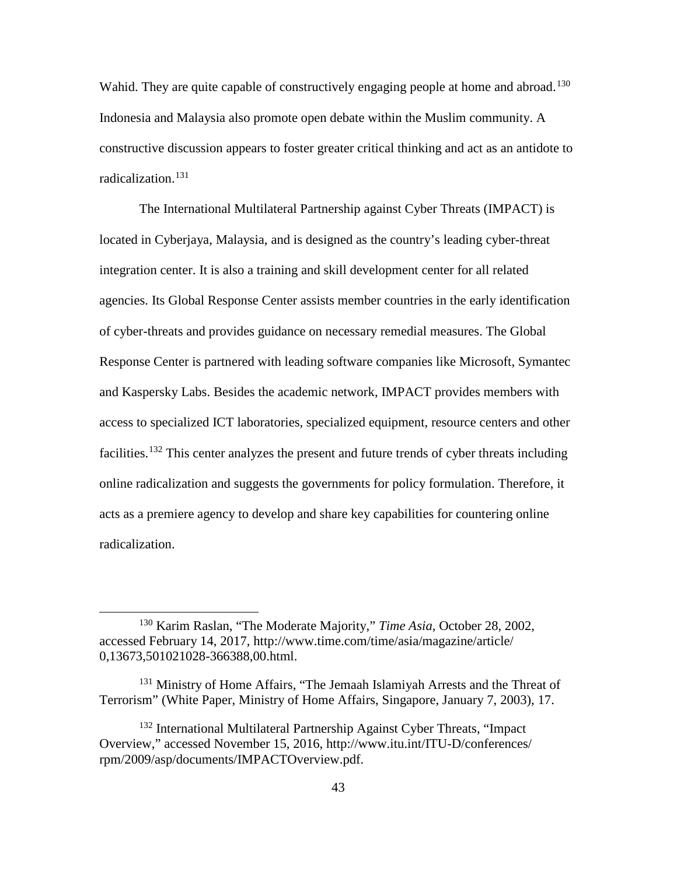Wahid. They are quite capable of constructively engaging people at home and abroad.<sup>[130](#page-52-0)</sup> Indonesia and Malaysia also promote open debate within the Muslim community. A constructive discussion appears to foster greater critical thinking and act as an antidote to radicalization. [131](#page-52-1)

The International Multilateral Partnership against Cyber Threats (IMPACT) is located in Cyberjaya, Malaysia, and is designed as the country's leading cyber-threat integration center. It is also a training and skill development center for all related agencies. Its Global Response Center assists member countries in the early identification of cyber-threats and provides guidance on necessary remedial measures. The Global Response Center is partnered with leading software companies like Microsoft, Symantec and Kaspersky Labs. Besides the academic network, IMPACT provides members with access to specialized ICT laboratories, specialized equipment, resource centers and other facilities.<sup>[132](#page-52-2)</sup> This center analyzes the present and future trends of cyber threats including online radicalization and suggests the governments for policy formulation. Therefore, it acts as a premiere agency to develop and share key capabilities for countering online radicalization.

<span id="page-52-0"></span> <sup>130</sup> Karim Raslan, "The Moderate Majority," *Time Asia*, October 28, 2002, accessed February 14, 2017, http://www.time.com/time/asia/magazine/article/ 0,13673,501021028-366388,00.html.

<span id="page-52-1"></span><sup>&</sup>lt;sup>131</sup> Ministry of Home Affairs, "The Jemaah Islamiyah Arrests and the Threat of Terrorism" (White Paper, Ministry of Home Affairs, Singapore, January 7, 2003), 17.

<span id="page-52-2"></span><sup>132</sup> International Multilateral Partnership Against Cyber Threats, "Impact Overview," accessed November 15, 2016, http://www.itu.int/ITU-D/conferences/ rpm/2009/asp/documents/IMPACTOverview.pdf.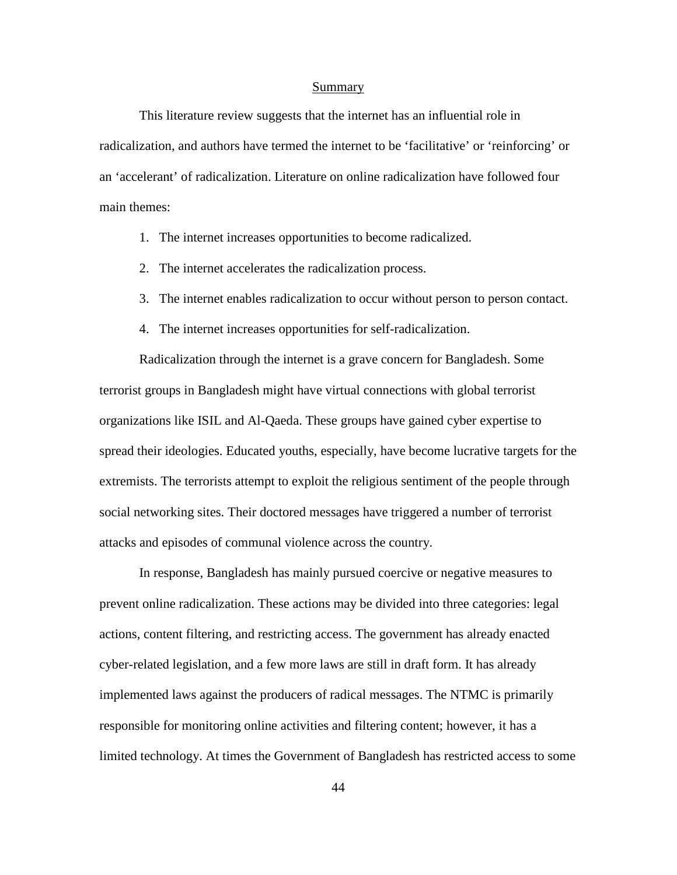#### Summary

This literature review suggests that the internet has an influential role in radicalization, and authors have termed the internet to be 'facilitative' or 'reinforcing' or an 'accelerant' of radicalization. Literature on online radicalization have followed four main themes:

- 1. The internet increases opportunities to become radicalized.
- 2. The internet accelerates the radicalization process.
- 3. The internet enables radicalization to occur without person to person contact.
- 4. The internet increases opportunities for self-radicalization.

Radicalization through the internet is a grave concern for Bangladesh. Some terrorist groups in Bangladesh might have virtual connections with global terrorist organizations like ISIL and Al-Qaeda. These groups have gained cyber expertise to spread their ideologies. Educated youths, especially, have become lucrative targets for the extremists. The terrorists attempt to exploit the religious sentiment of the people through social networking sites. Their doctored messages have triggered a number of terrorist attacks and episodes of communal violence across the country.

In response, Bangladesh has mainly pursued coercive or negative measures to prevent online radicalization. These actions may be divided into three categories: legal actions, content filtering, and restricting access. The government has already enacted cyber-related legislation, and a few more laws are still in draft form. It has already implemented laws against the producers of radical messages. The NTMC is primarily responsible for monitoring online activities and filtering content; however, it has a limited technology. At times the Government of Bangladesh has restricted access to some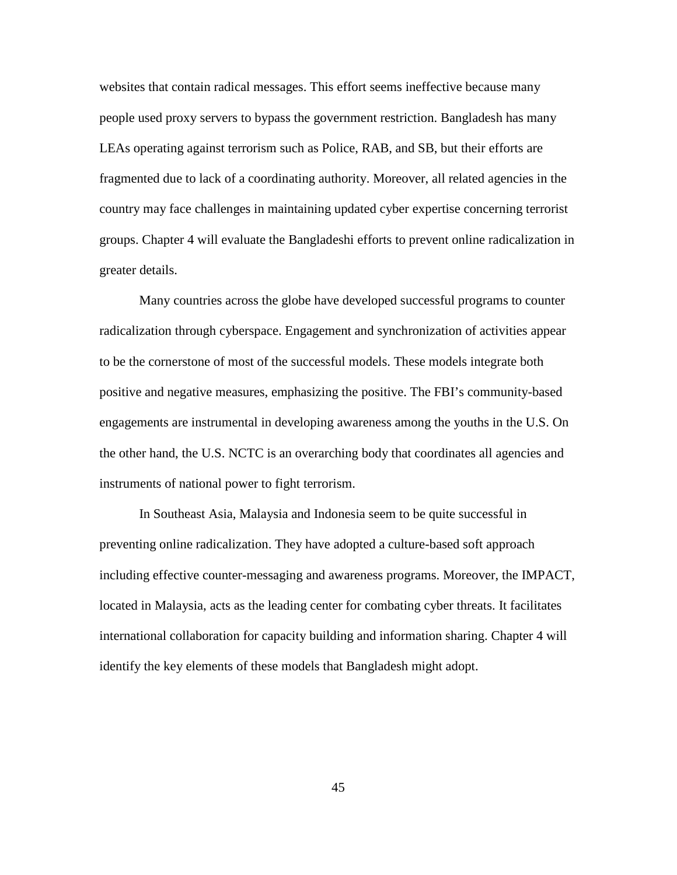websites that contain radical messages. This effort seems ineffective because many people used proxy servers to bypass the government restriction. Bangladesh has many LEAs operating against terrorism such as Police, RAB, and SB, but their efforts are fragmented due to lack of a coordinating authority. Moreover, all related agencies in the country may face challenges in maintaining updated cyber expertise concerning terrorist groups. Chapter 4 will evaluate the Bangladeshi efforts to prevent online radicalization in greater details.

Many countries across the globe have developed successful programs to counter radicalization through cyberspace. Engagement and synchronization of activities appear to be the cornerstone of most of the successful models. These models integrate both positive and negative measures, emphasizing the positive. The FBI's community-based engagements are instrumental in developing awareness among the youths in the U.S. On the other hand, the U.S. NCTC is an overarching body that coordinates all agencies and instruments of national power to fight terrorism.

In Southeast Asia, Malaysia and Indonesia seem to be quite successful in preventing online radicalization. They have adopted a culture-based soft approach including effective counter-messaging and awareness programs. Moreover, the IMPACT, located in Malaysia, acts as the leading center for combating cyber threats. It facilitates international collaboration for capacity building and information sharing. Chapter 4 will identify the key elements of these models that Bangladesh might adopt.

45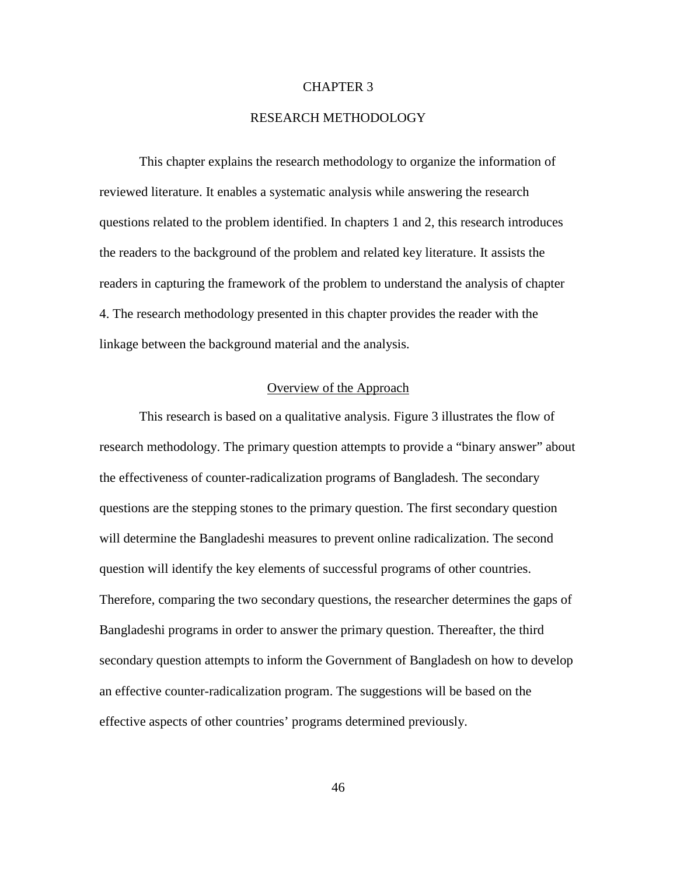## CHAPTER 3

## RESEARCH METHODOLOGY

This chapter explains the research methodology to organize the information of reviewed literature. It enables a systematic analysis while answering the research questions related to the problem identified. In chapters 1 and 2, this research introduces the readers to the background of the problem and related key literature. It assists the readers in capturing the framework of the problem to understand the analysis of chapter 4. The research methodology presented in this chapter provides the reader with the linkage between the background material and the analysis.

# Overview of the Approach

This research is based on a qualitative analysis. Figure 3 illustrates the flow of research methodology. The primary question attempts to provide a "binary answer" about the effectiveness of counter-radicalization programs of Bangladesh. The secondary questions are the stepping stones to the primary question. The first secondary question will determine the Bangladeshi measures to prevent online radicalization. The second question will identify the key elements of successful programs of other countries. Therefore, comparing the two secondary questions, the researcher determines the gaps of Bangladeshi programs in order to answer the primary question. Thereafter, the third secondary question attempts to inform the Government of Bangladesh on how to develop an effective counter-radicalization program. The suggestions will be based on the effective aspects of other countries' programs determined previously.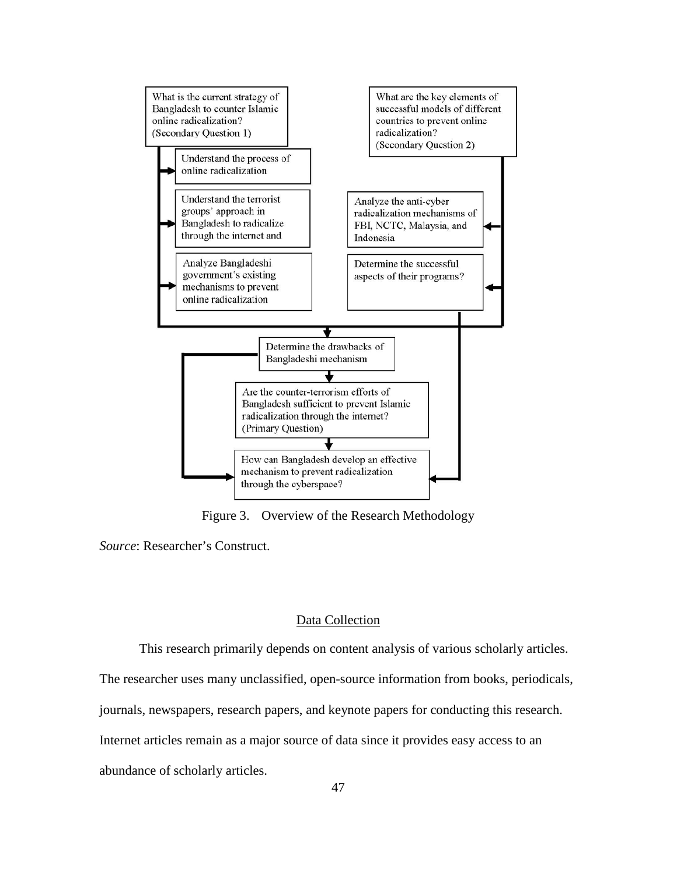

Figure 3. Overview of the Research Methodology

*Source*: Researcher's Construct.

#### Data Collection

This research primarily depends on content analysis of various scholarly articles.

The researcher uses many unclassified, open-source information from books, periodicals,

journals, newspapers, research papers, and keynote papers for conducting this research.

Internet articles remain as a major source of data since it provides easy access to an

abundance of scholarly articles.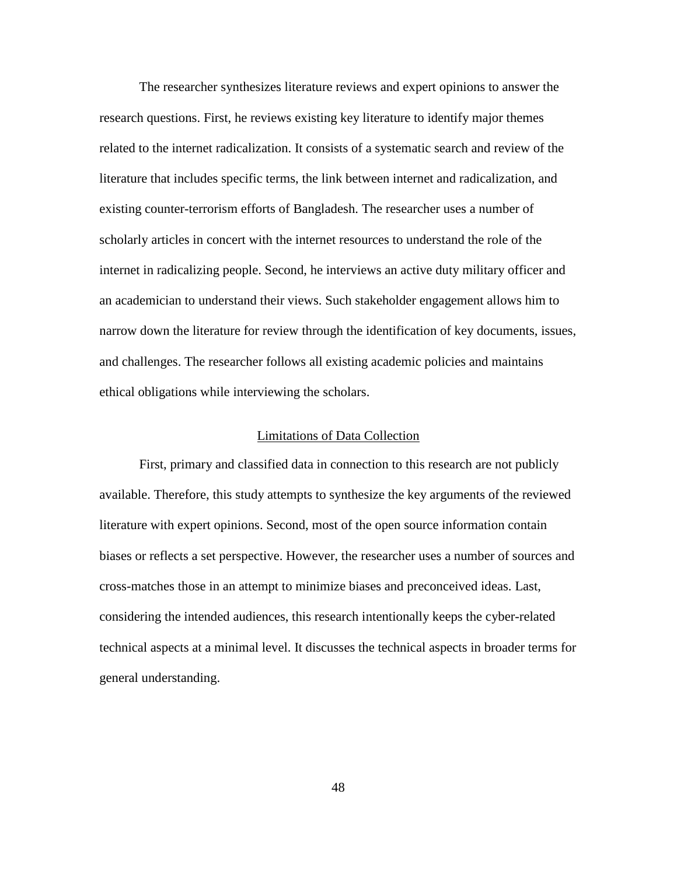The researcher synthesizes literature reviews and expert opinions to answer the research questions. First, he reviews existing key literature to identify major themes related to the internet radicalization. It consists of a systematic search and review of the literature that includes specific terms, the link between internet and radicalization, and existing counter-terrorism efforts of Bangladesh. The researcher uses a number of scholarly articles in concert with the internet resources to understand the role of the internet in radicalizing people. Second, he interviews an active duty military officer and an academician to understand their views. Such stakeholder engagement allows him to narrow down the literature for review through the identification of key documents, issues, and challenges. The researcher follows all existing academic policies and maintains ethical obligations while interviewing the scholars.

#### Limitations of Data Collection

First, primary and classified data in connection to this research are not publicly available. Therefore, this study attempts to synthesize the key arguments of the reviewed literature with expert opinions. Second, most of the open source information contain biases or reflects a set perspective. However, the researcher uses a number of sources and cross-matches those in an attempt to minimize biases and preconceived ideas. Last, considering the intended audiences, this research intentionally keeps the cyber-related technical aspects at a minimal level. It discusses the technical aspects in broader terms for general understanding.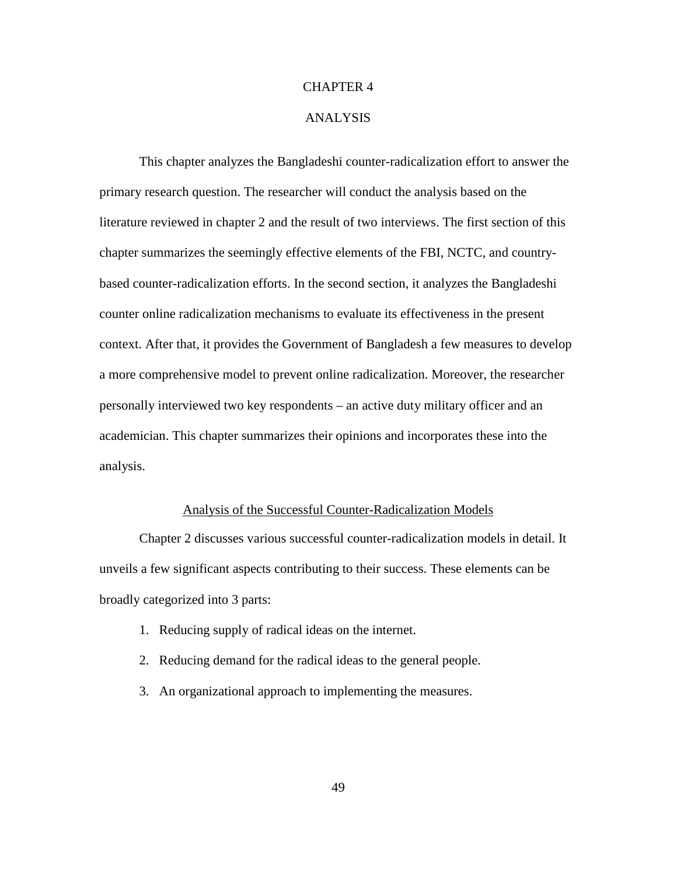## CHAPTER 4

## ANALYSIS

This chapter analyzes the Bangladeshi counter-radicalization effort to answer the primary research question. The researcher will conduct the analysis based on the literature reviewed in chapter 2 and the result of two interviews. The first section of this chapter summarizes the seemingly effective elements of the FBI, NCTC, and countrybased counter-radicalization efforts. In the second section, it analyzes the Bangladeshi counter online radicalization mechanisms to evaluate its effectiveness in the present context. After that, it provides the Government of Bangladesh a few measures to develop a more comprehensive model to prevent online radicalization. Moreover, the researcher personally interviewed two key respondents – an active duty military officer and an academician. This chapter summarizes their opinions and incorporates these into the analysis.

## Analysis of the Successful Counter-Radicalization Models

Chapter 2 discusses various successful counter-radicalization models in detail. It unveils a few significant aspects contributing to their success. These elements can be broadly categorized into 3 parts:

- 1. Reducing supply of radical ideas on the internet.
- 2. Reducing demand for the radical ideas to the general people.
- 3. An organizational approach to implementing the measures.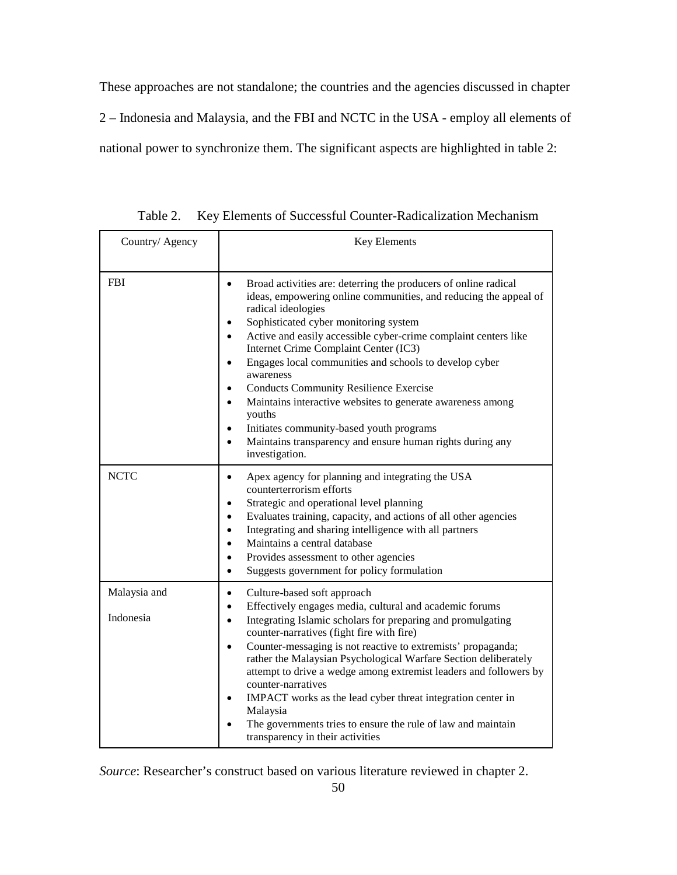These approaches are not standalone; the countries and the agencies discussed in chapter 2 – Indonesia and Malaysia, and the FBI and NCTC in the USA - employ all elements of national power to synchronize them. The significant aspects are highlighted in table 2:

| Country/ Agency           | Key Elements                                                                                                                                                                                                                                                                                                                                                                                                                                                                                                                                                                                                                                                                          |
|---------------------------|---------------------------------------------------------------------------------------------------------------------------------------------------------------------------------------------------------------------------------------------------------------------------------------------------------------------------------------------------------------------------------------------------------------------------------------------------------------------------------------------------------------------------------------------------------------------------------------------------------------------------------------------------------------------------------------|
| <b>FBI</b>                | Broad activities are: deterring the producers of online radical<br>$\bullet$<br>ideas, empowering online communities, and reducing the appeal of<br>radical ideologies<br>Sophisticated cyber monitoring system<br>٠<br>Active and easily accessible cyber-crime complaint centers like<br>Internet Crime Complaint Center (IC3)<br>Engages local communities and schools to develop cyber<br>awareness<br><b>Conducts Community Resilience Exercise</b><br>Maintains interactive websites to generate awareness among<br>youths<br>Initiates community-based youth programs<br>$\bullet$<br>Maintains transparency and ensure human rights during any<br>$\bullet$<br>investigation. |
| <b>NCTC</b>               | Apex agency for planning and integrating the USA<br>$\bullet$<br>counterterrorism efforts<br>Strategic and operational level planning<br>Evaluates training, capacity, and actions of all other agencies<br>Integrating and sharing intelligence with all partners<br>$\bullet$<br>Maintains a central database<br>$\bullet$<br>Provides assessment to other agencies<br>$\bullet$<br>Suggests government for policy formulation<br>$\bullet$                                                                                                                                                                                                                                         |
| Malaysia and<br>Indonesia | Culture-based soft approach<br>$\bullet$<br>Effectively engages media, cultural and academic forums<br>$\bullet$<br>Integrating Islamic scholars for preparing and promulgating<br>$\bullet$<br>counter-narratives (fight fire with fire)<br>Counter-messaging is not reactive to extremists' propaganda;<br>$\bullet$<br>rather the Malaysian Psychological Warfare Section deliberately<br>attempt to drive a wedge among extremist leaders and followers by<br>counter-narratives<br>IMPACT works as the lead cyber threat integration center in<br>Malaysia<br>The governments tries to ensure the rule of law and maintain<br>transparency in their activities                   |

Table 2. Key Elements of Successful Counter-Radicalization Mechanism

*Source*: Researcher's construct based on various literature reviewed in chapter 2.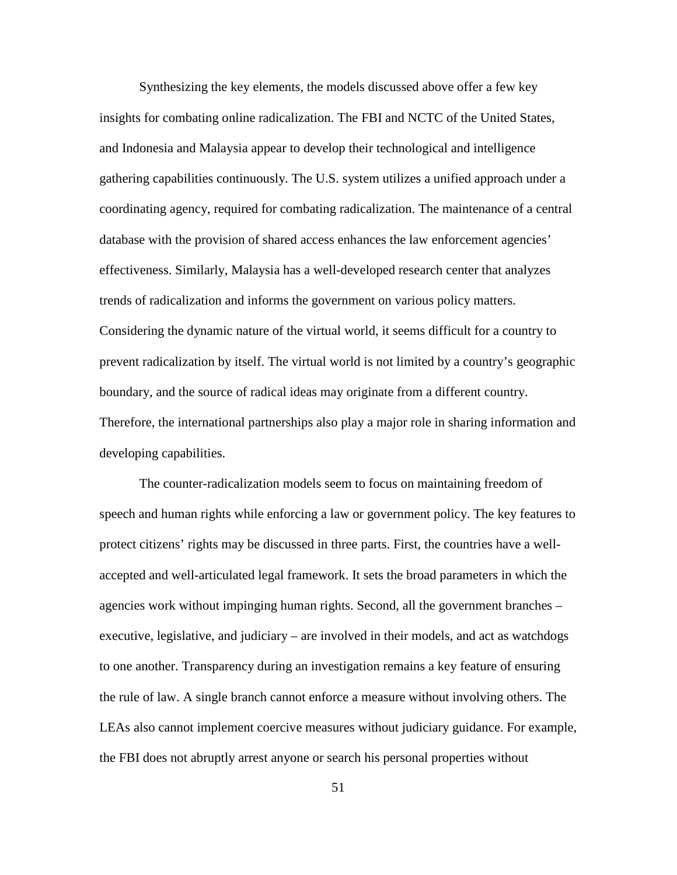Synthesizing the key elements, the models discussed above offer a few key insights for combating online radicalization. The FBI and NCTC of the United States, and Indonesia and Malaysia appear to develop their technological and intelligence gathering capabilities continuously. The U.S. system utilizes a unified approach under a coordinating agency, required for combating radicalization. The maintenance of a central database with the provision of shared access enhances the law enforcement agencies' effectiveness. Similarly, Malaysia has a well-developed research center that analyzes trends of radicalization and informs the government on various policy matters. Considering the dynamic nature of the virtual world, it seems difficult for a country to prevent radicalization by itself. The virtual world is not limited by a country's geographic boundary, and the source of radical ideas may originate from a different country. Therefore, the international partnerships also play a major role in sharing information and developing capabilities.

The counter-radicalization models seem to focus on maintaining freedom of speech and human rights while enforcing a law or government policy. The key features to protect citizens' rights may be discussed in three parts. First, the countries have a wellaccepted and well-articulated legal framework. It sets the broad parameters in which the agencies work without impinging human rights. Second, all the government branches – executive, legislative, and judiciary – are involved in their models, and act as watchdogs to one another. Transparency during an investigation remains a key feature of ensuring the rule of law. A single branch cannot enforce a measure without involving others. The LEAs also cannot implement coercive measures without judiciary guidance. For example, the FBI does not abruptly arrest anyone or search his personal properties without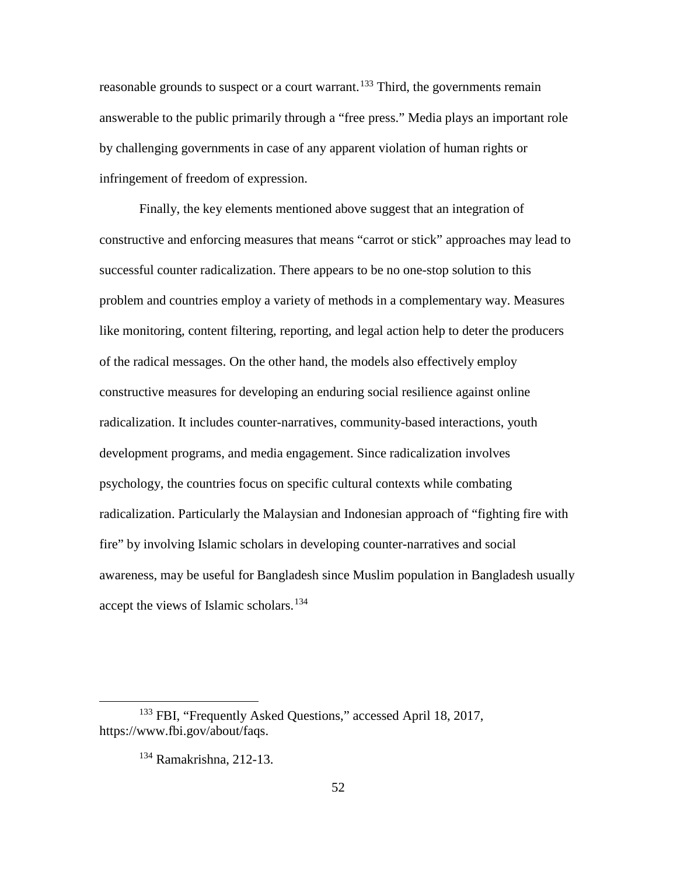reasonable grounds to suspect or a court warrant.<sup>[133](#page-61-0)</sup> Third, the governments remain answerable to the public primarily through a "free press." Media plays an important role by challenging governments in case of any apparent violation of human rights or infringement of freedom of expression.

Finally, the key elements mentioned above suggest that an integration of constructive and enforcing measures that means "carrot or stick" approaches may lead to successful counter radicalization. There appears to be no one-stop solution to this problem and countries employ a variety of methods in a complementary way. Measures like monitoring, content filtering, reporting, and legal action help to deter the producers of the radical messages. On the other hand, the models also effectively employ constructive measures for developing an enduring social resilience against online radicalization. It includes counter-narratives, community-based interactions, youth development programs, and media engagement. Since radicalization involves psychology, the countries focus on specific cultural contexts while combating radicalization. Particularly the Malaysian and Indonesian approach of "fighting fire with fire" by involving Islamic scholars in developing counter-narratives and social awareness, may be useful for Bangladesh since Muslim population in Bangladesh usually accept the views of Islamic scholars.<sup>[134](#page-61-1)</sup>

<span id="page-61-1"></span><span id="page-61-0"></span><sup>&</sup>lt;sup>133</sup> FBI, "Frequently Asked Questions," accessed April 18, 2017, https://www.fbi.gov/about/faqs.

<sup>134</sup> Ramakrishna, 212-13.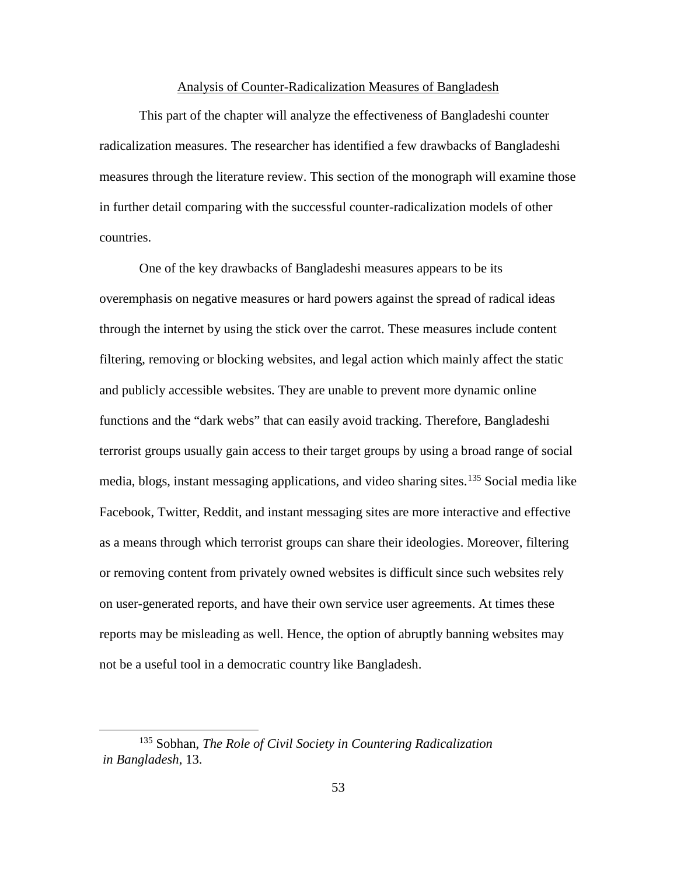## Analysis of Counter-Radicalization Measures of Bangladesh

This part of the chapter will analyze the effectiveness of Bangladeshi counter radicalization measures. The researcher has identified a few drawbacks of Bangladeshi measures through the literature review. This section of the monograph will examine those in further detail comparing with the successful counter-radicalization models of other countries.

One of the key drawbacks of Bangladeshi measures appears to be its overemphasis on negative measures or hard powers against the spread of radical ideas through the internet by using the stick over the carrot. These measures include content filtering, removing or blocking websites, and legal action which mainly affect the static and publicly accessible websites. They are unable to prevent more dynamic online functions and the "dark webs" that can easily avoid tracking. Therefore, Bangladeshi terrorist groups usually gain access to their target groups by using a broad range of social media, blogs, instant messaging applications, and video sharing sites. [135](#page-62-0) Social media like Facebook, Twitter, Reddit, and instant messaging sites are more interactive and effective as a means through which terrorist groups can share their ideologies. Moreover, filtering or removing content from privately owned websites is difficult since such websites rely on user-generated reports, and have their own service user agreements. At times these reports may be misleading as well. Hence, the option of abruptly banning websites may not be a useful tool in a democratic country like Bangladesh.

<span id="page-62-0"></span> <sup>135</sup> Sobhan, *The Role of Civil Society in Countering Radicalization in Bangladesh*, 13.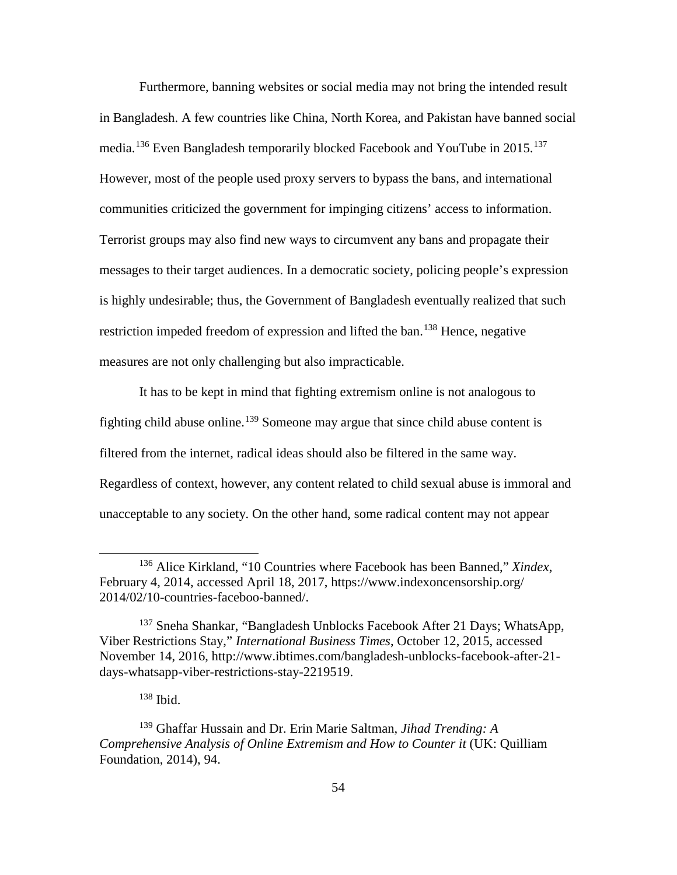Furthermore, banning websites or social media may not bring the intended result in Bangladesh. A few countries like China, North Korea, and Pakistan have banned social media.<sup>[136](#page-63-0)</sup> Even Bangladesh temporarily blocked Facebook and YouTube in 2015.<sup>[137](#page-63-1)</sup> However, most of the people used proxy servers to bypass the bans, and international communities criticized the government for impinging citizens' access to information. Terrorist groups may also find new ways to circumvent any bans and propagate their messages to their target audiences. In a democratic society, policing people's expression is highly undesirable; thus, the Government of Bangladesh eventually realized that such restriction impeded freedom of expression and lifted the ban.<sup>[138](#page-63-2)</sup> Hence, negative measures are not only challenging but also impracticable.

It has to be kept in mind that fighting extremism online is not analogous to fighting child abuse online. [139](#page-63-3) Someone may argue that since child abuse content is filtered from the internet, radical ideas should also be filtered in the same way. Regardless of context, however, any content related to child sexual abuse is immoral and unacceptable to any society. On the other hand, some radical content may not appear

<sup>138</sup> Ibid.

<span id="page-63-0"></span> <sup>136</sup> Alice Kirkland, "10 Countries where Facebook has been Banned," *Xindex*, February 4, 2014, accessed April 18, 2017, https://www.indexoncensorship.org/ 2014/02/10-countries-faceboo-banned/.

<span id="page-63-1"></span><sup>&</sup>lt;sup>137</sup> Sneha Shankar, "Bangladesh Unblocks Facebook After 21 Days; WhatsApp, Viber Restrictions Stay," *International Business Times*, October 12, 2015, accessed November 14, 2016, http://www.ibtimes.com/bangladesh-unblocks-facebook-after-21 days-whatsapp-viber-restrictions-stay-2219519.

<span id="page-63-3"></span><span id="page-63-2"></span><sup>139</sup> Ghaffar Hussain and Dr. Erin Marie Saltman, *Jihad Trending: A Comprehensive Analysis of Online Extremism and How to Counter it* (UK: Quilliam Foundation, 2014), 94.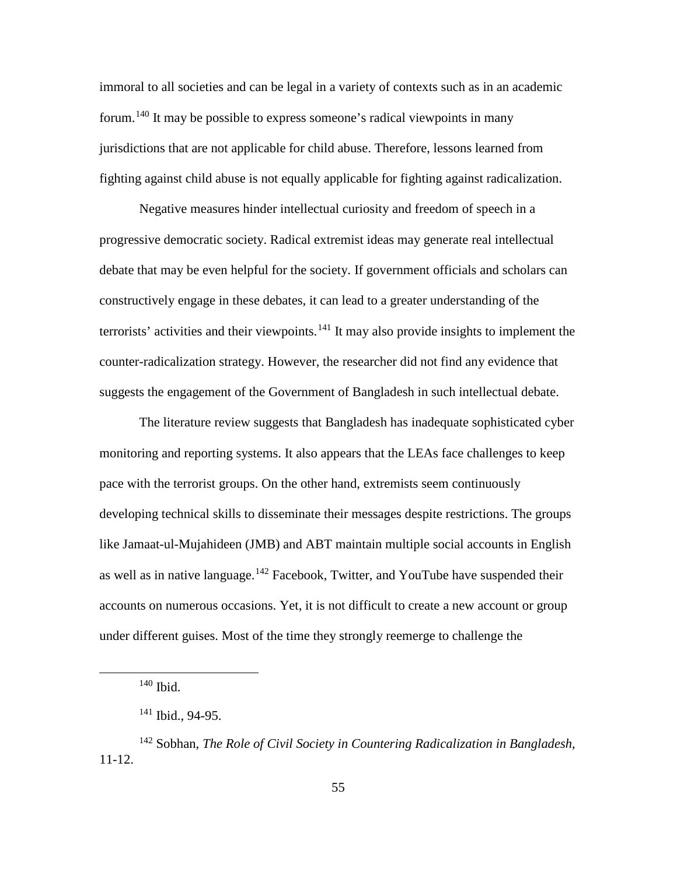immoral to all societies and can be legal in a variety of contexts such as in an academic forum. [140](#page-64-0) It may be possible to express someone's radical viewpoints in many jurisdictions that are not applicable for child abuse. Therefore, lessons learned from fighting against child abuse is not equally applicable for fighting against radicalization.

Negative measures hinder intellectual curiosity and freedom of speech in a progressive democratic society. Radical extremist ideas may generate real intellectual debate that may be even helpful for the society. If government officials and scholars can constructively engage in these debates, it can lead to a greater understanding of the terrorists' activities and their viewpoints.<sup>[141](#page-64-1)</sup> It may also provide insights to implement the counter-radicalization strategy. However, the researcher did not find any evidence that suggests the engagement of the Government of Bangladesh in such intellectual debate.

The literature review suggests that Bangladesh has inadequate sophisticated cyber monitoring and reporting systems. It also appears that the LEAs face challenges to keep pace with the terrorist groups. On the other hand, extremists seem continuously developing technical skills to disseminate their messages despite restrictions. The groups like Jamaat-ul-Mujahideen (JMB) and ABT maintain multiple social accounts in English as well as in native language.<sup>[142](#page-64-2)</sup> Facebook, Twitter, and YouTube have suspended their accounts on numerous occasions. Yet, it is not difficult to create a new account or group under different guises. Most of the time they strongly reemerge to challenge the

 <sup>140</sup> Ibid.

 $141$  Ibid., 94-95.

<span id="page-64-2"></span><span id="page-64-1"></span><span id="page-64-0"></span><sup>142</sup> Sobhan, *The Role of Civil Society in Countering Radicalization in Bangladesh*, 11-12.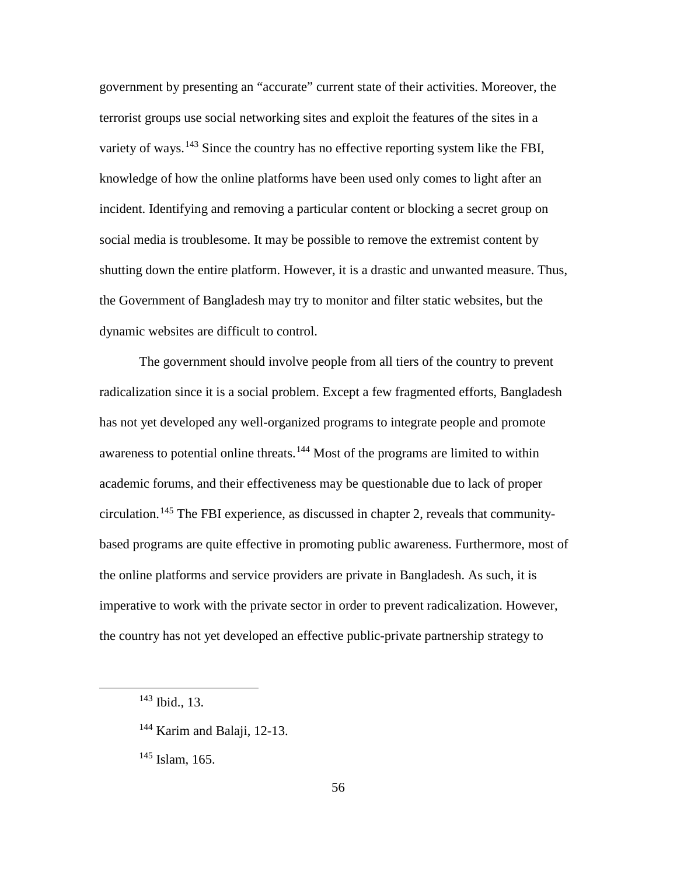government by presenting an "accurate" current state of their activities. Moreover, the terrorist groups use social networking sites and exploit the features of the sites in a variety of ways.<sup>[143](#page-65-0)</sup> Since the country has no effective reporting system like the FBI, knowledge of how the online platforms have been used only comes to light after an incident. Identifying and removing a particular content or blocking a secret group on social media is troublesome. It may be possible to remove the extremist content by shutting down the entire platform. However, it is a drastic and unwanted measure. Thus, the Government of Bangladesh may try to monitor and filter static websites, but the dynamic websites are difficult to control.

The government should involve people from all tiers of the country to prevent radicalization since it is a social problem. Except a few fragmented efforts, Bangladesh has not yet developed any well-organized programs to integrate people and promote awareness to potential online threats.<sup>[144](#page-65-1)</sup> Most of the programs are limited to within academic forums, and their effectiveness may be questionable due to lack of proper circulation. [145](#page-65-2) The FBI experience, as discussed in chapter 2, reveals that communitybased programs are quite effective in promoting public awareness. Furthermore, most of the online platforms and service providers are private in Bangladesh. As such, it is imperative to work with the private sector in order to prevent radicalization. However, the country has not yet developed an effective public-private partnership strategy to

<span id="page-65-2"></span> $145$  Islam, 165.

<span id="page-65-0"></span> $143$  Ibid., 13.

<span id="page-65-1"></span><sup>&</sup>lt;sup>144</sup> Karim and Balaji, 12-13.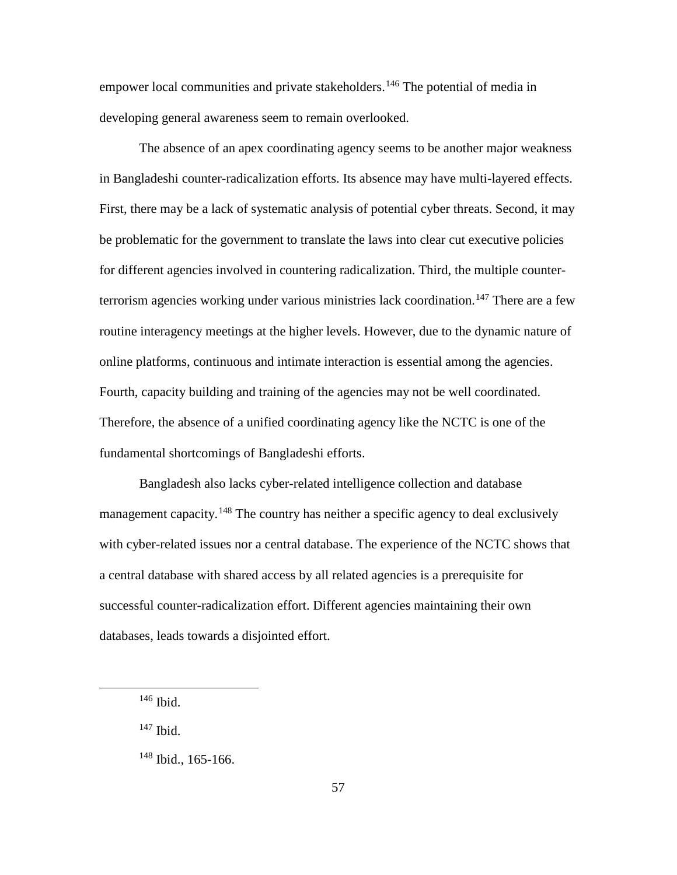empower local communities and private stakeholders.<sup>[146](#page-66-0)</sup> The potential of media in developing general awareness seem to remain overlooked.

The absence of an apex coordinating agency seems to be another major weakness in Bangladeshi counter-radicalization efforts. Its absence may have multi-layered effects. First, there may be a lack of systematic analysis of potential cyber threats. Second, it may be problematic for the government to translate the laws into clear cut executive policies for different agencies involved in countering radicalization. Third, the multiple counter-terrorism agencies working under various ministries lack coordination.<sup>[147](#page-66-1)</sup> There are a few routine interagency meetings at the higher levels. However, due to the dynamic nature of online platforms, continuous and intimate interaction is essential among the agencies. Fourth, capacity building and training of the agencies may not be well coordinated. Therefore, the absence of a unified coordinating agency like the NCTC is one of the fundamental shortcomings of Bangladeshi efforts.

Bangladesh also lacks cyber-related intelligence collection and database management capacity.<sup>[148](#page-66-2)</sup> The country has neither a specific agency to deal exclusively with cyber-related issues nor a central database. The experience of the NCTC shows that a central database with shared access by all related agencies is a prerequisite for successful counter-radicalization effort. Different agencies maintaining their own databases, leads towards a disjointed effort.

<span id="page-66-1"></span><sup>147</sup> Ibid.

<span id="page-66-0"></span> $146$  Ibid.

<span id="page-66-2"></span> $148$  Ibid., 165-166.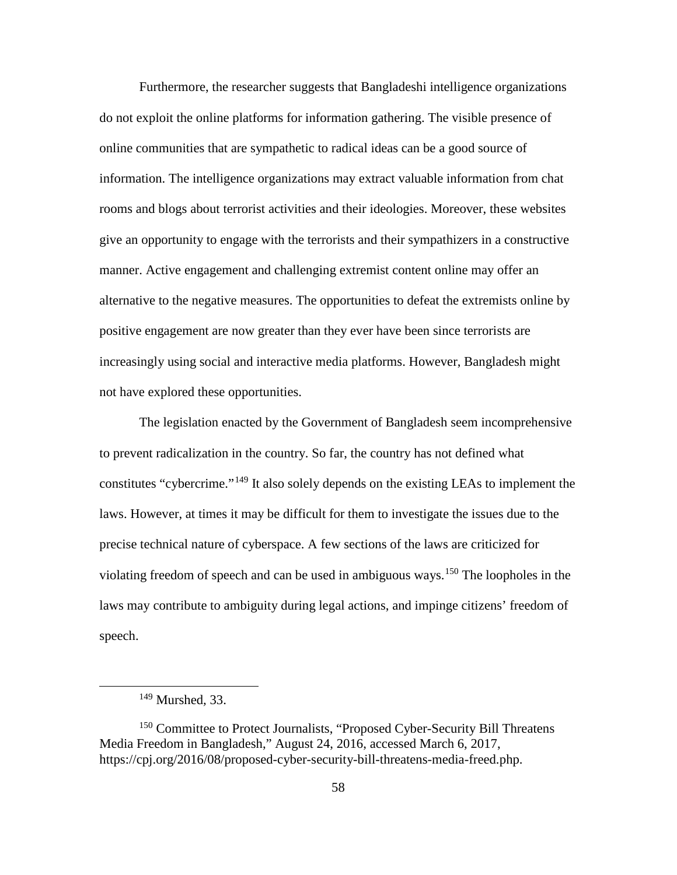Furthermore, the researcher suggests that Bangladeshi intelligence organizations do not exploit the online platforms for information gathering. The visible presence of online communities that are sympathetic to radical ideas can be a good source of information. The intelligence organizations may extract valuable information from chat rooms and blogs about terrorist activities and their ideologies. Moreover, these websites give an opportunity to engage with the terrorists and their sympathizers in a constructive manner. Active engagement and challenging extremist content online may offer an alternative to the negative measures. The opportunities to defeat the extremists online by positive engagement are now greater than they ever have been since terrorists are increasingly using social and interactive media platforms. However, Bangladesh might not have explored these opportunities.

The legislation enacted by the Government of Bangladesh seem incomprehensive to prevent radicalization in the country. So far, the country has not defined what constitutes "cybercrime."<sup>[149](#page-67-0)</sup> It also solely depends on the existing LEAs to implement the laws. However, at times it may be difficult for them to investigate the issues due to the precise technical nature of cyberspace. A few sections of the laws are criticized for violating freedom of speech and can be used in ambiguous ways. [150](#page-67-1) The loopholes in the laws may contribute to ambiguity during legal actions, and impinge citizens' freedom of speech.

 <sup>149</sup> Murshed*,* 33.

<span id="page-67-1"></span><span id="page-67-0"></span><sup>&</sup>lt;sup>150</sup> Committee to Protect Journalists, "Proposed Cyber-Security Bill Threatens Media Freedom in Bangladesh," August 24, 2016, accessed March 6, 2017, https://cpj.org/2016/08/proposed-cyber-security-bill-threatens-media-freed.php.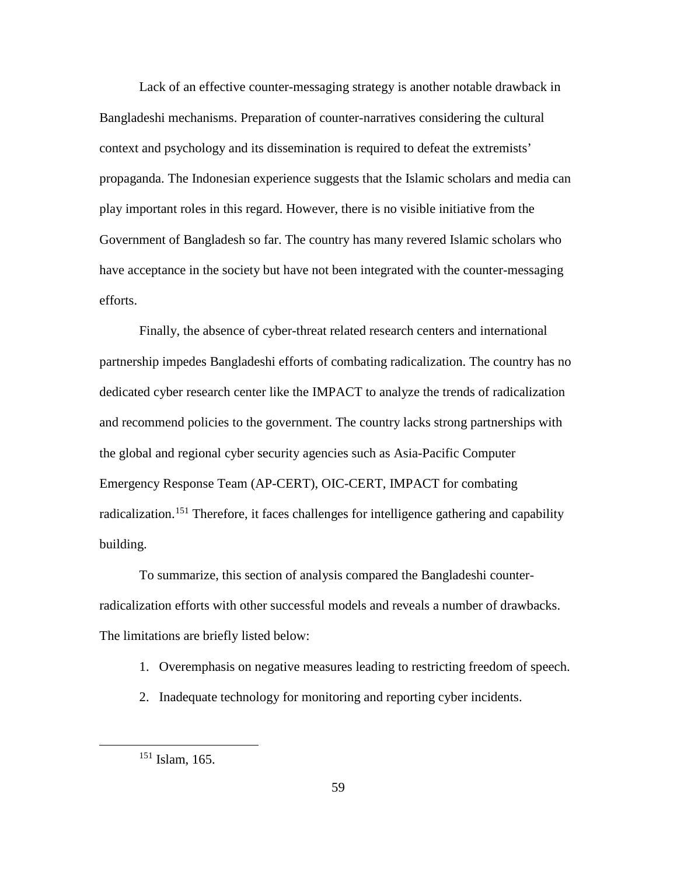Lack of an effective counter-messaging strategy is another notable drawback in Bangladeshi mechanisms. Preparation of counter-narratives considering the cultural context and psychology and its dissemination is required to defeat the extremists' propaganda. The Indonesian experience suggests that the Islamic scholars and media can play important roles in this regard. However, there is no visible initiative from the Government of Bangladesh so far. The country has many revered Islamic scholars who have acceptance in the society but have not been integrated with the counter-messaging efforts.

Finally, the absence of cyber-threat related research centers and international partnership impedes Bangladeshi efforts of combating radicalization. The country has no dedicated cyber research center like the IMPACT to analyze the trends of radicalization and recommend policies to the government. The country lacks strong partnerships with the global and regional cyber security agencies such as Asia-Pacific Computer Emergency Response Team (AP-CERT), OIC-CERT, IMPACT for combating radicalization.<sup>[151](#page-68-0)</sup> Therefore, it faces challenges for intelligence gathering and capability building.

To summarize, this section of analysis compared the Bangladeshi counterradicalization efforts with other successful models and reveals a number of drawbacks. The limitations are briefly listed below:

- 1. Overemphasis on negative measures leading to restricting freedom of speech.
- 2. Inadequate technology for monitoring and reporting cyber incidents.

<span id="page-68-0"></span> $151$  Islam, 165.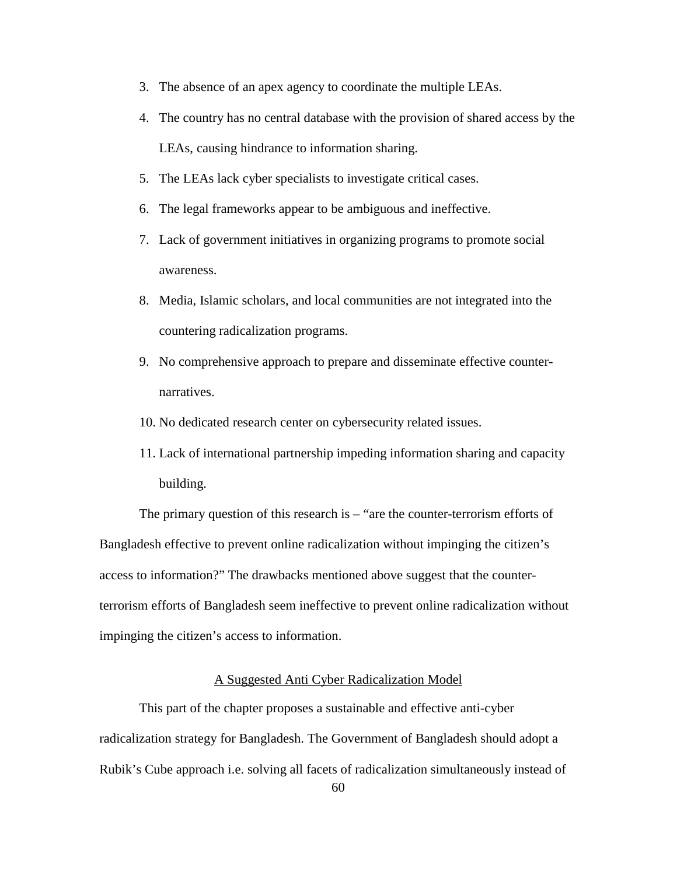- 3. The absence of an apex agency to coordinate the multiple LEAs.
- 4. The country has no central database with the provision of shared access by the LEAs, causing hindrance to information sharing.
- 5. The LEAs lack cyber specialists to investigate critical cases.
- 6. The legal frameworks appear to be ambiguous and ineffective.
- 7. Lack of government initiatives in organizing programs to promote social awareness.
- 8. Media, Islamic scholars, and local communities are not integrated into the countering radicalization programs.
- 9. No comprehensive approach to prepare and disseminate effective counternarratives.
- 10. No dedicated research center on cybersecurity related issues.
- 11. Lack of international partnership impeding information sharing and capacity building.

The primary question of this research is – "are the counter-terrorism efforts of Bangladesh effective to prevent online radicalization without impinging the citizen's access to information?" The drawbacks mentioned above suggest that the counterterrorism efforts of Bangladesh seem ineffective to prevent online radicalization without impinging the citizen's access to information.

# A Suggested Anti Cyber Radicalization Model

This part of the chapter proposes a sustainable and effective anti-cyber radicalization strategy for Bangladesh. The Government of Bangladesh should adopt a Rubik's Cube approach i.e. solving all facets of radicalization simultaneously instead of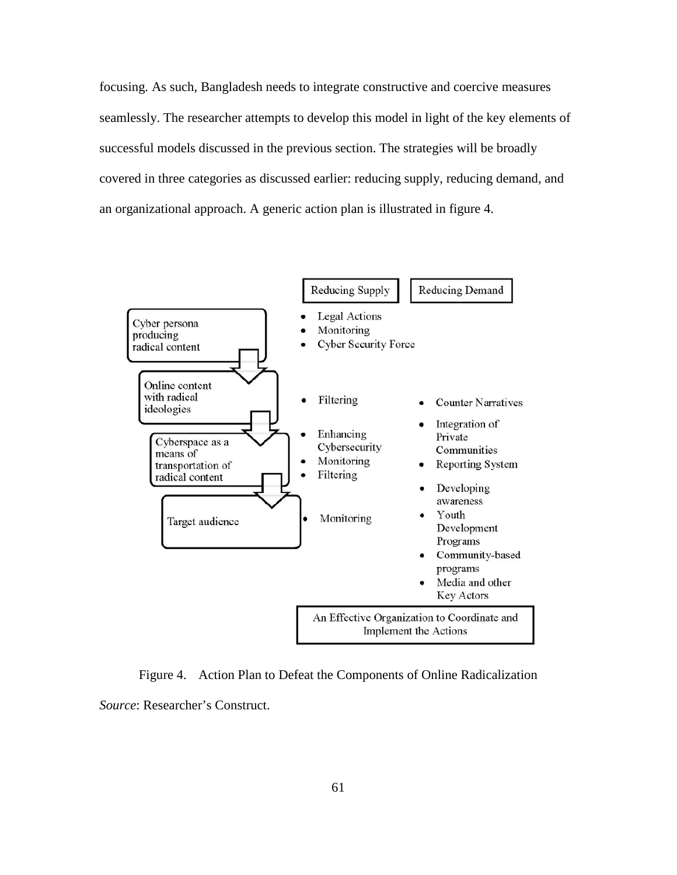focusing. As such, Bangladesh needs to integrate constructive and coercive measures seamlessly. The researcher attempts to develop this model in light of the key elements of successful models discussed in the previous section. The strategies will be broadly covered in three categories as discussed earlier: reducing supply, reducing demand, and an organizational approach. A generic action plan is illustrated in figure 4.



Figure 4. Action Plan to Defeat the Components of Online Radicalization *Source*: Researcher's Construct.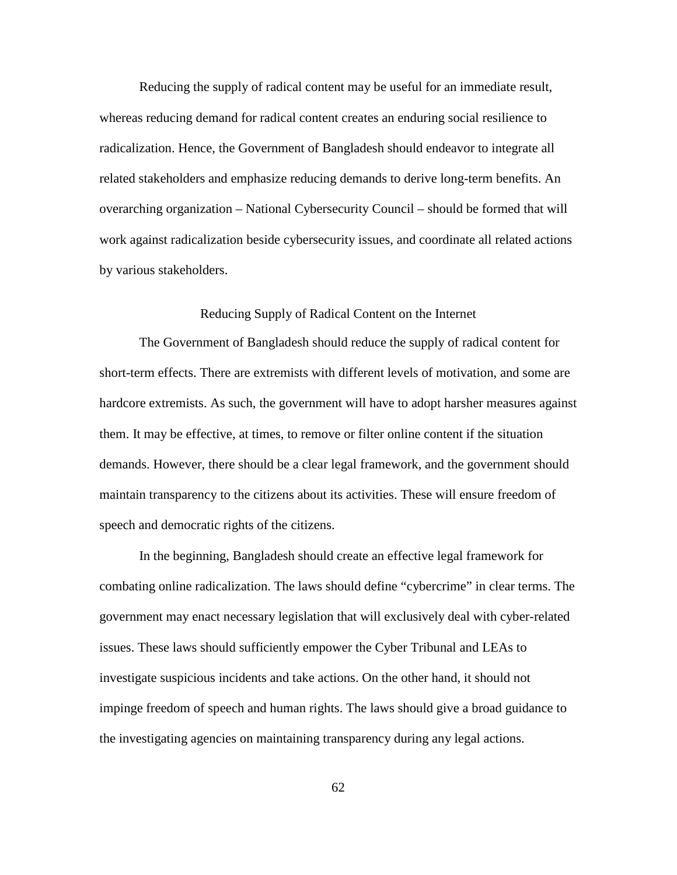Reducing the supply of radical content may be useful for an immediate result, whereas reducing demand for radical content creates an enduring social resilience to radicalization. Hence, the Government of Bangladesh should endeavor to integrate all related stakeholders and emphasize reducing demands to derive long-term benefits. An overarching organization – National Cybersecurity Council – should be formed that will work against radicalization beside cybersecurity issues, and coordinate all related actions by various stakeholders.

# Reducing Supply of Radical Content on the Internet

The Government of Bangladesh should reduce the supply of radical content for short-term effects. There are extremists with different levels of motivation, and some are hardcore extremists. As such, the government will have to adopt harsher measures against them. It may be effective, at times, to remove or filter online content if the situation demands. However, there should be a clear legal framework, and the government should maintain transparency to the citizens about its activities. These will ensure freedom of speech and democratic rights of the citizens.

In the beginning, Bangladesh should create an effective legal framework for combating online radicalization. The laws should define "cybercrime" in clear terms. The government may enact necessary legislation that will exclusively deal with cyber-related issues. These laws should sufficiently empower the Cyber Tribunal and LEAs to investigate suspicious incidents and take actions. On the other hand, it should not impinge freedom of speech and human rights. The laws should give a broad guidance to the investigating agencies on maintaining transparency during any legal actions.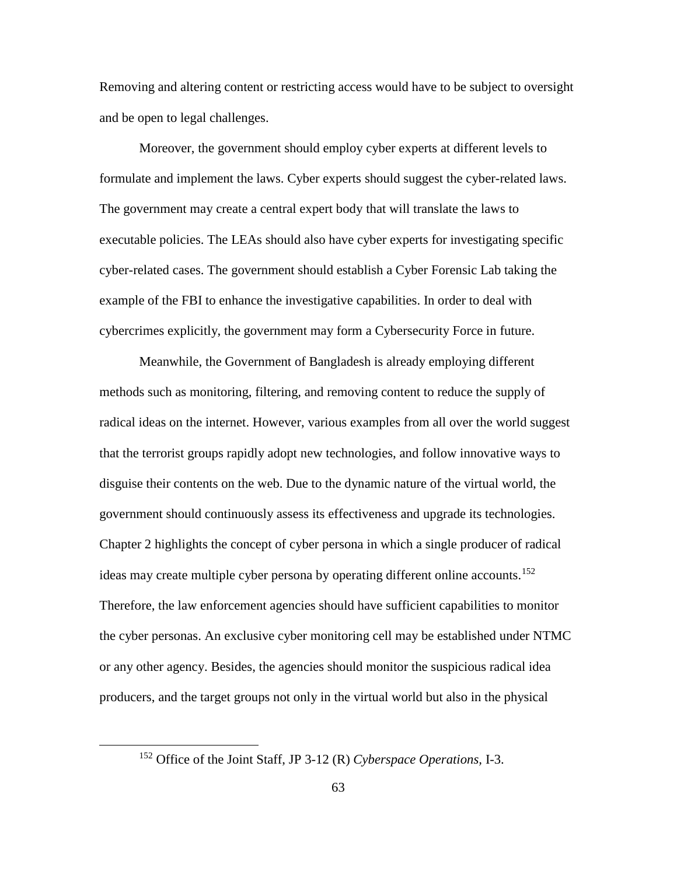Removing and altering content or restricting access would have to be subject to oversight and be open to legal challenges.

Moreover, the government should employ cyber experts at different levels to formulate and implement the laws. Cyber experts should suggest the cyber-related laws. The government may create a central expert body that will translate the laws to executable policies. The LEAs should also have cyber experts for investigating specific cyber-related cases. The government should establish a Cyber Forensic Lab taking the example of the FBI to enhance the investigative capabilities. In order to deal with cybercrimes explicitly, the government may form a Cybersecurity Force in future.

Meanwhile, the Government of Bangladesh is already employing different methods such as monitoring, filtering, and removing content to reduce the supply of radical ideas on the internet. However, various examples from all over the world suggest that the terrorist groups rapidly adopt new technologies, and follow innovative ways to disguise their contents on the web. Due to the dynamic nature of the virtual world, the government should continuously assess its effectiveness and upgrade its technologies. Chapter 2 highlights the concept of cyber persona in which a single producer of radical ideas may create multiple cyber persona by operating different online accounts. [152](#page-72-0) Therefore, the law enforcement agencies should have sufficient capabilities to monitor the cyber personas. An exclusive cyber monitoring cell may be established under NTMC or any other agency. Besides, the agencies should monitor the suspicious radical idea producers, and the target groups not only in the virtual world but also in the physical

<span id="page-72-0"></span> <sup>152</sup> Office of the Joint Staff, JP 3-12 (R) *Cyberspace Operations,* I-3.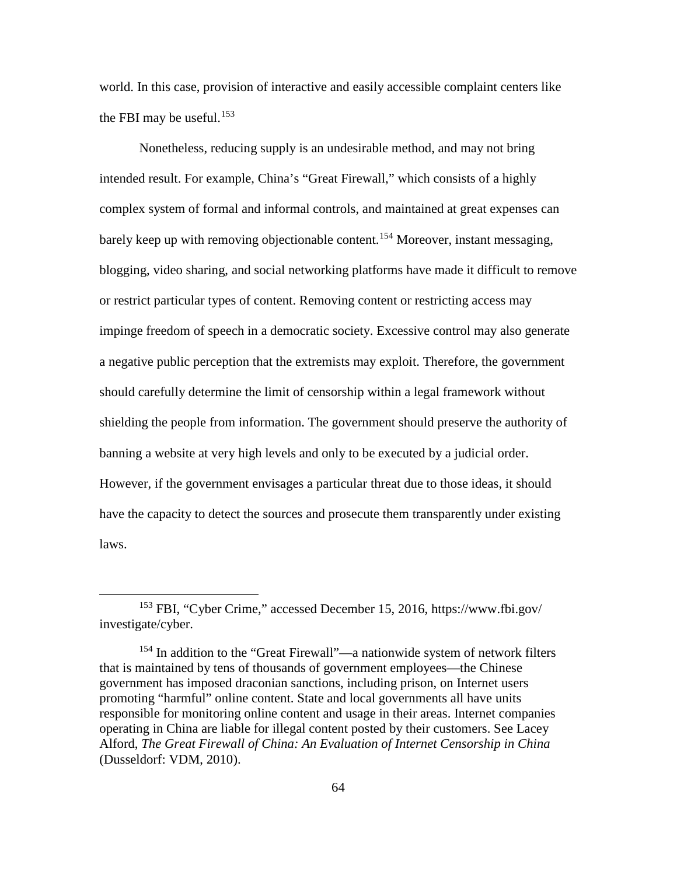world. In this case, provision of interactive and easily accessible complaint centers like the FBI may be useful.<sup>[153](#page-73-0)</sup>

Nonetheless, reducing supply is an undesirable method, and may not bring intended result. For example, China's "Great Firewall," which consists of a highly complex system of formal and informal controls, and maintained at great expenses can barely keep up with removing objectionable content. [154](#page-73-1) Moreover, instant messaging, blogging, video sharing, and social networking platforms have made it difficult to remove or restrict particular types of content. Removing content or restricting access may impinge freedom of speech in a democratic society. Excessive control may also generate a negative public perception that the extremists may exploit. Therefore, the government should carefully determine the limit of censorship within a legal framework without shielding the people from information. The government should preserve the authority of banning a website at very high levels and only to be executed by a judicial order. However, if the government envisages a particular threat due to those ideas, it should have the capacity to detect the sources and prosecute them transparently under existing laws.

<span id="page-73-0"></span> <sup>153</sup> FBI, "Cyber Crime," accessed December 15, 2016, https://www.fbi.gov/ investigate/cyber.

<span id="page-73-1"></span> $154$  In addition to the "Great Firewall"—a nationwide system of network filters that is maintained by tens of thousands of government employees—the Chinese government has imposed draconian sanctions, including prison, on Internet users promoting "harmful" online content. State and local governments all have units responsible for monitoring online content and usage in their areas. Internet companies operating in China are liable for illegal content posted by their customers. See Lacey Alford, *The Great Firewall of China: An Evaluation of Internet Censorship in China* (Dusseldorf: VDM, 2010).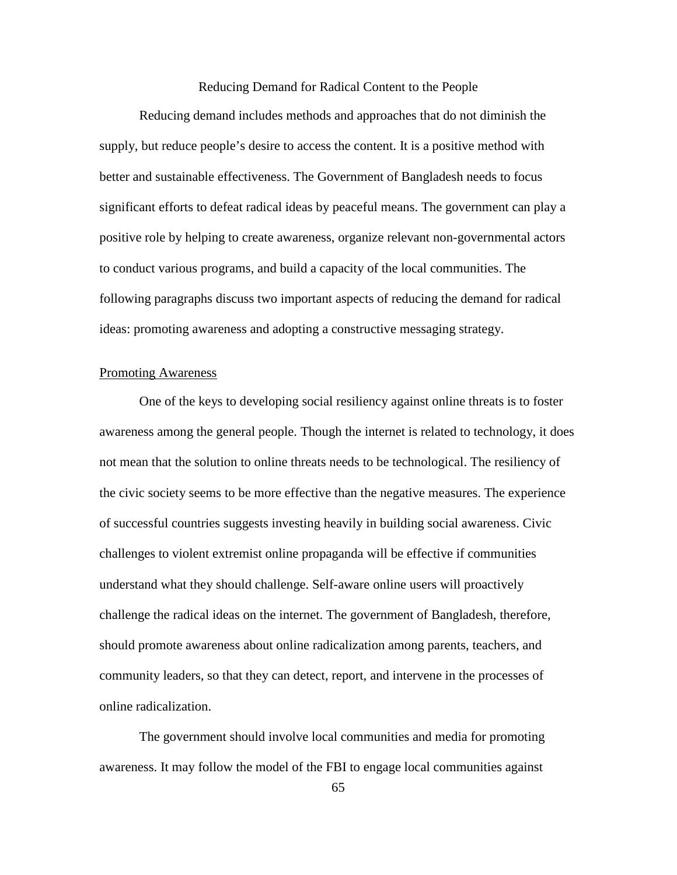## Reducing Demand for Radical Content to the People

Reducing demand includes methods and approaches that do not diminish the supply, but reduce people's desire to access the content. It is a positive method with better and sustainable effectiveness. The Government of Bangladesh needs to focus significant efforts to defeat radical ideas by peaceful means. The government can play a positive role by helping to create awareness, organize relevant non-governmental actors to conduct various programs, and build a capacity of the local communities. The following paragraphs discuss two important aspects of reducing the demand for radical ideas: promoting awareness and adopting a constructive messaging strategy.

## Promoting Awareness

One of the keys to developing social resiliency against online threats is to foster awareness among the general people. Though the internet is related to technology, it does not mean that the solution to online threats needs to be technological. The resiliency of the civic society seems to be more effective than the negative measures. The experience of successful countries suggests investing heavily in building social awareness. Civic challenges to violent extremist online propaganda will be effective if communities understand what they should challenge. Self-aware online users will proactively challenge the radical ideas on the internet. The government of Bangladesh, therefore, should promote awareness about online radicalization among parents, teachers, and community leaders, so that they can detect, report, and intervene in the processes of online radicalization.

The government should involve local communities and media for promoting awareness. It may follow the model of the FBI to engage local communities against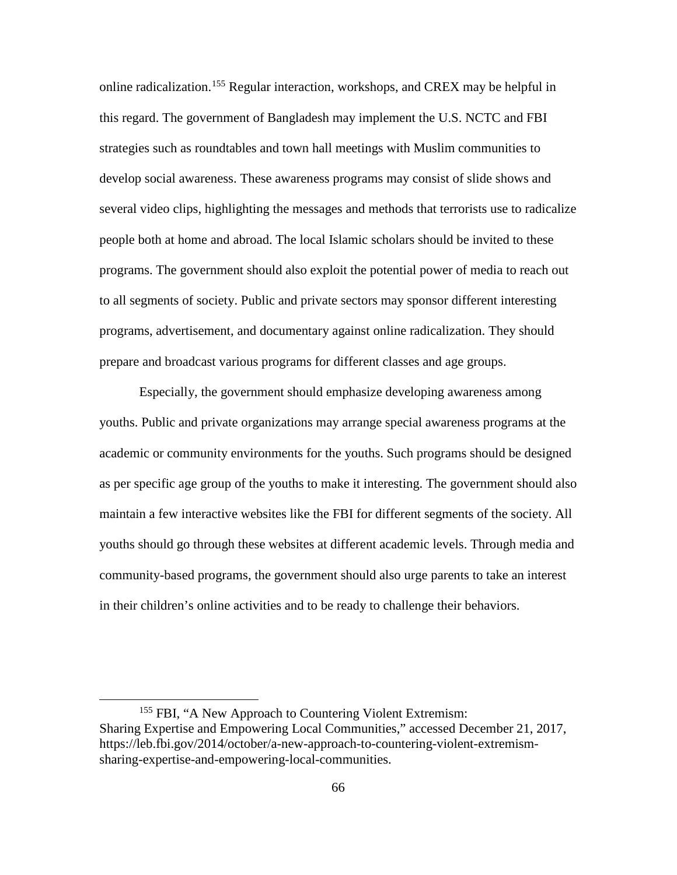online radicalization. [155](#page-75-0) Regular interaction, workshops, and CREX may be helpful in this regard. The government of Bangladesh may implement the U.S. NCTC and FBI strategies such as roundtables and town hall meetings with Muslim communities to develop social awareness. These awareness programs may consist of slide shows and several video clips, highlighting the messages and methods that terrorists use to radicalize people both at home and abroad. The local Islamic scholars should be invited to these programs. The government should also exploit the potential power of media to reach out to all segments of society. Public and private sectors may sponsor different interesting programs, advertisement, and documentary against online radicalization. They should prepare and broadcast various programs for different classes and age groups.

Especially, the government should emphasize developing awareness among youths. Public and private organizations may arrange special awareness programs at the academic or community environments for the youths. Such programs should be designed as per specific age group of the youths to make it interesting. The government should also maintain a few interactive websites like the FBI for different segments of the society. All youths should go through these websites at different academic levels. Through media and community-based programs, the government should also urge parents to take an interest in their children's online activities and to be ready to challenge their behaviors.

<span id="page-75-0"></span><sup>&</sup>lt;sup>155</sup> FBI, "A New Approach to Countering Violent Extremism: Sharing Expertise and Empowering Local Communities," accessed December 21, 2017, https://leb.fbi.gov/2014/october/a-new-approach-to-countering-violent-extremismsharing-expertise-and-empowering-local-communities.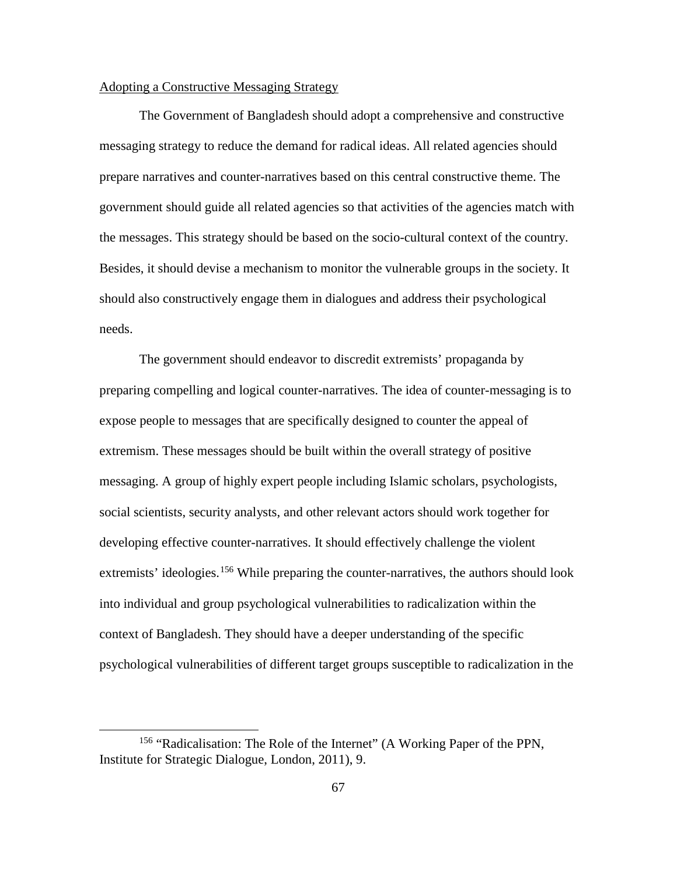## Adopting a Constructive Messaging Strategy

The Government of Bangladesh should adopt a comprehensive and constructive messaging strategy to reduce the demand for radical ideas. All related agencies should prepare narratives and counter-narratives based on this central constructive theme. The government should guide all related agencies so that activities of the agencies match with the messages. This strategy should be based on the socio-cultural context of the country. Besides, it should devise a mechanism to monitor the vulnerable groups in the society. It should also constructively engage them in dialogues and address their psychological needs.

The government should endeavor to discredit extremists' propaganda by preparing compelling and logical counter-narratives. The idea of counter-messaging is to expose people to messages that are specifically designed to counter the appeal of extremism. These messages should be built within the overall strategy of positive messaging. A group of highly expert people including Islamic scholars, psychologists, social scientists, security analysts, and other relevant actors should work together for developing effective counter-narratives. It should effectively challenge the violent extremists' ideologies.<sup>[156](#page-76-0)</sup> While preparing the counter-narratives, the authors should look into individual and group psychological vulnerabilities to radicalization within the context of Bangladesh. They should have a deeper understanding of the specific psychological vulnerabilities of different target groups susceptible to radicalization in the

<span id="page-76-0"></span><sup>&</sup>lt;sup>156</sup> "Radicalisation: The Role of the Internet" (A Working Paper of the PPN, Institute for Strategic Dialogue, London, 2011), 9.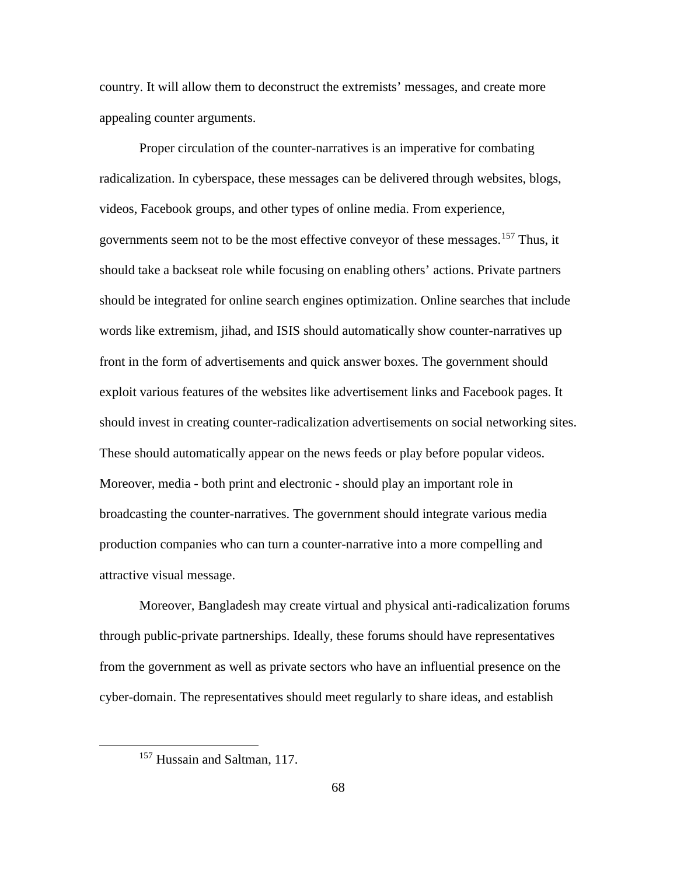country. It will allow them to deconstruct the extremists' messages, and create more appealing counter arguments.

Proper circulation of the counter-narratives is an imperative for combating radicalization. In cyberspace, these messages can be delivered through websites, blogs, videos, Facebook groups, and other types of online media. From experience, governments seem not to be the most effective conveyor of these messages. [157](#page-77-0) Thus, it should take a backseat role while focusing on enabling others' actions. Private partners should be integrated for online search engines optimization. Online searches that include words like extremism, jihad, and ISIS should automatically show counter-narratives up front in the form of advertisements and quick answer boxes. The government should exploit various features of the websites like advertisement links and Facebook pages. It should invest in creating counter-radicalization advertisements on social networking sites. These should automatically appear on the news feeds or play before popular videos. Moreover, media - both print and electronic - should play an important role in broadcasting the counter-narratives. The government should integrate various media production companies who can turn a counter-narrative into a more compelling and attractive visual message.

Moreover, Bangladesh may create virtual and physical anti-radicalization forums through public-private partnerships. Ideally, these forums should have representatives from the government as well as private sectors who have an influential presence on the cyber-domain. The representatives should meet regularly to share ideas, and establish

<span id="page-77-0"></span> <sup>157</sup> Hussain and Saltman, 117.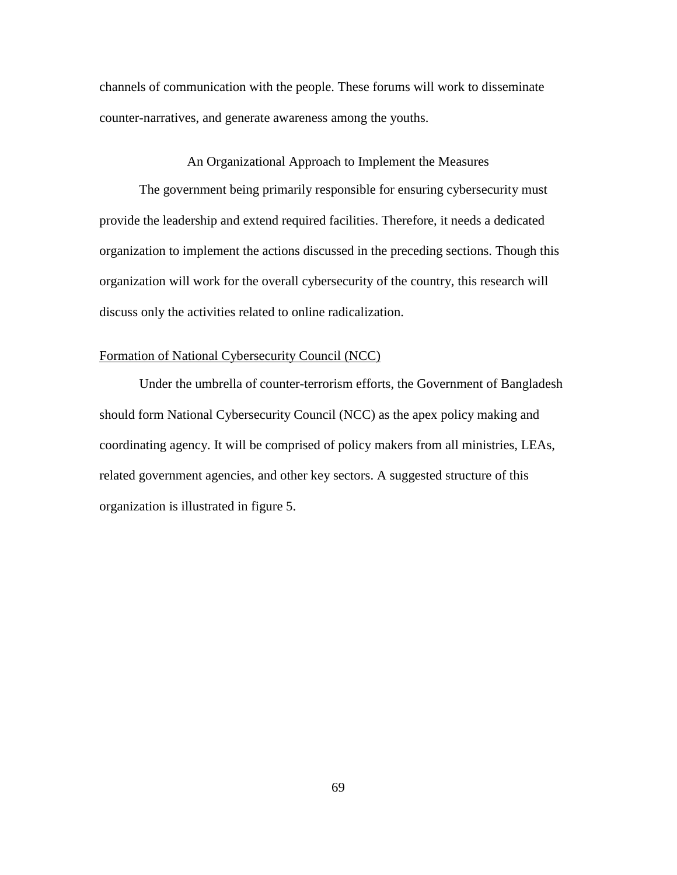channels of communication with the people. These forums will work to disseminate counter-narratives, and generate awareness among the youths.

## An Organizational Approach to Implement the Measures

The government being primarily responsible for ensuring cybersecurity must provide the leadership and extend required facilities. Therefore, it needs a dedicated organization to implement the actions discussed in the preceding sections. Though this organization will work for the overall cybersecurity of the country, this research will discuss only the activities related to online radicalization.

## Formation of National Cybersecurity Council (NCC)

Under the umbrella of counter-terrorism efforts, the Government of Bangladesh should form National Cybersecurity Council (NCC) as the apex policy making and coordinating agency. It will be comprised of policy makers from all ministries, LEAs, related government agencies, and other key sectors. A suggested structure of this organization is illustrated in figure 5.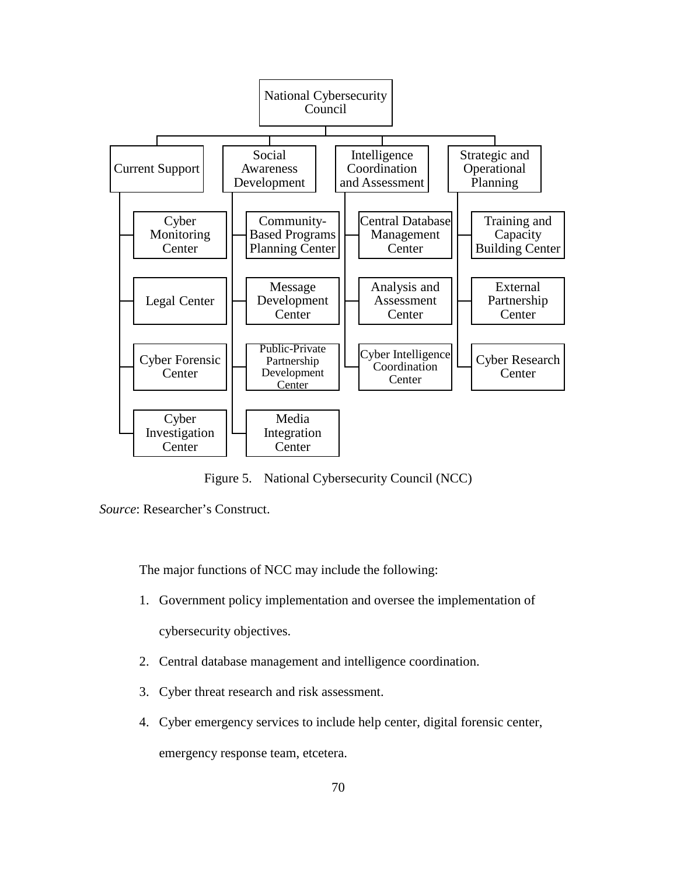

Figure 5. National Cybersecurity Council (NCC)

*Source*: Researcher's Construct.

The major functions of NCC may include the following:

- 1. Government policy implementation and oversee the implementation of cybersecurity objectives.
- 2. Central database management and intelligence coordination.
- 3. Cyber threat research and risk assessment.
- 4. Cyber emergency services to include help center, digital forensic center,

emergency response team, etcetera.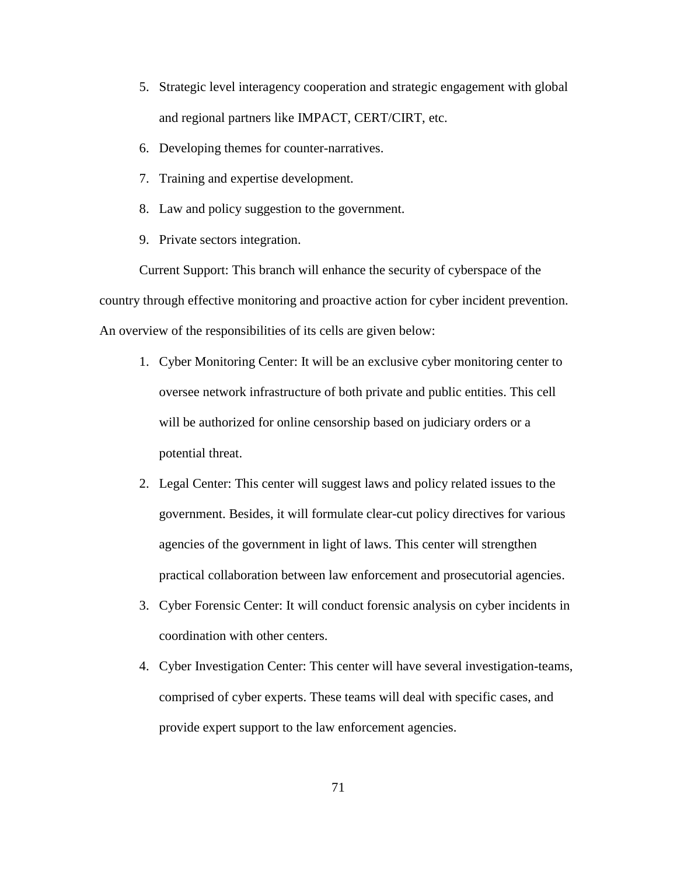- 5. Strategic level interagency cooperation and strategic engagement with global and regional partners like IMPACT, CERT/CIRT, etc.
- 6. Developing themes for counter-narratives.
- 7. Training and expertise development.
- 8. Law and policy suggestion to the government.
- 9. Private sectors integration.

Current Support: This branch will enhance the security of cyberspace of the country through effective monitoring and proactive action for cyber incident prevention. An overview of the responsibilities of its cells are given below:

- 1. Cyber Monitoring Center: It will be an exclusive cyber monitoring center to oversee network infrastructure of both private and public entities. This cell will be authorized for online censorship based on judiciary orders or a potential threat.
- 2. Legal Center: This center will suggest laws and policy related issues to the government. Besides, it will formulate clear-cut policy directives for various agencies of the government in light of laws. This center will strengthen practical collaboration between law enforcement and prosecutorial agencies.
- 3. Cyber Forensic Center: It will conduct forensic analysis on cyber incidents in coordination with other centers.
- 4. Cyber Investigation Center: This center will have several investigation-teams, comprised of cyber experts. These teams will deal with specific cases, and provide expert support to the law enforcement agencies.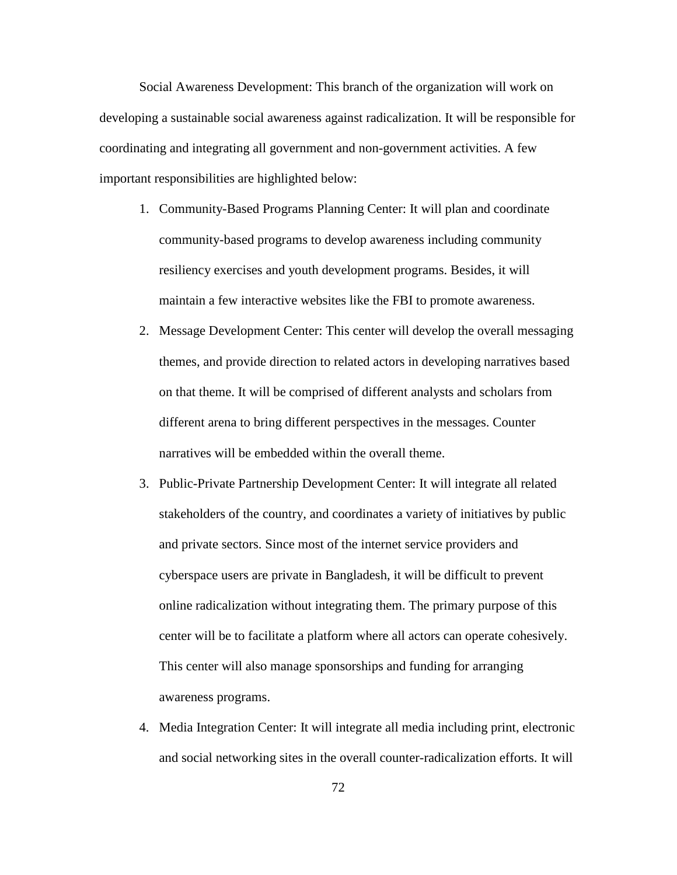Social Awareness Development: This branch of the organization will work on developing a sustainable social awareness against radicalization. It will be responsible for coordinating and integrating all government and non-government activities. A few important responsibilities are highlighted below:

- 1. Community-Based Programs Planning Center: It will plan and coordinate community-based programs to develop awareness including community resiliency exercises and youth development programs. Besides, it will maintain a few interactive websites like the FBI to promote awareness.
- 2. Message Development Center: This center will develop the overall messaging themes, and provide direction to related actors in developing narratives based on that theme. It will be comprised of different analysts and scholars from different arena to bring different perspectives in the messages. Counter narratives will be embedded within the overall theme.
- 3. Public-Private Partnership Development Center: It will integrate all related stakeholders of the country, and coordinates a variety of initiatives by public and private sectors. Since most of the internet service providers and cyberspace users are private in Bangladesh, it will be difficult to prevent online radicalization without integrating them. The primary purpose of this center will be to facilitate a platform where all actors can operate cohesively. This center will also manage sponsorships and funding for arranging awareness programs.
- 4. Media Integration Center: It will integrate all media including print, electronic and social networking sites in the overall counter-radicalization efforts. It will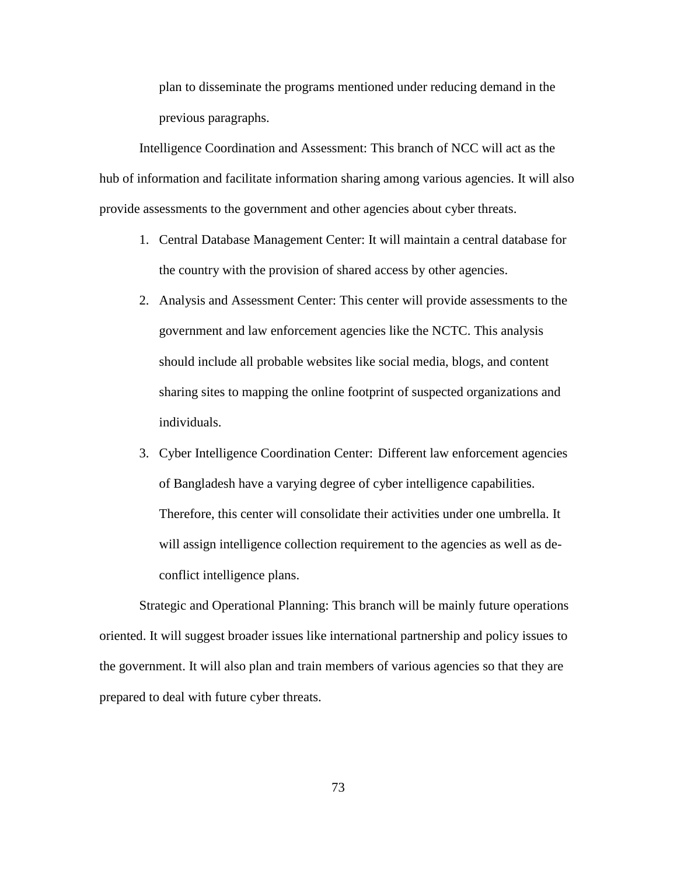plan to disseminate the programs mentioned under reducing demand in the previous paragraphs.

Intelligence Coordination and Assessment: This branch of NCC will act as the hub of information and facilitate information sharing among various agencies. It will also provide assessments to the government and other agencies about cyber threats.

- 1. Central Database Management Center: It will maintain a central database for the country with the provision of shared access by other agencies.
- 2. Analysis and Assessment Center: This center will provide assessments to the government and law enforcement agencies like the NCTC. This analysis should include all probable websites like social media, blogs, and content sharing sites to mapping the online footprint of suspected organizations and individuals.
- 3. Cyber Intelligence Coordination Center: Different law enforcement agencies of Bangladesh have a varying degree of cyber intelligence capabilities. Therefore, this center will consolidate their activities under one umbrella. It will assign intelligence collection requirement to the agencies as well as deconflict intelligence plans.

Strategic and Operational Planning: This branch will be mainly future operations oriented. It will suggest broader issues like international partnership and policy issues to the government. It will also plan and train members of various agencies so that they are prepared to deal with future cyber threats.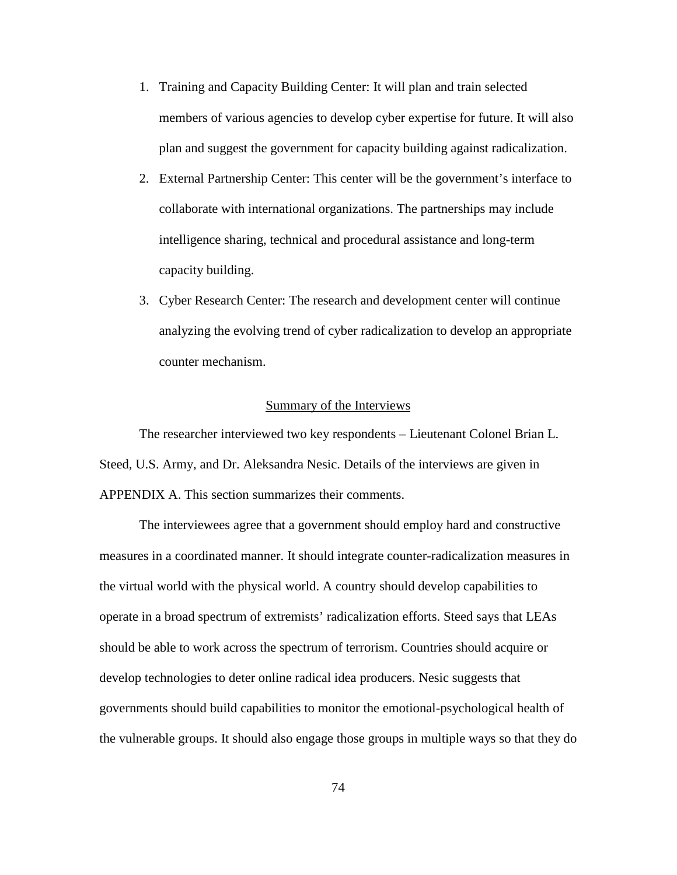- 1. Training and Capacity Building Center: It will plan and train selected members of various agencies to develop cyber expertise for future. It will also plan and suggest the government for capacity building against radicalization.
- 2. External Partnership Center: This center will be the government's interface to collaborate with international organizations. The partnerships may include intelligence sharing, technical and procedural assistance and long-term capacity building.
- 3. Cyber Research Center: The research and development center will continue analyzing the evolving trend of cyber radicalization to develop an appropriate counter mechanism.

## Summary of the Interviews

The researcher interviewed two key respondents – Lieutenant Colonel Brian L. Steed, U.S. Army, and Dr. Aleksandra Nesic. Details of the interviews are given in APPENDIX A. This section summarizes their comments.

The interviewees agree that a government should employ hard and constructive measures in a coordinated manner. It should integrate counter-radicalization measures in the virtual world with the physical world. A country should develop capabilities to operate in a broad spectrum of extremists' radicalization efforts. Steed says that LEAs should be able to work across the spectrum of terrorism. Countries should acquire or develop technologies to deter online radical idea producers. Nesic suggests that governments should build capabilities to monitor the emotional-psychological health of the vulnerable groups. It should also engage those groups in multiple ways so that they do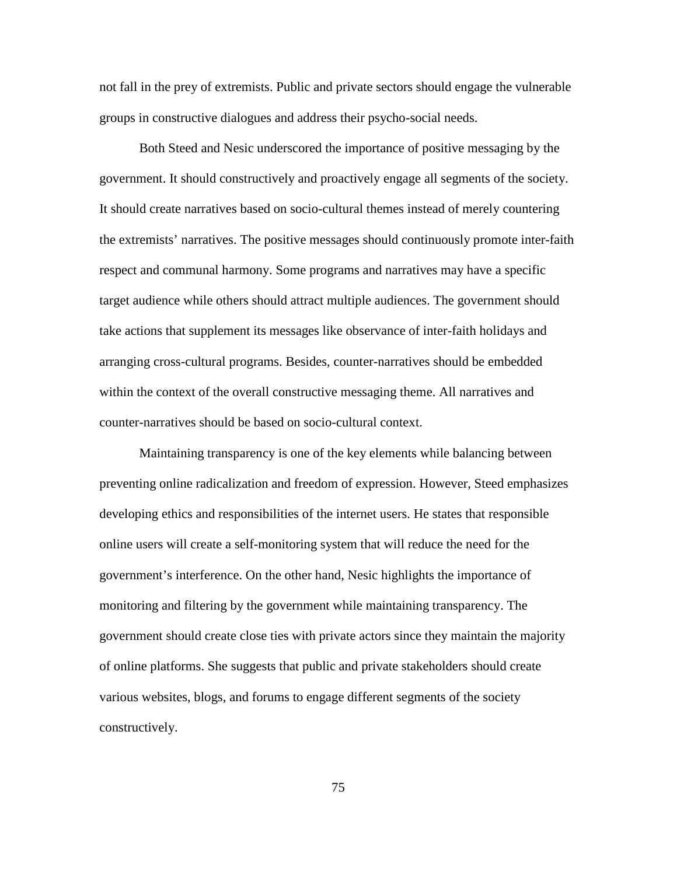not fall in the prey of extremists. Public and private sectors should engage the vulnerable groups in constructive dialogues and address their psycho-social needs.

Both Steed and Nesic underscored the importance of positive messaging by the government. It should constructively and proactively engage all segments of the society. It should create narratives based on socio-cultural themes instead of merely countering the extremists' narratives. The positive messages should continuously promote inter-faith respect and communal harmony. Some programs and narratives may have a specific target audience while others should attract multiple audiences. The government should take actions that supplement its messages like observance of inter-faith holidays and arranging cross-cultural programs. Besides, counter-narratives should be embedded within the context of the overall constructive messaging theme. All narratives and counter-narratives should be based on socio-cultural context.

Maintaining transparency is one of the key elements while balancing between preventing online radicalization and freedom of expression. However, Steed emphasizes developing ethics and responsibilities of the internet users. He states that responsible online users will create a self-monitoring system that will reduce the need for the government's interference. On the other hand, Nesic highlights the importance of monitoring and filtering by the government while maintaining transparency. The government should create close ties with private actors since they maintain the majority of online platforms. She suggests that public and private stakeholders should create various websites, blogs, and forums to engage different segments of the society constructively.

75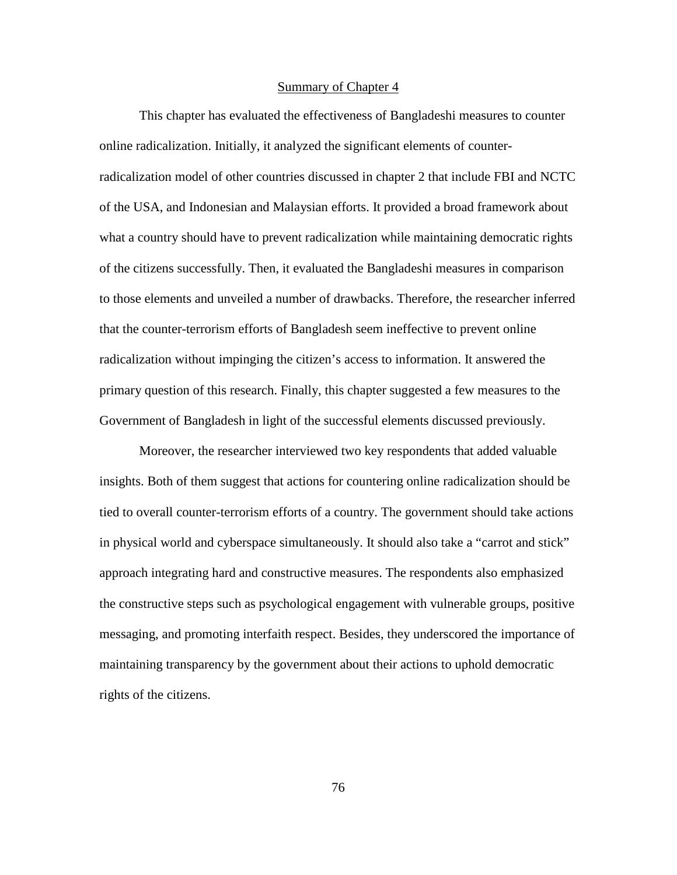## Summary of Chapter 4

This chapter has evaluated the effectiveness of Bangladeshi measures to counter online radicalization. Initially, it analyzed the significant elements of counterradicalization model of other countries discussed in chapter 2 that include FBI and NCTC of the USA, and Indonesian and Malaysian efforts. It provided a broad framework about what a country should have to prevent radicalization while maintaining democratic rights of the citizens successfully. Then, it evaluated the Bangladeshi measures in comparison to those elements and unveiled a number of drawbacks. Therefore, the researcher inferred that the counter-terrorism efforts of Bangladesh seem ineffective to prevent online radicalization without impinging the citizen's access to information. It answered the primary question of this research. Finally, this chapter suggested a few measures to the Government of Bangladesh in light of the successful elements discussed previously.

Moreover, the researcher interviewed two key respondents that added valuable insights. Both of them suggest that actions for countering online radicalization should be tied to overall counter-terrorism efforts of a country. The government should take actions in physical world and cyberspace simultaneously. It should also take a "carrot and stick" approach integrating hard and constructive measures. The respondents also emphasized the constructive steps such as psychological engagement with vulnerable groups, positive messaging, and promoting interfaith respect. Besides, they underscored the importance of maintaining transparency by the government about their actions to uphold democratic rights of the citizens.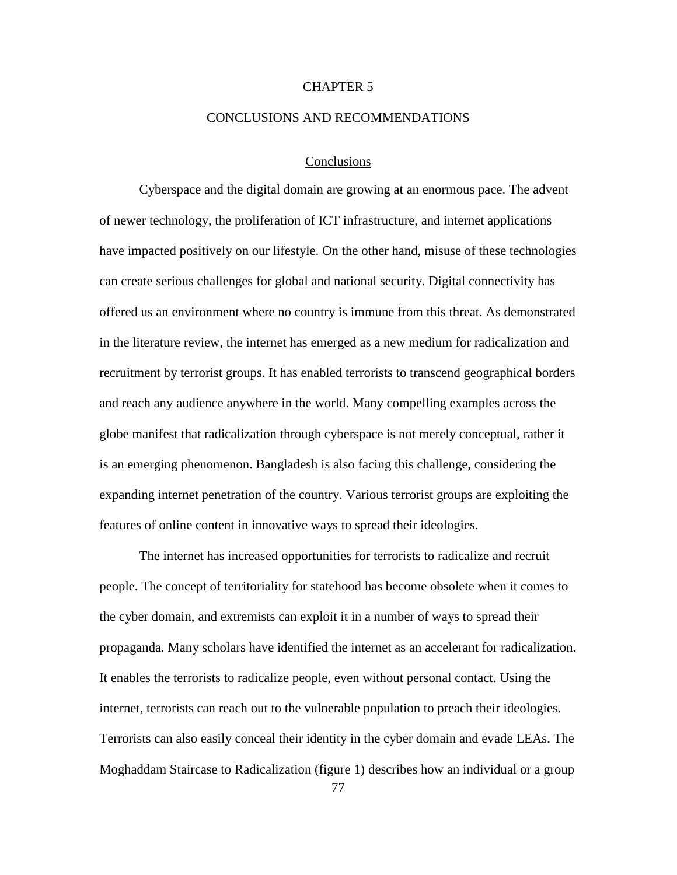## CHAPTER 5

#### CONCLUSIONS AND RECOMMENDATIONS

## Conclusions

Cyberspace and the digital domain are growing at an enormous pace. The advent of newer technology, the proliferation of ICT infrastructure, and internet applications have impacted positively on our lifestyle. On the other hand, misuse of these technologies can create serious challenges for global and national security. Digital connectivity has offered us an environment where no country is immune from this threat. As demonstrated in the literature review, the internet has emerged as a new medium for radicalization and recruitment by terrorist groups. It has enabled terrorists to transcend geographical borders and reach any audience anywhere in the world. Many compelling examples across the globe manifest that radicalization through cyberspace is not merely conceptual, rather it is an emerging phenomenon. Bangladesh is also facing this challenge, considering the expanding internet penetration of the country. Various terrorist groups are exploiting the features of online content in innovative ways to spread their ideologies.

The internet has increased opportunities for terrorists to radicalize and recruit people. The concept of territoriality for statehood has become obsolete when it comes to the cyber domain, and extremists can exploit it in a number of ways to spread their propaganda. Many scholars have identified the internet as an accelerant for radicalization. It enables the terrorists to radicalize people, even without personal contact. Using the internet, terrorists can reach out to the vulnerable population to preach their ideologies. Terrorists can also easily conceal their identity in the cyber domain and evade LEAs. The Moghaddam Staircase to Radicalization (figure 1) describes how an individual or a group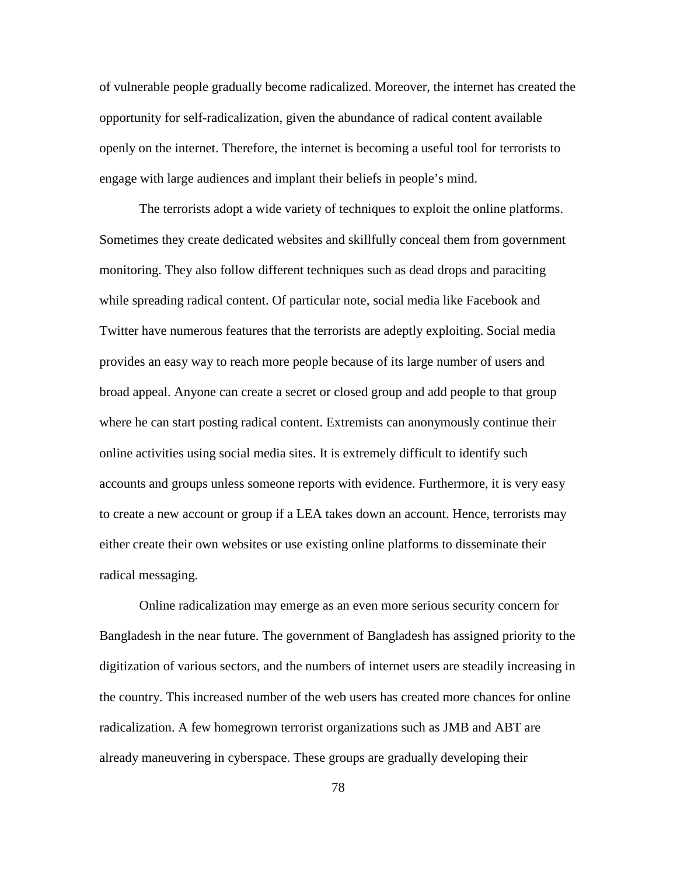of vulnerable people gradually become radicalized. Moreover, the internet has created the opportunity for self-radicalization, given the abundance of radical content available openly on the internet. Therefore, the internet is becoming a useful tool for terrorists to engage with large audiences and implant their beliefs in people's mind.

The terrorists adopt a wide variety of techniques to exploit the online platforms. Sometimes they create dedicated websites and skillfully conceal them from government monitoring. They also follow different techniques such as dead drops and paraciting while spreading radical content. Of particular note, social media like Facebook and Twitter have numerous features that the terrorists are adeptly exploiting. Social media provides an easy way to reach more people because of its large number of users and broad appeal. Anyone can create a secret or closed group and add people to that group where he can start posting radical content. Extremists can anonymously continue their online activities using social media sites. It is extremely difficult to identify such accounts and groups unless someone reports with evidence. Furthermore, it is very easy to create a new account or group if a LEA takes down an account. Hence, terrorists may either create their own websites or use existing online platforms to disseminate their radical messaging.

Online radicalization may emerge as an even more serious security concern for Bangladesh in the near future. The government of Bangladesh has assigned priority to the digitization of various sectors, and the numbers of internet users are steadily increasing in the country. This increased number of the web users has created more chances for online radicalization. A few homegrown terrorist organizations such as JMB and ABT are already maneuvering in cyberspace. These groups are gradually developing their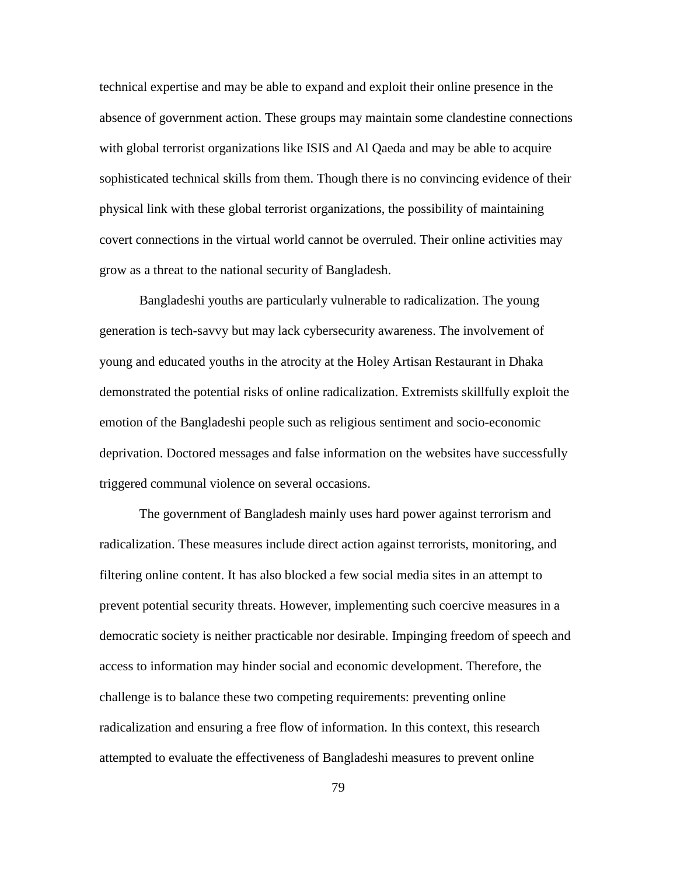technical expertise and may be able to expand and exploit their online presence in the absence of government action. These groups may maintain some clandestine connections with global terrorist organizations like ISIS and Al Qaeda and may be able to acquire sophisticated technical skills from them. Though there is no convincing evidence of their physical link with these global terrorist organizations, the possibility of maintaining covert connections in the virtual world cannot be overruled. Their online activities may grow as a threat to the national security of Bangladesh.

Bangladeshi youths are particularly vulnerable to radicalization. The young generation is tech-savvy but may lack cybersecurity awareness. The involvement of young and educated youths in the atrocity at the Holey Artisan Restaurant in Dhaka demonstrated the potential risks of online radicalization. Extremists skillfully exploit the emotion of the Bangladeshi people such as religious sentiment and socio-economic deprivation. Doctored messages and false information on the websites have successfully triggered communal violence on several occasions.

The government of Bangladesh mainly uses hard power against terrorism and radicalization. These measures include direct action against terrorists, monitoring, and filtering online content. It has also blocked a few social media sites in an attempt to prevent potential security threats. However, implementing such coercive measures in a democratic society is neither practicable nor desirable. Impinging freedom of speech and access to information may hinder social and economic development. Therefore, the challenge is to balance these two competing requirements: preventing online radicalization and ensuring a free flow of information. In this context, this research attempted to evaluate the effectiveness of Bangladeshi measures to prevent online

79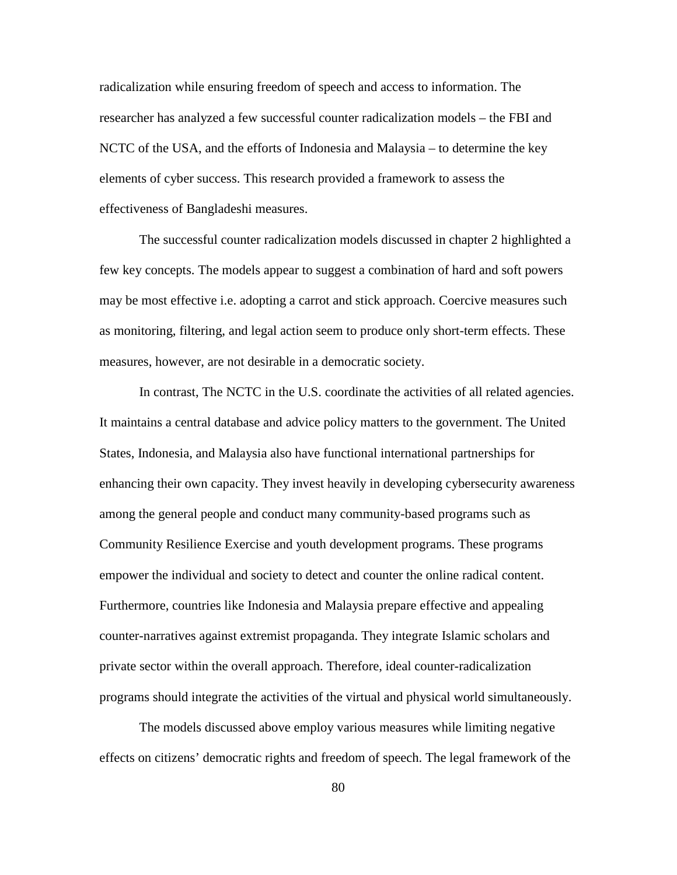radicalization while ensuring freedom of speech and access to information. The researcher has analyzed a few successful counter radicalization models – the FBI and NCTC of the USA, and the efforts of Indonesia and Malaysia – to determine the key elements of cyber success. This research provided a framework to assess the effectiveness of Bangladeshi measures.

The successful counter radicalization models discussed in chapter 2 highlighted a few key concepts. The models appear to suggest a combination of hard and soft powers may be most effective i.e. adopting a carrot and stick approach. Coercive measures such as monitoring, filtering, and legal action seem to produce only short-term effects. These measures, however, are not desirable in a democratic society.

In contrast, The NCTC in the U.S. coordinate the activities of all related agencies. It maintains a central database and advice policy matters to the government. The United States, Indonesia, and Malaysia also have functional international partnerships for enhancing their own capacity. They invest heavily in developing cybersecurity awareness among the general people and conduct many community-based programs such as Community Resilience Exercise and youth development programs. These programs empower the individual and society to detect and counter the online radical content. Furthermore, countries like Indonesia and Malaysia prepare effective and appealing counter-narratives against extremist propaganda. They integrate Islamic scholars and private sector within the overall approach. Therefore, ideal counter-radicalization programs should integrate the activities of the virtual and physical world simultaneously.

The models discussed above employ various measures while limiting negative effects on citizens' democratic rights and freedom of speech. The legal framework of the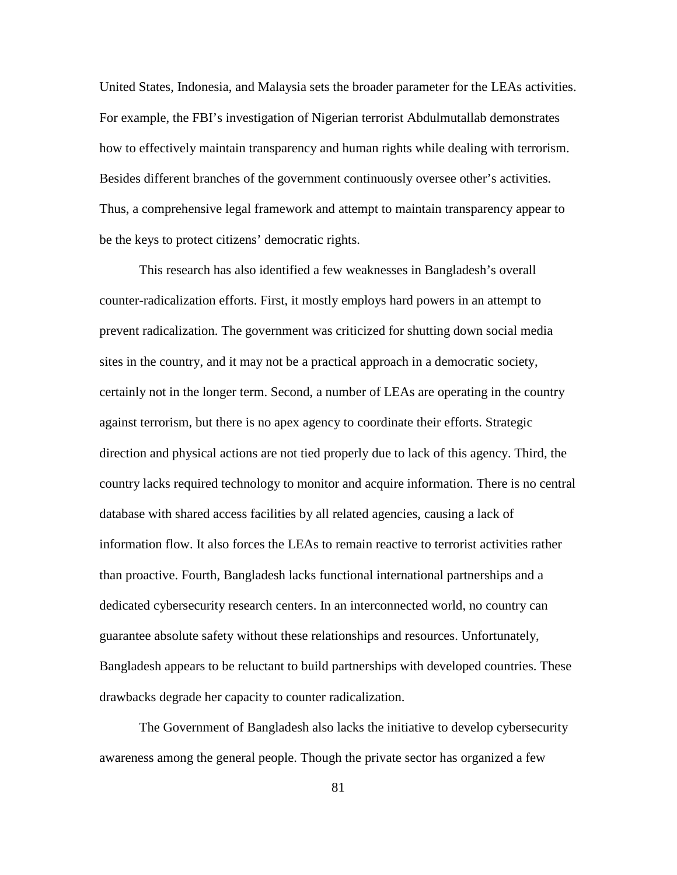United States, Indonesia, and Malaysia sets the broader parameter for the LEAs activities. For example, the FBI's investigation of Nigerian terrorist Abdulmutallab demonstrates how to effectively maintain transparency and human rights while dealing with terrorism. Besides different branches of the government continuously oversee other's activities. Thus, a comprehensive legal framework and attempt to maintain transparency appear to be the keys to protect citizens' democratic rights.

This research has also identified a few weaknesses in Bangladesh's overall counter-radicalization efforts. First, it mostly employs hard powers in an attempt to prevent radicalization. The government was criticized for shutting down social media sites in the country, and it may not be a practical approach in a democratic society, certainly not in the longer term. Second, a number of LEAs are operating in the country against terrorism, but there is no apex agency to coordinate their efforts. Strategic direction and physical actions are not tied properly due to lack of this agency. Third, the country lacks required technology to monitor and acquire information. There is no central database with shared access facilities by all related agencies, causing a lack of information flow. It also forces the LEAs to remain reactive to terrorist activities rather than proactive. Fourth, Bangladesh lacks functional international partnerships and a dedicated cybersecurity research centers. In an interconnected world, no country can guarantee absolute safety without these relationships and resources. Unfortunately, Bangladesh appears to be reluctant to build partnerships with developed countries. These drawbacks degrade her capacity to counter radicalization.

The Government of Bangladesh also lacks the initiative to develop cybersecurity awareness among the general people. Though the private sector has organized a few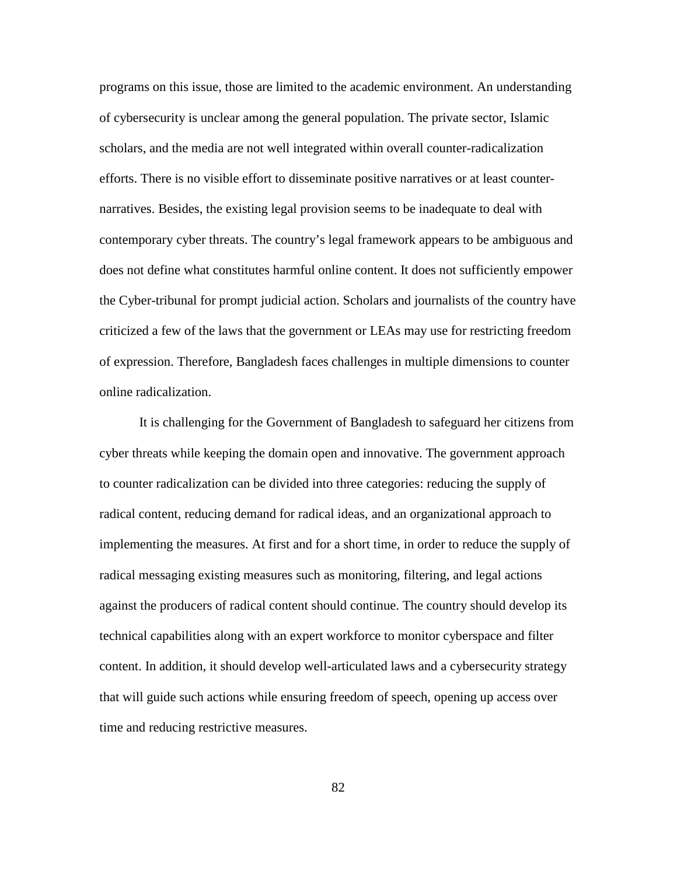programs on this issue, those are limited to the academic environment. An understanding of cybersecurity is unclear among the general population. The private sector, Islamic scholars, and the media are not well integrated within overall counter-radicalization efforts. There is no visible effort to disseminate positive narratives or at least counternarratives. Besides, the existing legal provision seems to be inadequate to deal with contemporary cyber threats. The country's legal framework appears to be ambiguous and does not define what constitutes harmful online content. It does not sufficiently empower the Cyber-tribunal for prompt judicial action. Scholars and journalists of the country have criticized a few of the laws that the government or LEAs may use for restricting freedom of expression. Therefore, Bangladesh faces challenges in multiple dimensions to counter online radicalization.

It is challenging for the Government of Bangladesh to safeguard her citizens from cyber threats while keeping the domain open and innovative. The government approach to counter radicalization can be divided into three categories: reducing the supply of radical content, reducing demand for radical ideas, and an organizational approach to implementing the measures. At first and for a short time, in order to reduce the supply of radical messaging existing measures such as monitoring, filtering, and legal actions against the producers of radical content should continue. The country should develop its technical capabilities along with an expert workforce to monitor cyberspace and filter content. In addition, it should develop well-articulated laws and a cybersecurity strategy that will guide such actions while ensuring freedom of speech, opening up access over time and reducing restrictive measures.

82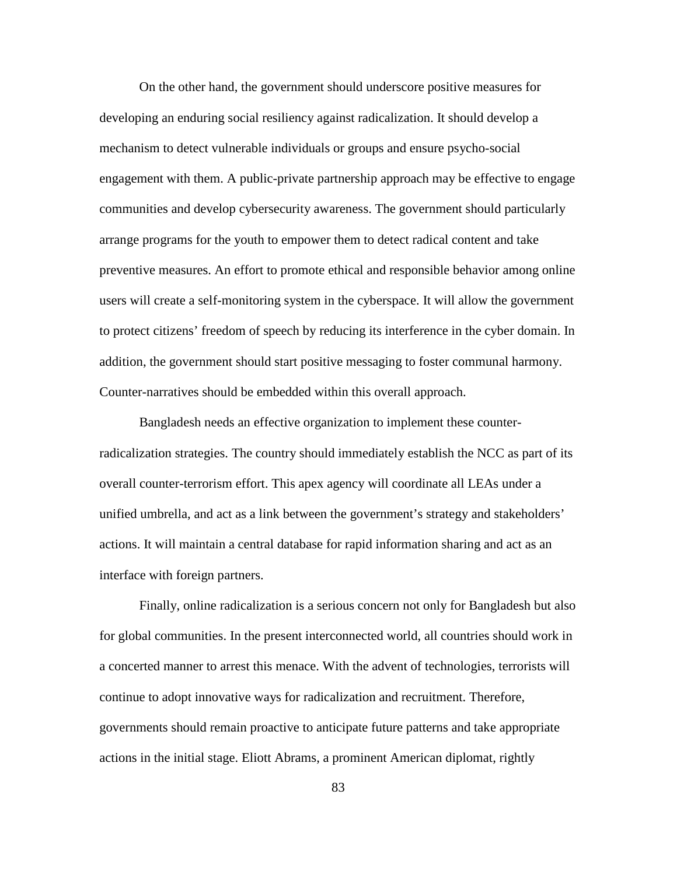On the other hand, the government should underscore positive measures for developing an enduring social resiliency against radicalization. It should develop a mechanism to detect vulnerable individuals or groups and ensure psycho-social engagement with them. A public-private partnership approach may be effective to engage communities and develop cybersecurity awareness. The government should particularly arrange programs for the youth to empower them to detect radical content and take preventive measures. An effort to promote ethical and responsible behavior among online users will create a self-monitoring system in the cyberspace. It will allow the government to protect citizens' freedom of speech by reducing its interference in the cyber domain. In addition, the government should start positive messaging to foster communal harmony. Counter-narratives should be embedded within this overall approach.

Bangladesh needs an effective organization to implement these counterradicalization strategies. The country should immediately establish the NCC as part of its overall counter-terrorism effort. This apex agency will coordinate all LEAs under a unified umbrella, and act as a link between the government's strategy and stakeholders' actions. It will maintain a central database for rapid information sharing and act as an interface with foreign partners.

Finally, online radicalization is a serious concern not only for Bangladesh but also for global communities. In the present interconnected world, all countries should work in a concerted manner to arrest this menace. With the advent of technologies, terrorists will continue to adopt innovative ways for radicalization and recruitment. Therefore, governments should remain proactive to anticipate future patterns and take appropriate actions in the initial stage. Eliott Abrams, a prominent American diplomat, rightly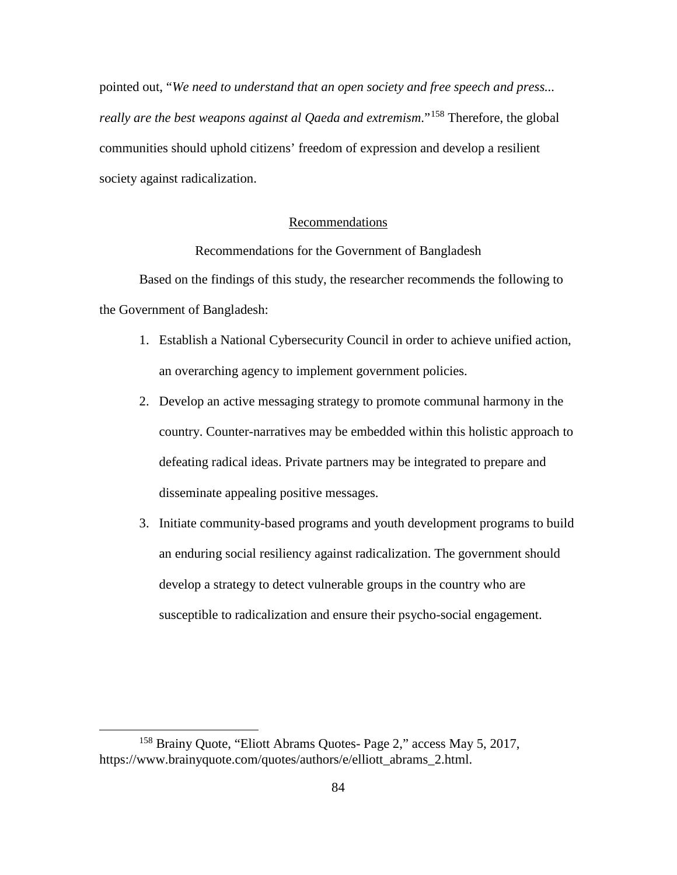pointed out, "*We need to understand that an open society and free speech and press... really are the best weapons against al Qaeda and extremism*."[158](#page-93-0) Therefore, the global communities should uphold citizens' freedom of expression and develop a resilient society against radicalization.

## Recommendations

Recommendations for the Government of Bangladesh

Based on the findings of this study, the researcher recommends the following to the Government of Bangladesh:

- 1. Establish a National Cybersecurity Council in order to achieve unified action, an overarching agency to implement government policies.
- 2. Develop an active messaging strategy to promote communal harmony in the country. Counter-narratives may be embedded within this holistic approach to defeating radical ideas. Private partners may be integrated to prepare and disseminate appealing positive messages.
- 3. Initiate community-based programs and youth development programs to build an enduring social resiliency against radicalization. The government should develop a strategy to detect vulnerable groups in the country who are susceptible to radicalization and ensure their psycho-social engagement.

<span id="page-93-0"></span> <sup>158</sup> Brainy Quote, "Eliott Abrams Quotes- Page 2," access May 5, 2017, https://www.brainyquote.com/quotes/authors/e/elliott\_abrams\_2.html.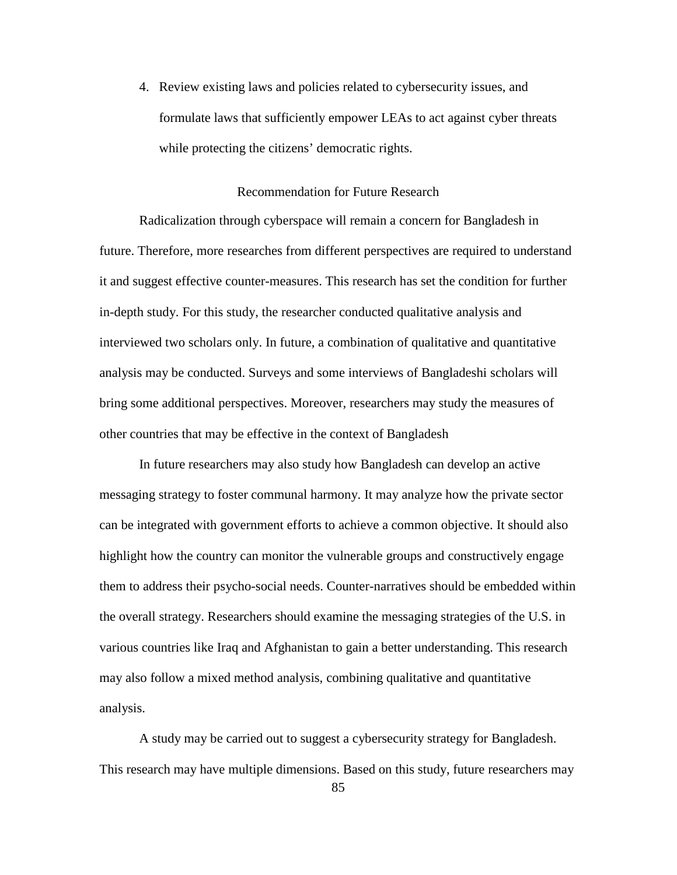4. Review existing laws and policies related to cybersecurity issues, and formulate laws that sufficiently empower LEAs to act against cyber threats while protecting the citizens' democratic rights.

#### Recommendation for Future Research

Radicalization through cyberspace will remain a concern for Bangladesh in future. Therefore, more researches from different perspectives are required to understand it and suggest effective counter-measures. This research has set the condition for further in-depth study. For this study, the researcher conducted qualitative analysis and interviewed two scholars only. In future, a combination of qualitative and quantitative analysis may be conducted. Surveys and some interviews of Bangladeshi scholars will bring some additional perspectives. Moreover, researchers may study the measures of other countries that may be effective in the context of Bangladesh

In future researchers may also study how Bangladesh can develop an active messaging strategy to foster communal harmony. It may analyze how the private sector can be integrated with government efforts to achieve a common objective. It should also highlight how the country can monitor the vulnerable groups and constructively engage them to address their psycho-social needs. Counter-narratives should be embedded within the overall strategy. Researchers should examine the messaging strategies of the U.S. in various countries like Iraq and Afghanistan to gain a better understanding. This research may also follow a mixed method analysis, combining qualitative and quantitative analysis.

A study may be carried out to suggest a cybersecurity strategy for Bangladesh. This research may have multiple dimensions. Based on this study, future researchers may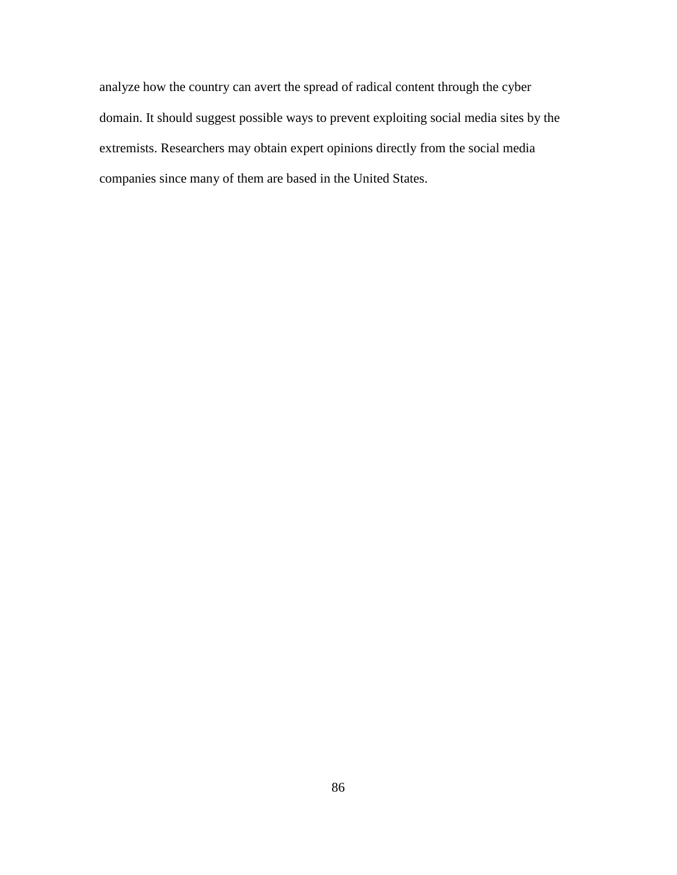analyze how the country can avert the spread of radical content through the cyber domain. It should suggest possible ways to prevent exploiting social media sites by the extremists. Researchers may obtain expert opinions directly from the social media companies since many of them are based in the United States.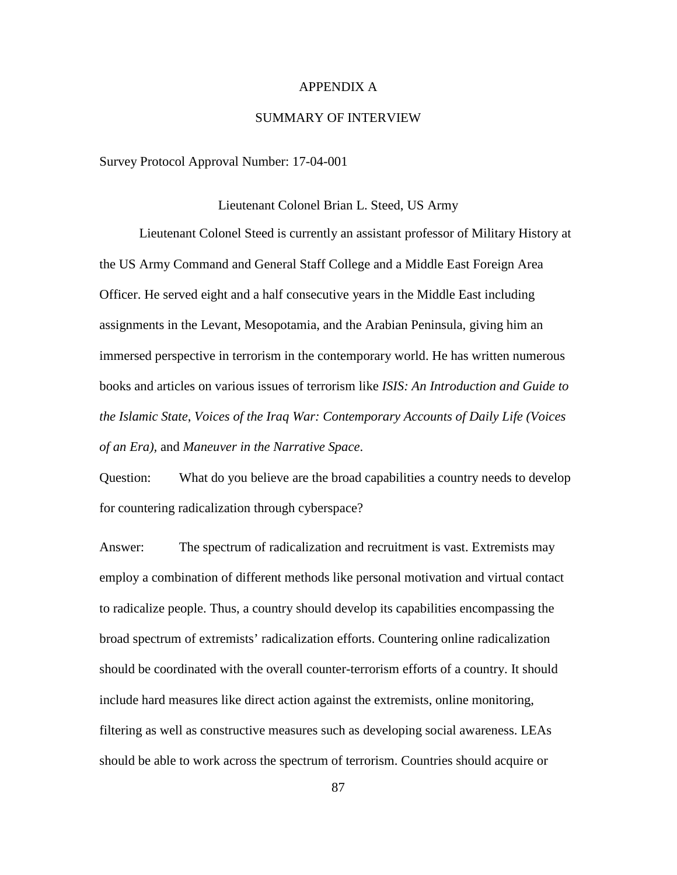## APPENDIX A

# SUMMARY OF INTERVIEW

Survey Protocol Approval Number: 17-04-001

## Lieutenant Colonel Brian L. Steed, US Army

Lieutenant Colonel Steed is currently an assistant professor of Military History at the US Army Command and General Staff College and a Middle East Foreign Area Officer. He served eight and a half consecutive years in the Middle East including assignments in the Levant, Mesopotamia, and the Arabian Peninsula, giving him an immersed perspective in terrorism in the contemporary world. He has written numerous books and articles on various issues of terrorism like *ISIS: An Introduction and Guide to the Islamic State*, *Voices of the Iraq War: Contemporary Accounts of Daily Life (Voices of an Era),* and *Maneuver in the Narrative Space*.

Question: What do you believe are the broad capabilities a country needs to develop for countering radicalization through cyberspace?

Answer: The spectrum of radicalization and recruitment is vast. Extremists may employ a combination of different methods like personal motivation and virtual contact to radicalize people. Thus, a country should develop its capabilities encompassing the broad spectrum of extremists' radicalization efforts. Countering online radicalization should be coordinated with the overall counter-terrorism efforts of a country. It should include hard measures like direct action against the extremists, online monitoring, filtering as well as constructive measures such as developing social awareness. LEAs should be able to work across the spectrum of terrorism. Countries should acquire or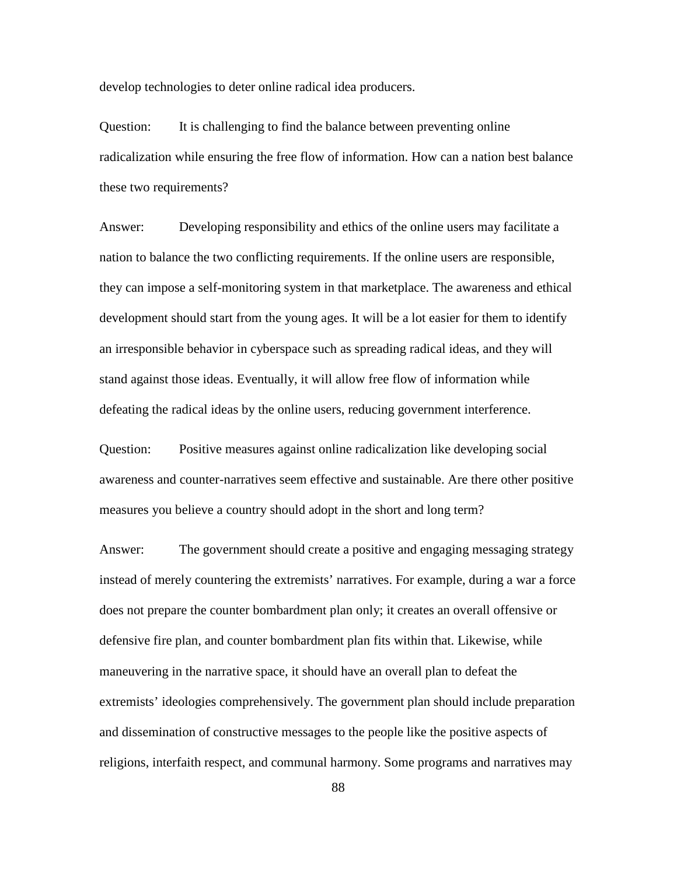develop technologies to deter online radical idea producers.

Question: It is challenging to find the balance between preventing online radicalization while ensuring the free flow of information. How can a nation best balance these two requirements?

Answer: Developing responsibility and ethics of the online users may facilitate a nation to balance the two conflicting requirements. If the online users are responsible, they can impose a self-monitoring system in that marketplace. The awareness and ethical development should start from the young ages. It will be a lot easier for them to identify an irresponsible behavior in cyberspace such as spreading radical ideas, and they will stand against those ideas. Eventually, it will allow free flow of information while defeating the radical ideas by the online users, reducing government interference.

Question: Positive measures against online radicalization like developing social awareness and counter-narratives seem effective and sustainable. Are there other positive measures you believe a country should adopt in the short and long term?

Answer: The government should create a positive and engaging messaging strategy instead of merely countering the extremists' narratives. For example, during a war a force does not prepare the counter bombardment plan only; it creates an overall offensive or defensive fire plan, and counter bombardment plan fits within that. Likewise, while maneuvering in the narrative space, it should have an overall plan to defeat the extremists' ideologies comprehensively. The government plan should include preparation and dissemination of constructive messages to the people like the positive aspects of religions, interfaith respect, and communal harmony. Some programs and narratives may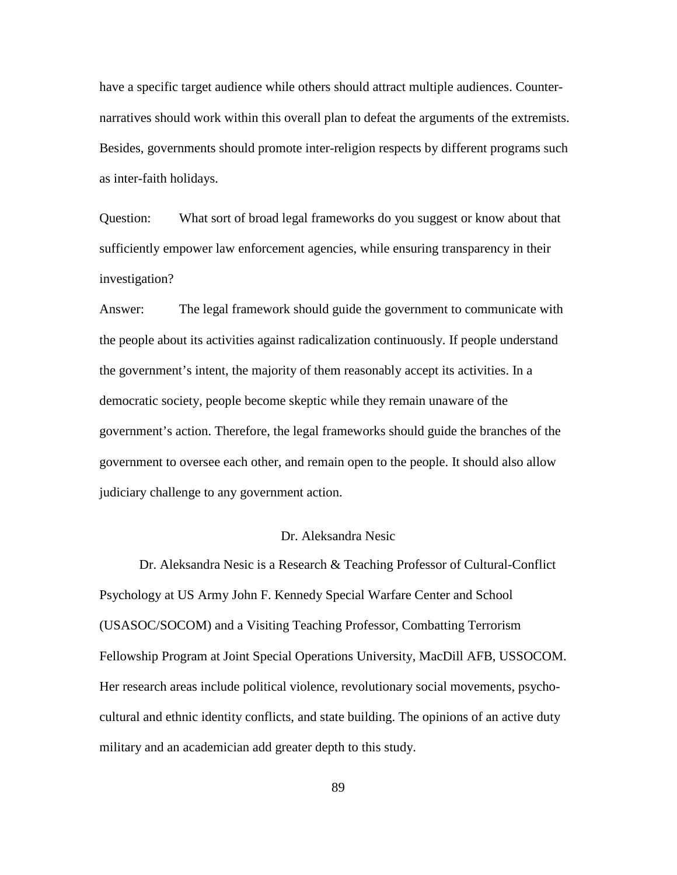have a specific target audience while others should attract multiple audiences. Counternarratives should work within this overall plan to defeat the arguments of the extremists. Besides, governments should promote inter-religion respects by different programs such as inter-faith holidays.

Question: What sort of broad legal frameworks do you suggest or know about that sufficiently empower law enforcement agencies, while ensuring transparency in their investigation?

Answer: The legal framework should guide the government to communicate with the people about its activities against radicalization continuously. If people understand the government's intent, the majority of them reasonably accept its activities. In a democratic society, people become skeptic while they remain unaware of the government's action. Therefore, the legal frameworks should guide the branches of the government to oversee each other, and remain open to the people. It should also allow judiciary challenge to any government action.

# Dr. Aleksandra Nesic

Dr. Aleksandra Nesic is a Research & Teaching Professor of Cultural-Conflict Psychology at US Army John F. Kennedy Special Warfare Center and School (USASOC/SOCOM) and a Visiting Teaching Professor, Combatting Terrorism Fellowship Program at Joint Special Operations University, MacDill AFB, USSOCOM. Her research areas include political violence, revolutionary social movements, psychocultural and ethnic identity conflicts, and state building. The opinions of an active duty military and an academician add greater depth to this study.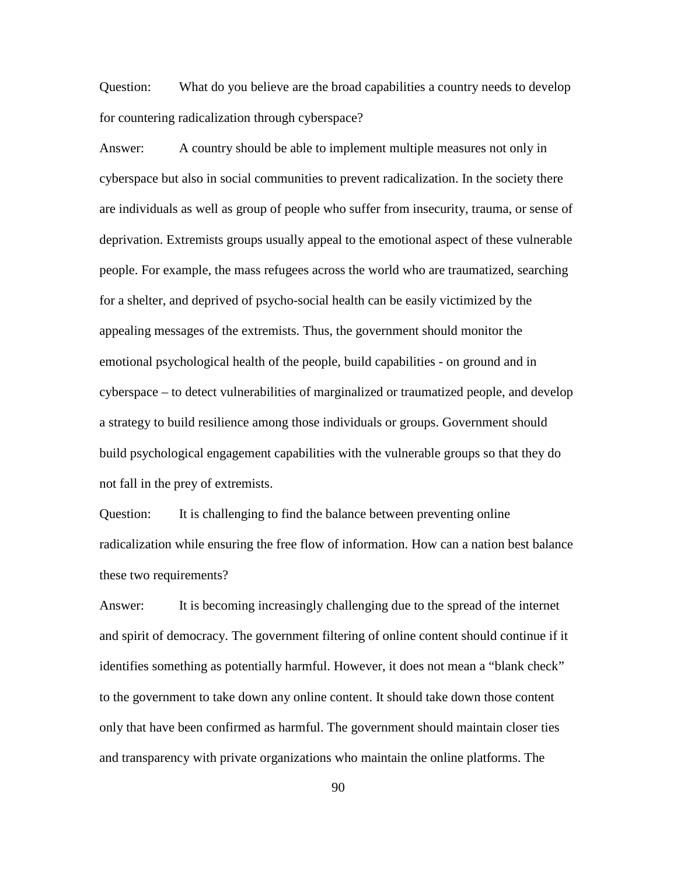Question: What do you believe are the broad capabilities a country needs to develop for countering radicalization through cyberspace?

Answer: A country should be able to implement multiple measures not only in cyberspace but also in social communities to prevent radicalization. In the society there are individuals as well as group of people who suffer from insecurity, trauma, or sense of deprivation. Extremists groups usually appeal to the emotional aspect of these vulnerable people. For example, the mass refugees across the world who are traumatized, searching for a shelter, and deprived of psycho-social health can be easily victimized by the appealing messages of the extremists. Thus, the government should monitor the emotional psychological health of the people, build capabilities - on ground and in cyberspace – to detect vulnerabilities of marginalized or traumatized people, and develop a strategy to build resilience among those individuals or groups. Government should build psychological engagement capabilities with the vulnerable groups so that they do not fall in the prey of extremists.

Question: It is challenging to find the balance between preventing online radicalization while ensuring the free flow of information. How can a nation best balance these two requirements?

Answer: It is becoming increasingly challenging due to the spread of the internet and spirit of democracy. The government filtering of online content should continue if it identifies something as potentially harmful. However, it does not mean a "blank check" to the government to take down any online content. It should take down those content only that have been confirmed as harmful. The government should maintain closer ties and transparency with private organizations who maintain the online platforms. The

90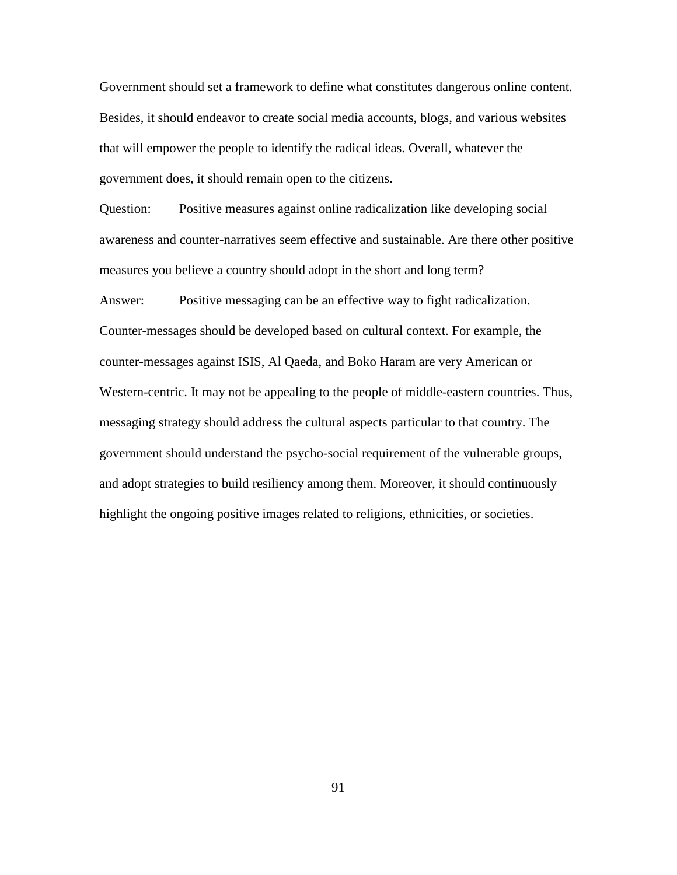Government should set a framework to define what constitutes dangerous online content. Besides, it should endeavor to create social media accounts, blogs, and various websites that will empower the people to identify the radical ideas. Overall, whatever the government does, it should remain open to the citizens.

Question: Positive measures against online radicalization like developing social awareness and counter-narratives seem effective and sustainable. Are there other positive measures you believe a country should adopt in the short and long term?

Answer: Positive messaging can be an effective way to fight radicalization. Counter-messages should be developed based on cultural context. For example, the counter-messages against ISIS, Al Qaeda, and Boko Haram are very American or Western-centric. It may not be appealing to the people of middle-eastern countries. Thus, messaging strategy should address the cultural aspects particular to that country. The government should understand the psycho-social requirement of the vulnerable groups, and adopt strategies to build resiliency among them. Moreover, it should continuously highlight the ongoing positive images related to religions, ethnicities, or societies.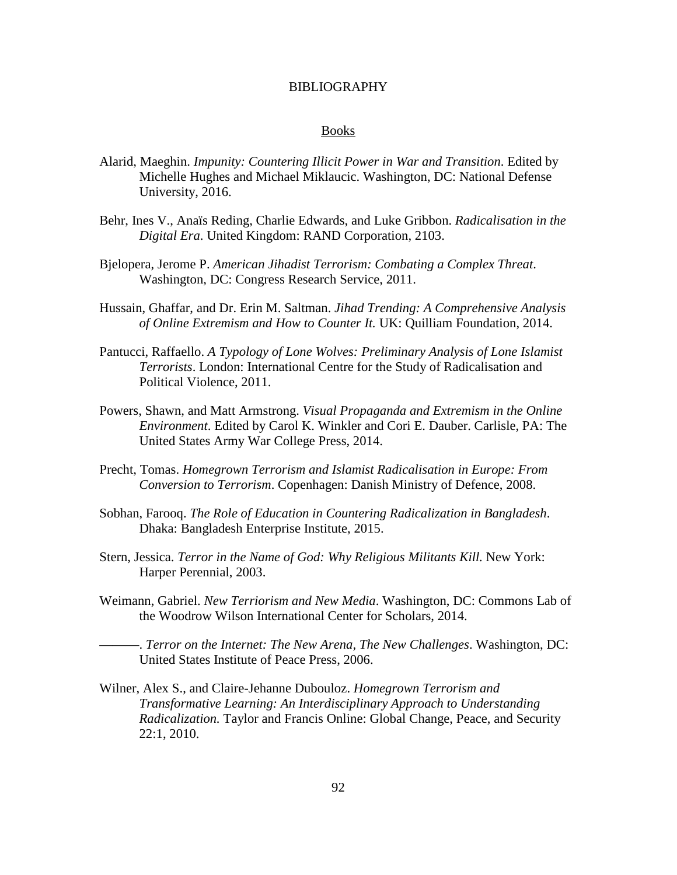#### BIBLIOGRAPHY

#### Books

- Alarid, Maeghin. *Impunity: Countering Illicit Power in War and Transition*. Edited by Michelle Hughes and Michael Miklaucic. Washington, DC: National Defense University, 2016.
- Behr, Ines V., Anaïs Reding, Charlie Edwards, and Luke Gribbon. *Radicalisation in the Digital Era*. United Kingdom: RAND Corporation, 2103.
- Bjelopera, Jerome P. *American Jihadist Terrorism: Combating a Complex Threat*. Washington, DC: Congress Research Service, 2011.
- Hussain, Ghaffar, and Dr. Erin M. Saltman. *Jihad Trending: A Comprehensive Analysis of Online Extremism and How to Counter It.* UK: Quilliam Foundation, 2014.
- Pantucci, Raffaello. *A Typology of Lone Wolves: Preliminary Analysis of Lone Islamist Terrorists*. London: International Centre for the Study of Radicalisation and Political Violence, 2011.
- Powers, Shawn, and Matt Armstrong. *Visual Propaganda and Extremism in the Online Environment*. Edited by Carol K. Winkler and Cori E. Dauber. Carlisle, PA: The United States Army War College Press, 2014.
- Precht, Tomas. *Homegrown Terrorism and Islamist Radicalisation in Europe: From Conversion to Terrorism*. Copenhagen: Danish Ministry of Defence, 2008.
- Sobhan, Farooq. *The Role of Education in Countering Radicalization in Bangladesh*. Dhaka: Bangladesh Enterprise Institute, 2015.
- Stern, Jessica. *Terror in the Name of God: Why Religious Militants Kill.* New York: Harper Perennial, 2003.
- Weimann, Gabriel. *New Terriorism and New Media*. Washington, DC: Commons Lab of the Woodrow Wilson International Center for Scholars, 2014.
- ———. *Terror on the Internet: The New Arena, The New Challenges*. Washington, DC: United States Institute of Peace Press, 2006.
- Wilner, Alex S., and Claire-Jehanne Dubouloz. *Homegrown Terrorism and Transformative Learning: An Interdisciplinary Approach to Understanding Radicalization.* Taylor and Francis Online: Global Change, Peace, and Security 22:1, 2010.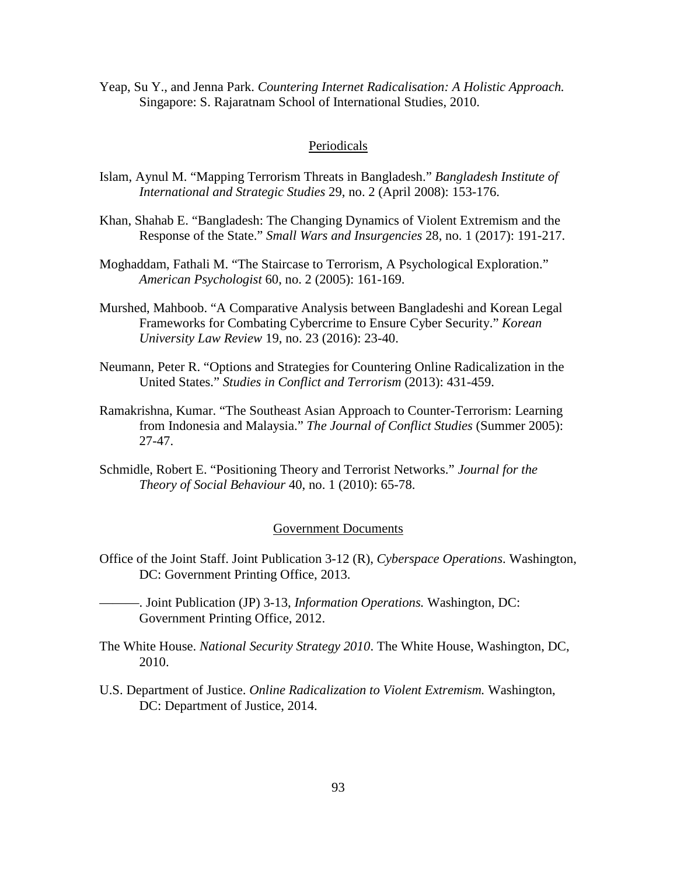Yeap, Su Y., and Jenna Park. *Countering Internet Radicalisation: A Holistic Approach.* Singapore: S. Rajaratnam School of International Studies, 2010.

## Periodicals

- Islam, Aynul M. "Mapping Terrorism Threats in Bangladesh." *Bangladesh Institute of International and Strategic Studies* 29, no. 2 (April 2008): 153-176.
- Khan, Shahab E. "Bangladesh: The Changing Dynamics of Violent Extremism and the Response of the State." *Small Wars and Insurgencies* 28, no. 1 (2017): 191-217.
- Moghaddam, Fathali M. "The Staircase to Terrorism, A Psychological Exploration." *American Psychologist* 60, no. 2 (2005): 161-169.
- Murshed, Mahboob. "A Comparative Analysis between Bangladeshi and Korean Legal Frameworks for Combating Cybercrime to Ensure Cyber Security." *Korean University Law Review* 19, no. 23 (2016): 23-40.
- Neumann, Peter R. "Options and Strategies for Countering Online Radicalization in the United States." *Studies in Conflict and Terrorism* (2013): 431-459.
- Ramakrishna, Kumar. "The Southeast Asian Approach to Counter-Terrorism: Learning from Indonesia and Malaysia." *The Journal of Conflict Studies* (Summer 2005): 27-47.
- Schmidle, Robert E. "Positioning Theory and Terrorist Networks." *Journal for the Theory of Social Behaviour* 40, no. 1 (2010): 65-78.

## Government Documents

- Office of the Joint Staff. Joint Publication 3-12 (R), *Cyberspace Operations*. Washington, DC: Government Printing Office, 2013.
- ———. Joint Publication (JP) 3-13, *Information Operations.* Washington, DC: Government Printing Office, 2012.
- The White House. *National Security Strategy 2010*. The White House, Washington, DC, 2010.
- U.S. Department of Justice. *Online Radicalization to Violent Extremism.* Washington, DC: Department of Justice, 2014.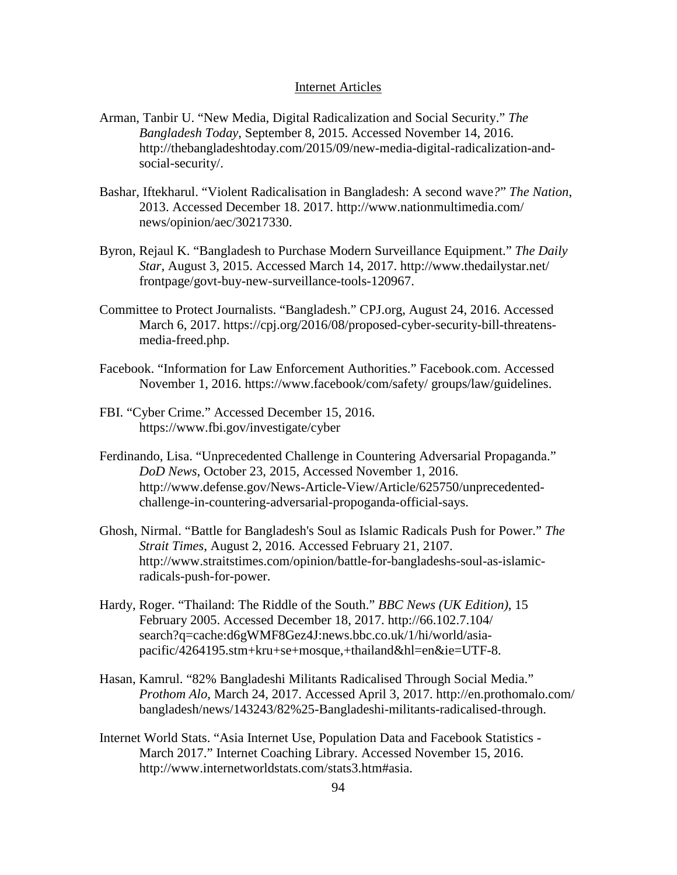#### Internet Articles

- Arman, Tanbir U. "New Media, Digital Radicalization and Social Security." *The Bangladesh Today*, September 8, 2015. Accessed November 14, 2016. http://thebangladeshtoday.com/2015/09/new-media-digital-radicalization-andsocial-security/.
- Bashar, Iftekharul. "Violent Radicalisation in Bangladesh: A second wave*?*" *The Nation*, 2013. Accessed December 18. 2017. http://www.nationmultimedia.com/ news/opinion/aec/30217330.
- Byron, Rejaul K. "Bangladesh to Purchase Modern Surveillance Equipment." *The Daily Star*, August 3, 2015. Accessed March 14, 2017. http://www.thedailystar.net/ frontpage/govt-buy-new-surveillance-tools-120967.
- Committee to Protect Journalists. "Bangladesh." CPJ.org, August 24, 2016. Accessed March 6, 2017. https://cpj.org/2016/08/proposed-cyber-security-bill-threatensmedia-freed.php.
- Facebook. "Information for Law Enforcement Authorities." Facebook.com. Accessed November 1, 2016. https://www.facebook/com/safety/ groups/law/guidelines.
- FBI. "Cyber Crime." Accessed December 15, 2016. https://www.fbi.gov/investigate/cyber
- Ferdinando, Lisa. "Unprecedented Challenge in Countering Adversarial Propaganda." *DoD News*, October 23, 2015, Accessed November 1, 2016. http://www.defense.gov/News-Article-View/Article/625750/unprecedentedchallenge-in-countering-adversarial-propoganda-official-says.
- Ghosh, Nirmal. "Battle for Bangladesh's Soul as Islamic Radicals Push for Power." *The Strait Times*, August 2, 2016. Accessed February 21, 2107. http://www.straitstimes.com/opinion/battle-for-bangladeshs-soul-as-islamicradicals-push-for-power.
- Hardy, Roger. "Thailand: The Riddle of the South." *BBC News (UK Edition)*, 15 February 2005. Accessed December 18, 2017. http://66.102.7.104/ search?q=cache:d6gWMF8Gez4J:news.bbc.co.uk/1/hi/world/asiapacific/4264195.stm+kru+se+mosque,+thailand&hl=en&ie=UTF-8.
- Hasan, Kamrul. "82% Bangladeshi Militants Radicalised Through Social Media." *Prothom Alo*, March 24, 2017. Accessed April 3, 2017. http://en.prothomalo.com/ bangladesh/news/143243/82%25-Bangladeshi-militants-radicalised-through.
- Internet World Stats. "Asia Internet Use, Population Data and Facebook Statistics March 2017." Internet Coaching Library. Accessed November 15, 2016. http://www.internetworldstats.com/stats3.htm#asia.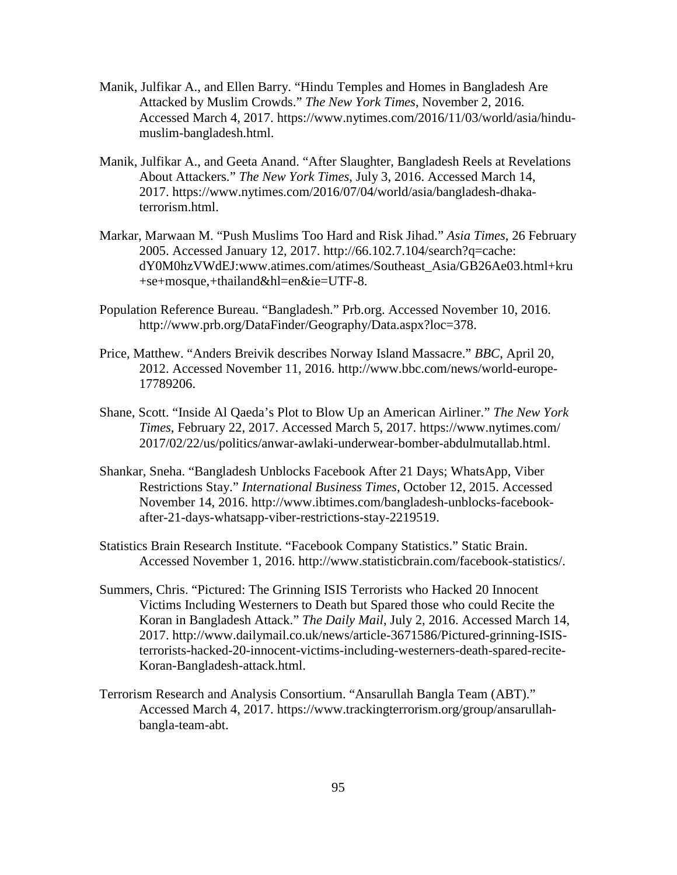- Manik, Julfikar A., and Ellen Barry. "Hindu Temples and Homes in Bangladesh Are Attacked by Muslim Crowds." *The New York Times*, November 2, 2016. Accessed March 4, 2017. https://www.nytimes.com/2016/11/03/world/asia/hindumuslim-bangladesh.html.
- Manik, Julfikar A., and Geeta Anand. "After Slaughter, Bangladesh Reels at Revelations About Attackers." *The New York Times*, July 3, 2016. Accessed March 14, 2017. https://www.nytimes.com/2016/07/04/world/asia/bangladesh-dhakaterrorism.html.
- Markar, Marwaan M. "Push Muslims Too Hard and Risk Jihad." *Asia Times*, 26 February 2005. Accessed January 12, 2017. http://66.102.7.104/search?q=cache: dY0M0hzVWdEJ:www.atimes.com/atimes/Southeast\_Asia/GB26Ae03.html+kru +se+mosque,+thailand&hl=en&ie=UTF-8.
- Population Reference Bureau. "Bangladesh." Prb.org. Accessed November 10, 2016. http://www.prb.org/DataFinder/Geography/Data.aspx?loc=378.
- Price, Matthew. "Anders Breivik describes Norway Island Massacre." *BBC*, April 20, 2012. Accessed November 11, 2016. http://www.bbc.com/news/world-europe-17789206.
- Shane, Scott. "Inside Al Qaeda's Plot to Blow Up an American Airliner." *The New York Times*, February 22, 2017. Accessed March 5, 2017. https://www.nytimes.com/ 2017/02/22/us/politics/anwar-awlaki-underwear-bomber-abdulmutallab.html.
- Shankar, Sneha. "Bangladesh Unblocks Facebook After 21 Days; WhatsApp, Viber Restrictions Stay." *International Business Times*, October 12, 2015. Accessed November 14, 2016. http://www.ibtimes.com/bangladesh-unblocks-facebookafter-21-days-whatsapp-viber-restrictions-stay-2219519.
- Statistics Brain Research Institute. "Facebook Company Statistics." Static Brain. Accessed November 1, 2016. http://www.statisticbrain.com/facebook-statistics/.
- Summers, Chris. "Pictured: The Grinning ISIS Terrorists who Hacked 20 Innocent Victims Including Westerners to Death but Spared those who could Recite the Koran in Bangladesh Attack." *The Daily Mail*, July 2, 2016. Accessed March 14, 2017. http://www.dailymail.co.uk/news/article-3671586/Pictured-grinning-ISISterrorists-hacked-20-innocent-victims-including-westerners-death-spared-recite-Koran-Bangladesh-attack.html.
- Terrorism Research and Analysis Consortium. "Ansarullah Bangla Team (ABT)." Accessed March 4, 2017. https://www.trackingterrorism.org/group/ansarullahbangla-team-abt.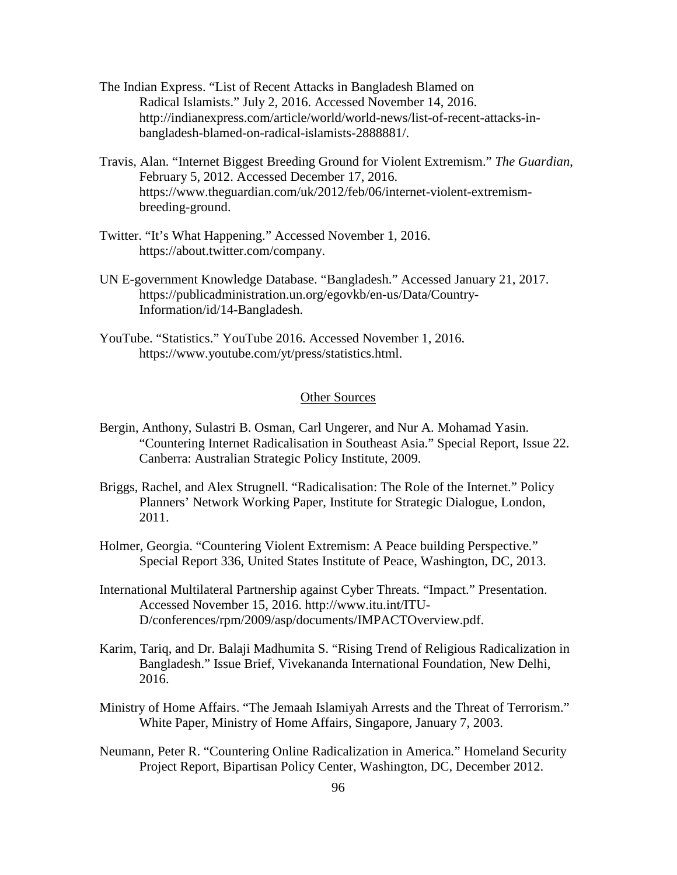- The Indian Express. "List of Recent Attacks in Bangladesh Blamed on Radical Islamists." July 2, 2016. Accessed November 14, 2016. http://indianexpress.com/article/world/world-news/list-of-recent-attacks-inbangladesh-blamed-on-radical-islamists-2888881/.
- Travis, Alan. "Internet Biggest Breeding Ground for Violent Extremism." *The Guardian*, February 5, 2012. Accessed December 17, 2016. https://www.theguardian.com/uk/2012/feb/06/internet-violent-extremismbreeding-ground.
- Twitter. "It's What Happening." Accessed November 1, 2016. https://about.twitter.com/company.
- UN E-government Knowledge Database. "Bangladesh." Accessed January 21, 2017. https://publicadministration.un.org/egovkb/en-us/Data/Country-Information/id/14-Bangladesh.
- YouTube. "Statistics." YouTube 2016. Accessed November 1, 2016. https://www.youtube.com/yt/press/statistics.html.

# Other Sources

- Bergin, Anthony, Sulastri B. Osman, Carl Ungerer, and Nur A. Mohamad Yasin. "Countering Internet Radicalisation in Southeast Asia." Special Report, Issue 22. Canberra: Australian Strategic Policy Institute, 2009.
- Briggs, Rachel, and Alex Strugnell. "Radicalisation: The Role of the Internet." Policy Planners' Network Working Paper, Institute for Strategic Dialogue, London, 2011.
- Holmer, Georgia. "Countering Violent Extremism: A Peace building Perspective*.*" Special Report 336, United States Institute of Peace, Washington, DC, 2013.
- International Multilateral Partnership against Cyber Threats. "Impact." Presentation. Accessed November 15, 2016. http://www.itu.int/ITU-D/conferences/rpm/2009/asp/documents/IMPACTOverview.pdf.
- Karim, Tariq, and Dr. Balaji Madhumita S. "Rising Trend of Religious Radicalization in Bangladesh." Issue Brief, Vivekananda International Foundation, New Delhi, 2016.
- Ministry of Home Affairs. "The Jemaah Islamiyah Arrests and the Threat of Terrorism." White Paper, Ministry of Home Affairs, Singapore, January 7, 2003.
- Neumann, Peter R. "Countering Online Radicalization in America*.*" Homeland Security Project Report, Bipartisan Policy Center, Washington, DC, December 2012.